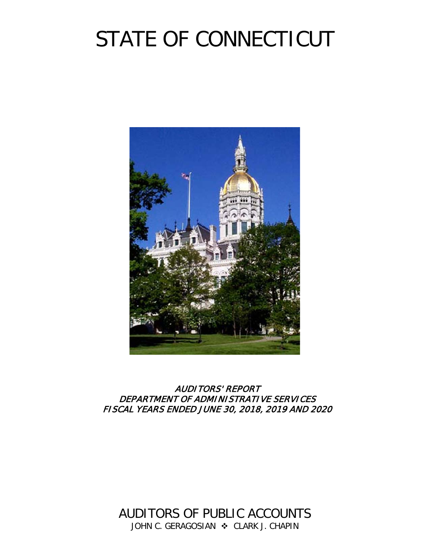# STATE OF CONNECTICUT



# AUDITORS' REPORT DEPARTMENT OF ADMINISTRATIVE SERVICES FISCAL YEARS ENDED JUNE 30, 2018, 2019 AND 2020

AUDITORS OF PUBLIC ACCOUNTS JOHN C. GERAGOSIAN  $\cdot$  CLARK J. CHAPIN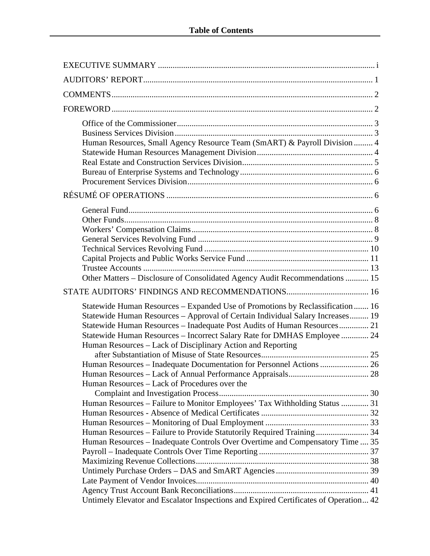| Human Resources, Small Agency Resource Team (SmART) & Payroll Division  4                                                                                                                                                                                                                                                                                                               |  |
|-----------------------------------------------------------------------------------------------------------------------------------------------------------------------------------------------------------------------------------------------------------------------------------------------------------------------------------------------------------------------------------------|--|
|                                                                                                                                                                                                                                                                                                                                                                                         |  |
| Other Matters - Disclosure of Consolidated Agency Audit Recommendations  15                                                                                                                                                                                                                                                                                                             |  |
|                                                                                                                                                                                                                                                                                                                                                                                         |  |
| Statewide Human Resources – Expanded Use of Promotions by Reclassification  16<br>Statewide Human Resources - Approval of Certain Individual Salary Increases 19<br>Statewide Human Resources - Inadequate Post Audits of Human Resources 21<br>Statewide Human Resources - Incorrect Salary Rate for DMHAS Employee  24<br>Human Resources – Lack of Disciplinary Action and Reporting |  |
|                                                                                                                                                                                                                                                                                                                                                                                         |  |
| Human Resources – Lack of Procedures over the                                                                                                                                                                                                                                                                                                                                           |  |
|                                                                                                                                                                                                                                                                                                                                                                                         |  |
| Human Resources - Failure to Monitor Employees' Tax Withholding Status  31<br>Human Resources - Failure to Provide Statutorily Required Training 34<br>Human Resources – Inadequate Controls Over Overtime and Compensatory Time  35                                                                                                                                                    |  |
| Untimely Elevator and Escalator Inspections and Expired Certificates of Operation 42                                                                                                                                                                                                                                                                                                    |  |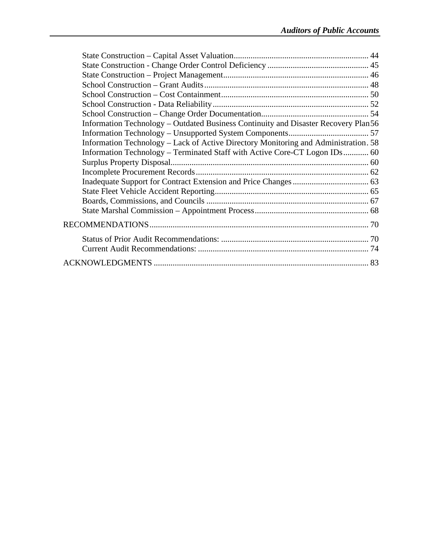| Information Technology - Outdated Business Continuity and Disaster Recovery Plan56  |  |
|-------------------------------------------------------------------------------------|--|
|                                                                                     |  |
| Information Technology – Lack of Active Directory Monitoring and Administration. 58 |  |
| Information Technology – Terminated Staff with Active Core-CT Logon IDs 60          |  |
|                                                                                     |  |
|                                                                                     |  |
|                                                                                     |  |
|                                                                                     |  |
|                                                                                     |  |
|                                                                                     |  |
|                                                                                     |  |
|                                                                                     |  |
|                                                                                     |  |
|                                                                                     |  |
|                                                                                     |  |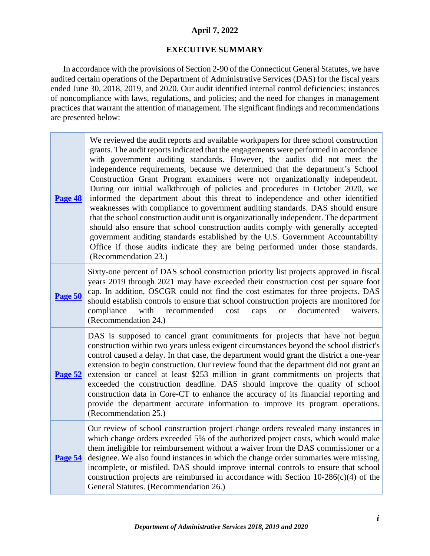# **April 7, 2022**

# **EXECUTIVE SUMMARY**

<span id="page-3-0"></span>In accordance with the provisions of Section 2-90 of the Connecticut General Statutes, we have audited certain operations of the Department of Administrative Services (DAS) for the fiscal years ended June 30, 2018, 2019, and 2020. Our audit identified internal control deficiencies; instances of noncompliance with laws, regulations, and policies; and the need for changes in management practices that warrant the attention of management. The significant findings and recommendations are presented below:

| Page 48        | We reviewed the audit reports and available workpapers for three school construction<br>grants. The audit reports indicated that the engagements were performed in accordance<br>with government auditing standards. However, the audits did not meet the<br>independence requirements, because we determined that the department's School<br>Construction Grant Program examiners were not organizationally independent.<br>During our initial walkthrough of policies and procedures in October 2020, we<br>informed the department about this threat to independence and other identified<br>weaknesses with compliance to government auditing standards. DAS should ensure<br>that the school construction audit unit is organizationally independent. The department<br>should also ensure that school construction audits comply with generally accepted<br>government auditing standards established by the U.S. Government Accountability<br>Office if those audits indicate they are being performed under those standards.<br>(Recommendation 23.) |
|----------------|--------------------------------------------------------------------------------------------------------------------------------------------------------------------------------------------------------------------------------------------------------------------------------------------------------------------------------------------------------------------------------------------------------------------------------------------------------------------------------------------------------------------------------------------------------------------------------------------------------------------------------------------------------------------------------------------------------------------------------------------------------------------------------------------------------------------------------------------------------------------------------------------------------------------------------------------------------------------------------------------------------------------------------------------------------------|
| Page 50        | Sixty-one percent of DAS school construction priority list projects approved in fiscal<br>years 2019 through 2021 may have exceeded their construction cost per square foot<br>cap. In addition, OSCGR could not find the cost estimates for three projects. DAS<br>should establish controls to ensure that school construction projects are monitored for<br>with<br>compliance<br>recommended<br>documented<br>cost<br>caps<br>waivers.<br><b>or</b><br>(Recommendation 24.)                                                                                                                                                                                                                                                                                                                                                                                                                                                                                                                                                                              |
| Page 52        | DAS is supposed to cancel grant commitments for projects that have not begun<br>construction within two years unless exigent circumstances beyond the school district's<br>control caused a delay. In that case, the department would grant the district a one-year<br>extension to begin construction. Our review found that the department did not grant an<br>extension or cancel at least \$253 million in grant commitments on projects that<br>exceeded the construction deadline. DAS should improve the quality of school<br>construction data in Core-CT to enhance the accuracy of its financial reporting and<br>provide the department accurate information to improve its program operations.<br>(Recommendation 25.)                                                                                                                                                                                                                                                                                                                           |
| <b>Page 54</b> | Our review of school construction project change orders revealed many instances in<br>which change orders exceeded 5% of the authorized project costs, which would make<br>them ineligible for reimbursement without a waiver from the DAS commissioner or a<br>designee. We also found instances in which the change order summaries were missing,<br>incomplete, or misfiled. DAS should improve internal controls to ensure that school<br>construction projects are reimbursed in accordance with Section $10-286(c)(4)$ of the<br>General Statutes. (Recommendation 26.)                                                                                                                                                                                                                                                                                                                                                                                                                                                                                |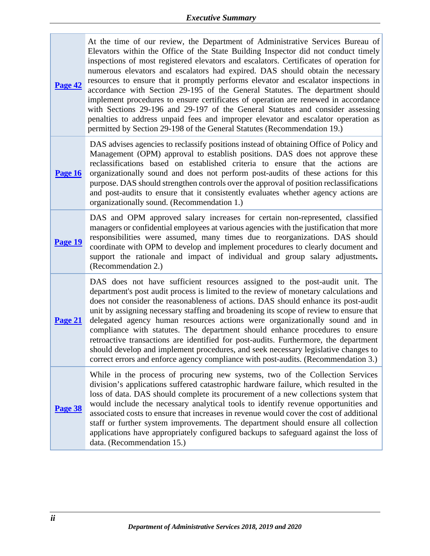| <b>Page 42</b> | At the time of our review, the Department of Administrative Services Bureau of<br>Elevators within the Office of the State Building Inspector did not conduct timely<br>inspections of most registered elevators and escalators. Certificates of operation for<br>numerous elevators and escalators had expired. DAS should obtain the necessary<br>resources to ensure that it promptly performs elevator and escalator inspections in<br>accordance with Section 29-195 of the General Statutes. The department should<br>implement procedures to ensure certificates of operation are renewed in accordance<br>with Sections 29-196 and 29-197 of the General Statutes and consider assessing<br>penalties to address unpaid fees and improper elevator and escalator operation as<br>permitted by Section 29-198 of the General Statutes (Recommendation 19.) |
|----------------|-------------------------------------------------------------------------------------------------------------------------------------------------------------------------------------------------------------------------------------------------------------------------------------------------------------------------------------------------------------------------------------------------------------------------------------------------------------------------------------------------------------------------------------------------------------------------------------------------------------------------------------------------------------------------------------------------------------------------------------------------------------------------------------------------------------------------------------------------------------------|
| <b>Page 16</b> | DAS advises agencies to reclassify positions instead of obtaining Office of Policy and<br>Management (OPM) approval to establish positions. DAS does not approve these<br>reclassifications based on established criteria to ensure that the actions are<br>organizationally sound and does not perform post-audits of these actions for this<br>purpose. DAS should strengthen controls over the approval of position reclassifications<br>and post-audits to ensure that it consistently evaluates whether agency actions are<br>organizationally sound. (Recommendation 1.)                                                                                                                                                                                                                                                                                    |
| Page 19        | DAS and OPM approved salary increases for certain non-represented, classified<br>managers or confidential employees at various agencies with the justification that more<br>responsibilities were assumed, many times due to reorganizations. DAS should<br>coordinate with OPM to develop and implement procedures to clearly document and<br>support the rationale and impact of individual and group salary adjustments.<br>(Recommendation 2.)                                                                                                                                                                                                                                                                                                                                                                                                                |
| Page 21        | DAS does not have sufficient resources assigned to the post-audit unit. The<br>department's post audit process is limited to the review of monetary calculations and<br>does not consider the reasonableness of actions. DAS should enhance its post-audit<br>unit by assigning necessary staffing and broadening its scope of review to ensure that<br>delegated agency human resources actions were organizationally sound and in<br>compliance with statutes. The department should enhance procedures to ensure<br>retroactive transactions are identified for post-audits. Furthermore, the department<br>should develop and implement procedures, and seek necessary legislative changes to<br>correct errors and enforce agency compliance with post-audits. (Recommendation 3.)                                                                           |
| Page 38        | While in the process of procuring new systems, two of the Collection Services<br>division's applications suffered catastrophic hardware failure, which resulted in the<br>loss of data. DAS should complete its procurement of a new collections system that<br>would include the necessary analytical tools to identify revenue opportunities and<br>associated costs to ensure that increases in revenue would cover the cost of additional<br>staff or further system improvements. The department should ensure all collection<br>applications have appropriately configured backups to safeguard against the loss of<br>data. (Recommendation 15.)                                                                                                                                                                                                           |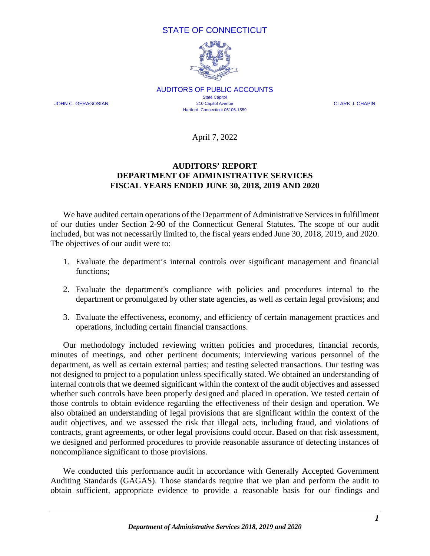# STATE OF CONNECTICUT



AUDITORS OF PUBLIC ACCOUNTS State Capitol JOHN C. GERAGOSIAN 210 Capitol Avenue CLARK J. CHAPIN Hartford, Connecticut 06106-1559

April 7, 2022

# **AUDITORS' REPORT DEPARTMENT OF ADMINISTRATIVE SERVICES FISCAL YEARS ENDED JUNE 30, 2018, 2019 AND 2020**

<span id="page-5-0"></span>We have audited certain operations of the Department of Administrative Services in fulfillment of our duties under Section 2-90 of the Connecticut General Statutes. The scope of our audit included, but was not necessarily limited to, the fiscal years ended June 30, 2018, 2019, and 2020. The objectives of our audit were to:

- 1. Evaluate the department's internal controls over significant management and financial functions;
- 2. Evaluate the department's compliance with policies and procedures internal to the department or promulgated by other state agencies, as well as certain legal provisions; and
- 3. Evaluate the effectiveness, economy, and efficiency of certain management practices and operations, including certain financial transactions.

Our methodology included reviewing written policies and procedures, financial records, minutes of meetings, and other pertinent documents; interviewing various personnel of the department, as well as certain external parties; and testing selected transactions. Our testing was not designed to project to a population unless specifically stated. We obtained an understanding of internal controls that we deemed significant within the context of the audit objectives and assessed whether such controls have been properly designed and placed in operation. We tested certain of those controls to obtain evidence regarding the effectiveness of their design and operation. We also obtained an understanding of legal provisions that are significant within the context of the audit objectives, and we assessed the risk that illegal acts, including fraud, and violations of contracts, grant agreements, or other legal provisions could occur. Based on that risk assessment, we designed and performed procedures to provide reasonable assurance of detecting instances of noncompliance significant to those provisions.

We conducted this performance audit in accordance with Generally Accepted Government Auditing Standards (GAGAS). Those standards require that we plan and perform the audit to obtain sufficient, appropriate evidence to provide a reasonable basis for our findings and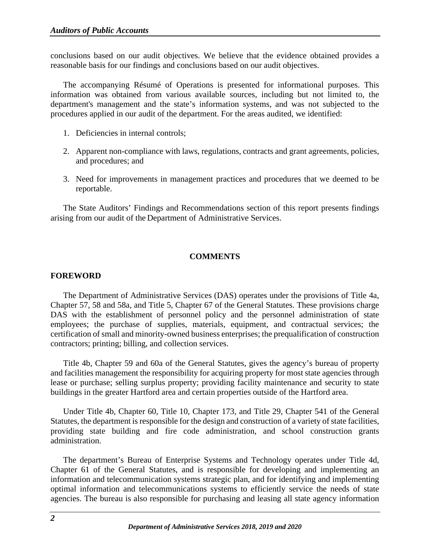conclusions based on our audit objectives. We believe that the evidence obtained provides a reasonable basis for our findings and conclusions based on our audit objectives.

The accompanying Résumé of Operations is presented for informational purposes. This information was obtained from various available sources, including but not limited to, the department's management and the state's information systems, and was not subjected to the procedures applied in our audit of the department. For the areas audited, we identified:

- 1. Deficiencies in internal controls;
- 2. Apparent non-compliance with laws, regulations, contracts and grant agreements, policies, and procedures; and
- 3. Need for improvements in management practices and procedures that we deemed to be reportable.

The State Auditors' Findings and Recommendations section of this report presents findings arising from our audit of the Department of Administrative Services.

# **COMMENTS**

# <span id="page-6-1"></span><span id="page-6-0"></span>**FOREWORD**

The Department of Administrative Services (DAS) operates under the provisions of Title 4a, Chapter 57, 58 and 58a, and Title 5, Chapter 67 of the General Statutes. These provisions charge DAS with the establishment of personnel policy and the personnel administration of state employees; the purchase of supplies, materials, equipment, and contractual services; the certification of small and minority-owned business enterprises; the prequalification of construction contractors; printing; billing, and collection services.

Title 4b, Chapter 59 and 60a of the General Statutes, gives the agency's bureau of property and facilities management the responsibility for acquiring property for most state agencies through lease or purchase; selling surplus property; providing facility maintenance and security to state buildings in the greater Hartford area and certain properties outside of the Hartford area.

Under Title 4b, Chapter 60, Title 10, Chapter 173, and Title 29, Chapter 541 of the General Statutes, the department is responsible for the design and construction of a variety of state facilities, providing state building and fire code administration, and school construction grants administration.

The department's Bureau of Enterprise Systems and Technology operates under Title 4d, Chapter 61 of the General Statutes, and is responsible for developing and implementing an information and telecommunication systems strategic plan, and for identifying and implementing optimal information and telecommunications systems to efficiently service the needs of state agencies. The bureau is also responsible for purchasing and leasing all state agency information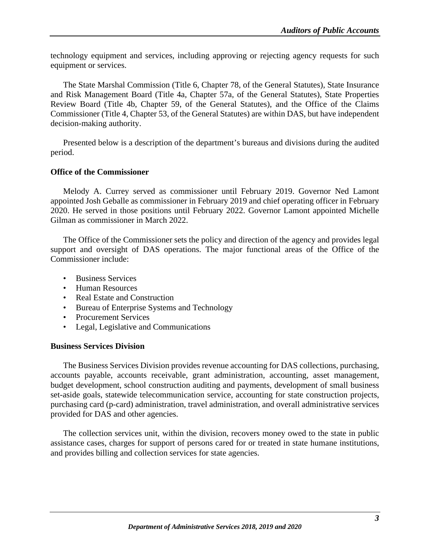technology equipment and services, including approving or rejecting agency requests for such equipment or services.

The State Marshal Commission (Title 6, Chapter 78, of the General Statutes), State Insurance and Risk Management Board (Title 4a, Chapter 57a, of the General Statutes), State Properties Review Board (Title 4b, Chapter 59, of the General Statutes), and the Office of the Claims Commissioner (Title 4, Chapter 53, of the General Statutes) are within DAS, but have independent decision-making authority.

Presented below is a description of the department's bureaus and divisions during the audited period.

# <span id="page-7-0"></span>**Office of the Commissioner**

Melody A. Currey served as commissioner until February 2019. Governor Ned Lamont appointed Josh Geballe as commissioner in February 2019 and chief operating officer in February 2020. He served in those positions until February 2022. Governor Lamont appointed Michelle Gilman as commissioner in March 2022.

The Office of the Commissioner sets the policy and direction of the agency and provides legal support and oversight of DAS operations. The major functional areas of the Office of the Commissioner include:

- Business Services
- Human Resources
- Real Estate and Construction
- Bureau of Enterprise Systems and Technology
- Procurement Services
- Legal, Legislative and Communications

## <span id="page-7-1"></span>**Business Services Division**

The Business Services Division provides revenue accounting for DAS collections, purchasing, accounts payable, accounts receivable, grant administration, accounting, asset management, budget development, school construction auditing and payments, development of small business set-aside goals, statewide telecommunication service, accounting for state construction projects, purchasing card (p-card) administration, travel administration, and overall administrative services provided for DAS and other agencies.

The collection services unit, within the division, recovers money owed to the state in public assistance cases, charges for support of persons cared for or treated in state humane institutions, and provides billing and collection services for state agencies.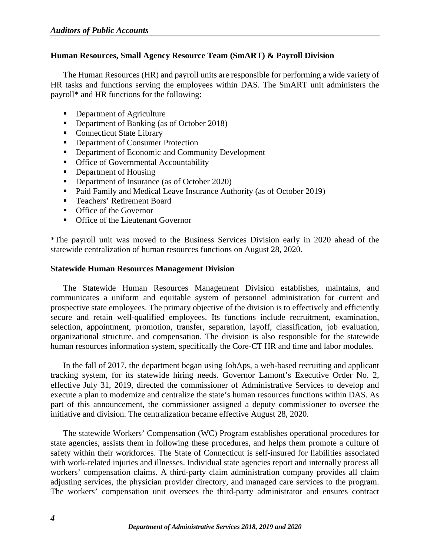# <span id="page-8-0"></span>**Human Resources, Small Agency Resource Team (SmART) & Payroll Division**

The Human Resources (HR) and payroll units are responsible for performing a wide variety of HR tasks and functions serving the employees within DAS. The SmART unit administers the payroll\* and HR functions for the following:

- Department of Agriculture
- Department of Banking (as of October 2018)
- Connecticut State Library
- **•** Department of Consumer Protection
- **Department of Economic and Community Development**
- Office of Governmental Accountability
- Department of Housing
- Department of Insurance (as of October 2020)
- Paid Family and Medical Leave Insurance Authority (as of October 2019)
- **Teachers' Retirement Board**
- **COLOGER** Of the Governor
- **Office of the Lieutenant Governor**

\*The payroll unit was moved to the Business Services Division early in 2020 ahead of the statewide centralization of human resources functions on August 28, 2020.

## <span id="page-8-1"></span>**Statewide Human Resources Management Division**

The Statewide Human Resources Management Division establishes, maintains, and communicates a uniform and equitable system of personnel administration for current and prospective state employees. The primary objective of the division is to effectively and efficiently secure and retain well-qualified employees. Its functions include recruitment, examination, selection, appointment, promotion, transfer, separation, layoff, classification, job evaluation, organizational structure, and compensation. The division is also responsible for the statewide human resources information system, specifically the Core-CT HR and time and labor modules.

In the fall of 2017, the department began using JobAps, a web-based recruiting and applicant tracking system, for its statewide hiring needs. Governor Lamont's Executive Order No. 2, effective July 31, 2019, directed the commissioner of Administrative Services to develop and execute a plan to modernize and centralize the state's human resources functions within DAS. As part of this announcement, the commissioner assigned a deputy commissioner to oversee the initiative and division. The centralization became effective August 28, 2020.

The statewide Workers' Compensation (WC) Program establishes operational procedures for state agencies, assists them in following these procedures, and helps them promote a culture of safety within their workforces. The State of Connecticut is self-insured for liabilities associated with work-related injuries and illnesses. Individual state agencies report and internally process all workers' compensation claims. A third-party claim administration company provides all claim adjusting services, the physician provider directory, and managed care services to the program. The workers' compensation unit oversees the third-party administrator and ensures contract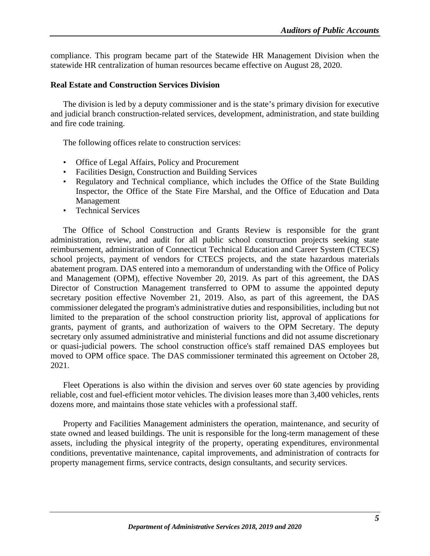compliance. This program became part of the Statewide HR Management Division when the statewide HR centralization of human resources became effective on August 28, 2020.

#### <span id="page-9-0"></span>**Real Estate and Construction Services Division**

The division is led by a deputy commissioner and is the state's primary division for executive and judicial branch construction-related services, development, administration, and state building and fire code training.

The following offices relate to construction services:

- Office of Legal Affairs, Policy and Procurement
- Facilities Design, Construction and Building Services
- Regulatory and Technical compliance, which includes the Office of the State Building Inspector, the Office of the State Fire Marshal, and the Office of Education and Data Management
- Technical Services

The Office of School Construction and Grants Review is responsible for the grant administration, review, and audit for all public school construction projects seeking state reimbursement, administration of Connecticut Technical Education and Career System (CTECS) school projects, payment of vendors for CTECS projects, and the state hazardous materials abatement program. DAS entered into a memorandum of understanding with the Office of Policy and Management (OPM), effective November 20, 2019. As part of this agreement, the DAS Director of Construction Management transferred to OPM to assume the appointed deputy secretary position effective November 21, 2019. Also, as part of this agreement, the DAS commissioner delegated the program's administrative duties and responsibilities, including but not limited to the preparation of the school construction priority list, approval of applications for grants, payment of grants, and authorization of waivers to the OPM Secretary. The deputy secretary only assumed administrative and ministerial functions and did not assume discretionary or quasi-judicial powers. The school construction office's staff remained DAS employees but moved to OPM office space. The DAS commissioner terminated this agreement on October 28, 2021.

Fleet Operations is also within the division and serves over 60 state agencies by providing reliable, cost and fuel-efficient motor vehicles. The division leases more than 3,400 vehicles, rents dozens more, and maintains those state vehicles with a professional staff.

Property and Facilities Management administers the operation, maintenance, and security of state owned and leased buildings. The unit is responsible for the long-term management of these assets, including the physical integrity of the property, operating expenditures, environmental conditions, preventative maintenance, capital improvements, and administration of contracts for property management firms, service contracts, design consultants, and security services.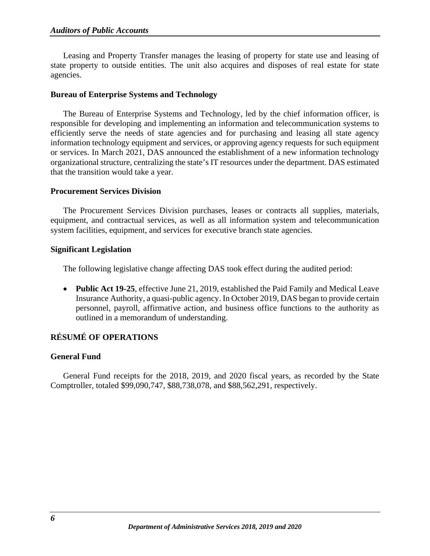Leasing and Property Transfer manages the leasing of property for state use and leasing of state property to outside entities. The unit also acquires and disposes of real estate for state agencies.

#### <span id="page-10-0"></span>**Bureau of Enterprise Systems and Technology**

The Bureau of Enterprise Systems and Technology, led by the chief information officer, is responsible for developing and implementing an information and telecommunication systems to efficiently serve the needs of state agencies and for purchasing and leasing all state agency information technology equipment and services, or approving agency requests for such equipment or services. In March 2021, DAS announced the establishment of a new information technology organizational structure, centralizing the state's IT resources under the department. DAS estimated that the transition would take a year.

#### <span id="page-10-1"></span>**Procurement Services Division**

The Procurement Services Division purchases, leases or contracts all supplies, materials, equipment, and contractual services, as well as all information system and telecommunication system facilities, equipment, and services for executive branch state agencies.

#### **Significant Legislation**

The following legislative change affecting DAS took effect during the audited period:

• **Public Act 19-25**, effective June 21, 2019, established the Paid Family and Medical Leave Insurance Authority, a quasi-public agency. In October 2019, DAS began to provide certain personnel, payroll, affirmative action, and business office functions to the authority as outlined in a memorandum of understanding.

# <span id="page-10-2"></span>**RÉSUMÉ OF OPERATIONS**

## <span id="page-10-3"></span>**General Fund**

General Fund receipts for the 2018, 2019, and 2020 fiscal years, as recorded by the State Comptroller, totaled \$99,090,747, \$88,738,078, and \$88,562,291, respectively.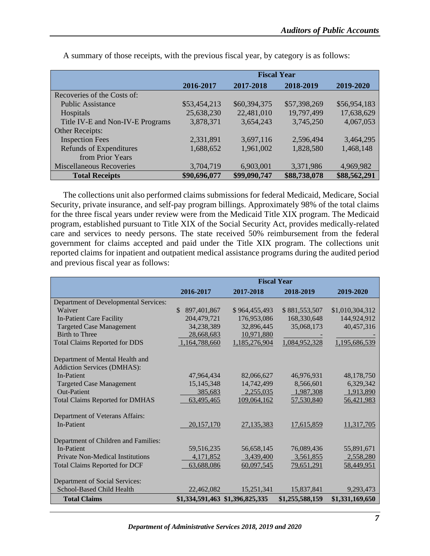|                                  | <b>Fiscal Year</b> |              |              |              |
|----------------------------------|--------------------|--------------|--------------|--------------|
|                                  | 2016-2017          | 2017-2018    | 2018-2019    | 2019-2020    |
| Recoveries of the Costs of:      |                    |              |              |              |
| <b>Public Assistance</b>         | \$53,454,213       | \$60,394,375 | \$57,398,269 | \$56,954,183 |
| <b>Hospitals</b>                 | 25,638,230         | 22,481,010   | 19,797,499   | 17,638,629   |
| Title IV-E and Non-IV-E Programs | 3,878,371          | 3,654,243    | 3,745,250    | 4,067,053    |
| Other Receipts:                  |                    |              |              |              |
| <b>Inspection Fees</b>           | 2,331,891          | 3,697,116    | 2,596,494    | 3,464,295    |
| Refunds of Expenditures          | 1,688,652          | 1,961,002    | 1,828,580    | 1,468,148    |
| from Prior Years                 |                    |              |              |              |
| <b>Miscellaneous Recoveries</b>  | 3,704,719          | 6,903,001    | 3,371,986    | 4,969,982    |
| <b>Total Receipts</b>            | \$90,696,077       | \$99,090,747 | \$88,738,078 | \$88,562,291 |

A summary of those receipts, with the previous fiscal year, by category is as follows:

The collections unit also performed claims submissions for federal Medicaid, Medicare, Social Security, private insurance, and self-pay program billings. Approximately 98% of the total claims for the three fiscal years under review were from the Medicaid Title XIX program. The Medicaid program, established pursuant to Title XIX of the Social Security Act, provides medically-related care and services to needy persons. The state received 50% reimbursement from the federal government for claims accepted and paid under the Title XIX program. The collections unit reported claims for inpatient and outpatient medical assistance programs during the audited period and previous fiscal year as follows:

|                                         | <b>Fiscal Year</b>           |                                 |                 |                 |
|-----------------------------------------|------------------------------|---------------------------------|-----------------|-----------------|
|                                         | 2016-2017                    | 2017-2018                       | 2018-2019       | 2019-2020       |
| Department of Developmental Services:   |                              |                                 |                 |                 |
| Waiver                                  | $\mathcal{S}$<br>897,401,867 | \$964,455,493                   | \$881,553,507   | \$1,010,304,312 |
| In-Patient Care Facility                | 204,479,721                  | 176,953,086                     | 168,330,648     | 144,924,912     |
| <b>Targeted Case Management</b>         | 34,238,389                   | 32,896,445                      | 35,068,173      | 40,457,316      |
| <b>Birth to Three</b>                   | 28,668,683                   | 10,971,880                      |                 |                 |
| <b>Total Claims Reported for DDS</b>    | 1,164,788,660                | 1,185,276,904                   | 1,084,952,328   | 1,195,686,539   |
| Department of Mental Health and         |                              |                                 |                 |                 |
| Addiction Services (DMHAS):             |                              |                                 |                 |                 |
| <b>In-Patient</b>                       | 47,964,434                   | 82,066,627                      | 46,976,931      | 48,178,750      |
| <b>Targeted Case Management</b>         | 15, 145, 348                 | 14,742,499                      | 8,566,601       | 6,329,342       |
| <b>Out-Patient</b>                      | 385,683                      | 2,255,035                       | 1,987,308       | 1,913,890       |
| <b>Total Claims Reported for DMHAS</b>  | 63,495,465                   | 109,064,162                     | 57,530,840      | 56,421,983      |
| Department of Veterans Affairs:         |                              |                                 |                 |                 |
| <b>In-Patient</b>                       | 20, 157, 170                 | 27, 135, 383                    | 17,615,859      | 11,317,705      |
| Department of Children and Families:    |                              |                                 |                 |                 |
| In-Patient                              | 59,516,235                   | 56,658,145                      | 76,089,436      | 55,891,671      |
| <b>Private Non-Medical Institutions</b> | 4,171,852                    | 3,439,400                       | 3,561,855       | 2,558,280       |
| <b>Total Claims Reported for DCF</b>    | 63,688,086                   | 60,097,545                      | 79,651,291      | 58,449,951      |
|                                         |                              |                                 |                 |                 |
| Department of Social Services:          |                              |                                 |                 |                 |
| School-Based Child Health               | 22,462,082                   | 15,251,341                      | 15,837,841      | 9,293,473       |
| <b>Total Claims</b>                     |                              | \$1,334,591,463 \$1,396,825,335 | \$1,255,588,159 | \$1,331,169,650 |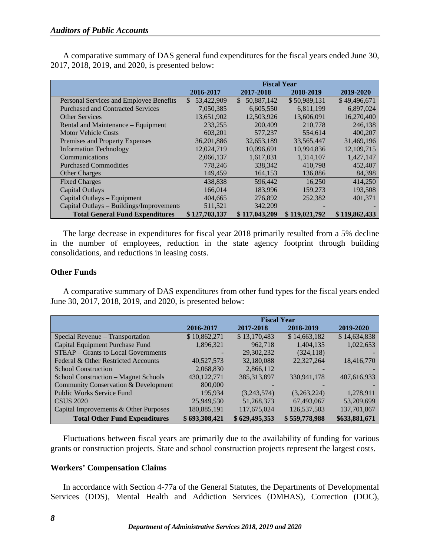A comparative summary of DAS general fund expenditures for the fiscal years ended June 30, 2017, 2018, 2019, and 2020, is presented below:

|                                          | <b>Fiscal Year</b> |                            |               |               |
|------------------------------------------|--------------------|----------------------------|---------------|---------------|
|                                          | 2016-2017          | 2017-2018                  | 2018-2019     | 2019-2020     |
| Personal Services and Employee Benefits  | 53,422,909<br>\$   | 50,887,142<br>$\mathbb{S}$ | \$50,989,131  | \$49,496,671  |
| <b>Purchased and Contracted Services</b> | 7,050,385          | 6,605,550                  | 6,811,199     | 6,897,024     |
| <b>Other Services</b>                    | 13,651,902         | 12,503,926                 | 13,606,091    | 16,270,400    |
| Rental and Maintenance - Equipment       | 233,255            | 200,409                    | 210,778       | 246,138       |
| <b>Motor Vehicle Costs</b>               | 603,201            | 577,237                    | 554,614       | 400,207       |
| Premises and Property Expenses           | 36, 201, 886       | 32,653,189                 | 33,565,447    | 31,469,196    |
| <b>Information Technology</b>            | 12,024,719         | 10,096,691                 | 10,994,836    | 12,109,715    |
| Communications                           | 2,066,137          | 1,617,031                  | 1,314,107     | 1,427,147     |
| <b>Purchased Commodities</b>             | 778,246            | 338,342                    | 410.798       | 452,407       |
| <b>Other Charges</b>                     | 149,459            | 164,153                    | 136,886       | 84,398        |
| <b>Fixed Charges</b>                     | 438.838            | 596,442                    | 16,250        | 414,250       |
| <b>Capital Outlays</b>                   | 166,014            | 183,996                    | 159,273       | 193,508       |
| Capital Outlays – Equipment              | 404,665            | 276,892                    | 252,382       | 401,371       |
| Capital Outlays – Buildings/Improvements | 511,521            | 342,209                    |               |               |
| <b>Total General Fund Expenditures</b>   | \$127,703,137      | \$117,043,209              | \$119,021,792 | \$119,862,433 |

The large decrease in expenditures for fiscal year 2018 primarily resulted from a 5% decline in the number of employees, reduction in the state agency footprint through building consolidations, and reductions in leasing costs.

# <span id="page-12-0"></span>**Other Funds**

A comparative summary of DAS expenditures from other fund types for the fiscal years ended June 30, 2017, 2018, 2019, and 2020, is presented below:

|                                            | <b>Fiscal Year</b> |               |               |               |
|--------------------------------------------|--------------------|---------------|---------------|---------------|
|                                            | 2016-2017          | 2017-2018     | 2018-2019     | 2019-2020     |
| Special Revenue - Transportation           | \$10,862,271       | \$13,170,483  | \$14,663,182  | \$14,634,838  |
| Capital Equipment Purchase Fund            | 1,896,321          | 962,718       | 1,404,135     | 1,022,653     |
| <b>STEAP</b> – Grants to Local Governments |                    | 29,302,232    | (324, 118)    |               |
| Federal & Other Restricted Accounts        | 40,527,573         | 32,180,088    | 22,327,264    | 18,416,770    |
| <b>School Construction</b>                 | 2,068,830          | 2,866,112     |               |               |
| School Construction – Magnet Schools       | 430, 122, 771      | 385, 313, 897 | 330,941,178   | 407.616.933   |
| Community Conservation & Development       | 800,000            |               |               |               |
| <b>Public Works Service Fund</b>           | 195.934            | (3,243,574)   | (3,263,224)   | 1,278,911     |
| <b>CSUS 2020</b>                           | 25,949,530         | 51,268,373    | 67,493,067    | 53,209,699    |
| Capital Improvements & Other Purposes      | 180,885,191        | 117,675,024   | 126,537,503   | 137,701,867   |
| <b>Total Other Fund Expenditures</b>       | \$693,308,421      | \$629,495,353 | \$559,778,988 | \$633,881,671 |

Fluctuations between fiscal years are primarily due to the availability of funding for various grants or construction projects. State and school construction projects represent the largest costs.

## <span id="page-12-1"></span>**Workers' Compensation Claims**

In accordance with Section 4-77a of the General Statutes, the Departments of Developmental Services (DDS), Mental Health and Addiction Services (DMHAS), Correction (DOC),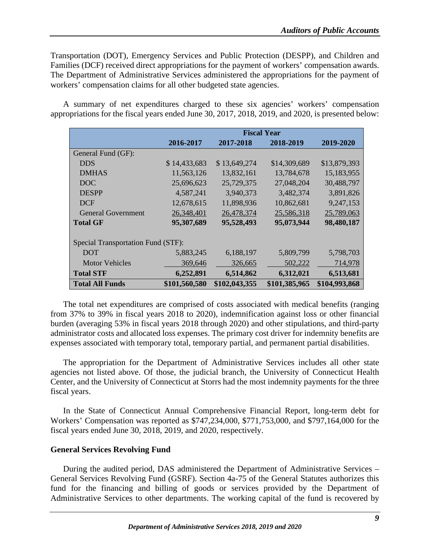Transportation (DOT), Emergency Services and Public Protection (DESPP), and Children and Families (DCF) received direct appropriations for the payment of workers' compensation awards. The Department of Administrative Services administered the appropriations for the payment of workers' compensation claims for all other budgeted state agencies.

A summary of net expenditures charged to these six agencies' workers' compensation appropriations for the fiscal years ended June 30, 2017, 2018, 2019, and 2020, is presented below:

|                                    | <b>Fiscal Year</b> |               |               |               |
|------------------------------------|--------------------|---------------|---------------|---------------|
|                                    | 2016-2017          | 2017-2018     | 2018-2019     | 2019-2020     |
| General Fund (GF):                 |                    |               |               |               |
| <b>DDS</b>                         | \$14,433,683       | \$13,649,274  | \$14,309,689  | \$13,879,393  |
| <b>DMHAS</b>                       | 11,563,126         | 13,832,161    | 13,784,678    | 15,183,955    |
| <b>DOC</b>                         | 25,696,623         | 25,729,375    | 27,048,204    | 30,488,797    |
| <b>DESPP</b>                       | 4,587,241          | 3,940,373     | 3,482,374     | 3,891,826     |
| <b>DCF</b>                         | 12,678,615         | 11,898,936    | 10,862,681    | 9,247,153     |
| <b>General Government</b>          | 26,348,401         | 26,478,374    | 25,586,318    | 25,789,063    |
| <b>Total GF</b>                    | 95,307,689         | 95,528,493    | 95,073,944    | 98,480,187    |
| Special Transportation Fund (STF): |                    |               |               |               |
| <b>DOT</b>                         | 5,883,245          | 6,188,197     | 5,809,799     | 5,798,703     |
| <b>Motor Vehicles</b>              | 369,646            | 326,665       | 502,222       | 714,978       |
| <b>Total STF</b>                   | 6,252,891          | 6,514,862     | 6,312,021     | 6,513,681     |
| <b>Total All Funds</b>             | \$101,560,580      | \$102,043,355 | \$101,385,965 | \$104,993,868 |

The total net expenditures are comprised of costs associated with medical benefits (ranging from 37% to 39% in fiscal years 2018 to 2020), indemnification against loss or other financial burden (averaging 53% in fiscal years 2018 through 2020) and other stipulations, and third-party administrator costs and allocated loss expenses. The primary cost driver for indemnity benefits are expenses associated with temporary total, temporary partial, and permanent partial disabilities.

The appropriation for the Department of Administrative Services includes all other state agencies not listed above. Of those, the judicial branch, the University of Connecticut Health Center, and the University of Connecticut at Storrs had the most indemnity payments for the three fiscal years.

In the State of Connecticut Annual Comprehensive Financial Report, long-term debt for Workers' Compensation was reported as \$747,234,000, \$771,753,000, and \$797,164,000 for the fiscal years ended June 30, 2018, 2019, and 2020, respectively.

# <span id="page-13-0"></span>**General Services Revolving Fund**

During the audited period, DAS administered the Department of Administrative Services – General Services Revolving Fund (GSRF). Section 4a-75 of the General Statutes authorizes this fund for the financing and billing of goods or services provided by the Department of Administrative Services to other departments. The working capital of the fund is recovered by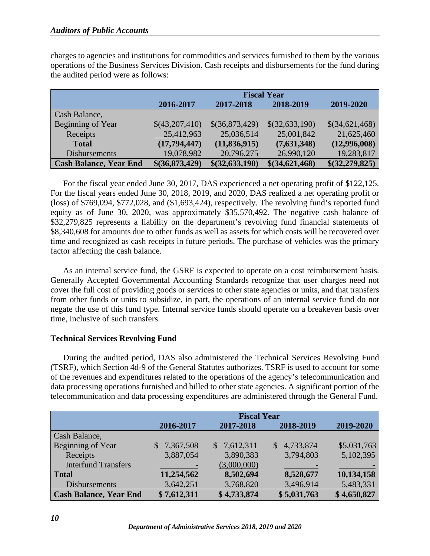charges to agencies and institutions for commodities and services furnished to them by the various operations of the Business Services Division. Cash receipts and disbursements for the fund during the audited period were as follows:

|                               | <b>Fiscal Year</b> |                   |                |                |
|-------------------------------|--------------------|-------------------|----------------|----------------|
|                               | 2016-2017          | 2017-2018         | 2018-2019      | 2019-2020      |
| Cash Balance,                 |                    |                   |                |                |
| Beginning of Year             | \$(43,207,410)     | \$(36,873,429)    | \$(32,633,190) | \$(34,621,468) |
| Receipts                      | 25,412,963         | 25,036,514        | 25,001,842     | 21,625,460     |
| <b>Total</b>                  | (17,794,447)       | (11, 836, 915)    | (7,631,348)    | (12,996,008)   |
| <b>Disbursements</b>          | 19,078,982         | 20,796,275        | 26,990,120     | 19,283,817     |
| <b>Cash Balance, Year End</b> | \$ (36,873,429)    | \$ (32, 633, 190) | \$(34,621,468) | \$(32,279,825) |

For the fiscal year ended June 30, 2017, DAS experienced a net operating profit of \$122,125. For the fiscal years ended June 30, 2018, 2019, and 2020, DAS realized a net operating profit or (loss) of \$769,094, \$772,028, and (\$1,693,424), respectively. The revolving fund's reported fund equity as of June 30, 2020, was approximately \$35,570,492. The negative cash balance of \$32,279,825 represents a liability on the department's revolving fund financial statements of \$8,340,608 for amounts due to other funds as well as assets for which costs will be recovered over time and recognized as cash receipts in future periods. The purchase of vehicles was the primary factor affecting the cash balance.

As an internal service fund, the GSRF is expected to operate on a cost reimbursement basis. Generally Accepted Governmental Accounting Standards recognize that user charges need not cover the full cost of providing goods or services to other state agencies or units, and that transfers from other funds or units to subsidize, in part, the operations of an internal service fund do not negate the use of this fund type. Internal service funds should operate on a breakeven basis over time, inclusive of such transfers.

## <span id="page-14-0"></span>**Technical Services Revolving Fund**

During the audited period, DAS also administered the Technical Services Revolving Fund (TSRF), which Section 4d-9 of the General Statutes authorizes. TSRF is used to account for some of the revenues and expenditures related to the operations of the agency's telecommunication and data processing operations furnished and billed to other state agencies. A significant portion of the telecommunication and data processing expenditures are administered through the General Fund.

|                               | <b>Fiscal Year</b> |             |                 |             |
|-------------------------------|--------------------|-------------|-----------------|-------------|
|                               | 2016-2017          | 2017-2018   | 2018-2019       | 2019-2020   |
| Cash Balance,                 |                    |             |                 |             |
| Beginning of Year             | \$7,367,508        | \$7,612,311 | 4,733,874<br>S. | \$5,031,763 |
| Receipts                      | 3,887,054          | 3,890,383   | 3,794,803       | 5,102,395   |
| <b>Interfund Transfers</b>    |                    | (3,000,000) |                 |             |
| <b>Total</b>                  | 11,254,562         | 8,502,694   | 8,528,677       | 10,134,158  |
| <b>Disbursements</b>          | 3,642,251          | 3,768,820   | 3,496,914       | 5,483,331   |
| <b>Cash Balance, Year End</b> | \$7,612,311        | \$4,733,874 | \$5,031,763     | \$4,650,827 |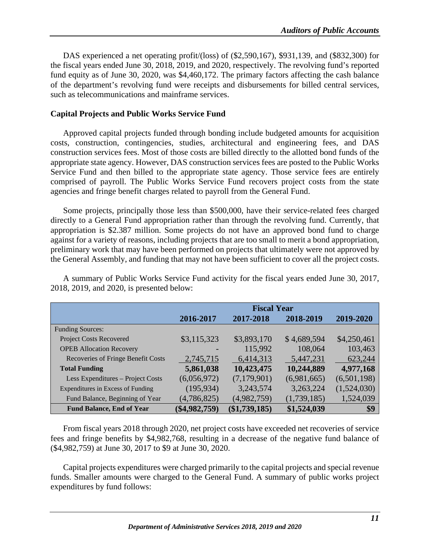DAS experienced a net operating profit/(loss) of (\$2,590,167), \$931,139, and (\$832,300) for the fiscal years ended June 30, 2018, 2019, and 2020, respectively. The revolving fund's reported fund equity as of June 30, 2020, was \$4,460,172. The primary factors affecting the cash balance of the department's revolving fund were receipts and disbursements for billed central services, such as telecommunications and mainframe services.

# <span id="page-15-0"></span>**Capital Projects and Public Works Service Fund**

Approved capital projects funded through bonding include budgeted amounts for acquisition costs, construction, contingencies, studies, architectural and engineering fees, and DAS construction services fees. Most of those costs are billed directly to the allotted bond funds of the appropriate state agency. However, DAS construction services fees are posted to the Public Works Service Fund and then billed to the appropriate state agency. Those service fees are entirely comprised of payroll. The Public Works Service Fund recovers project costs from the state agencies and fringe benefit charges related to payroll from the General Fund.

Some projects, principally those less than \$500,000, have their service-related fees charged directly to a General Fund appropriation rather than through the revolving fund. Currently, that appropriation is \$2.387 million. Some projects do not have an approved bond fund to charge against for a variety of reasons, including projects that are too small to merit a bond appropriation, preliminary work that may have been performed on projects that ultimately were not approved by the General Assembly, and funding that may not have been sufficient to cover all the project costs.

|                                    |                 | <b>Fiscal Year</b> |             |             |
|------------------------------------|-----------------|--------------------|-------------|-------------|
|                                    | 2016-2017       | 2017-2018          | 2018-2019   | 2019-2020   |
| <b>Funding Sources:</b>            |                 |                    |             |             |
| <b>Project Costs Recovered</b>     | \$3,115,323     | \$3,893,170        | \$4,689,594 | \$4,250,461 |
| <b>OPEB Allocation Recovery</b>    |                 | 115,992            | 108,064     | 103,463     |
| Recoveries of Fringe Benefit Costs | 2,745,715       | 6,414,313          | 5,447,231   | 623,244     |
| <b>Total Funding</b>               | 5,861,038       | 10,423,475         | 10,244,889  | 4,977,168   |
| Less Expenditures - Project Costs  | (6,056,972)     | (7,179,901)        | (6,981,665) | (6,501,198) |
| Expenditures in Excess of Funding  | (195, 934)      | 3,243,574          | 3,263,224   | (1,524,030) |
| Fund Balance, Beginning of Year    | (4,786,825)     | (4,982,759)        | (1,739,185) | 1,524,039   |
| <b>Fund Balance, End of Year</b>   | $(\$4,982,759)$ | $(\$1,739,185)$    | \$1,524,039 | \$9         |

A summary of Public Works Service Fund activity for the fiscal years ended June 30, 2017, 2018, 2019, and 2020, is presented below:

From fiscal years 2018 through 2020, net project costs have exceeded net recoveries of service fees and fringe benefits by \$4,982,768, resulting in a decrease of the negative fund balance of (\$4,982,759) at June 30, 2017 to \$9 at June 30, 2020.

Capital projects expenditures were charged primarily to the capital projects and special revenue funds. Smaller amounts were charged to the General Fund. A summary of public works project expenditures by fund follows: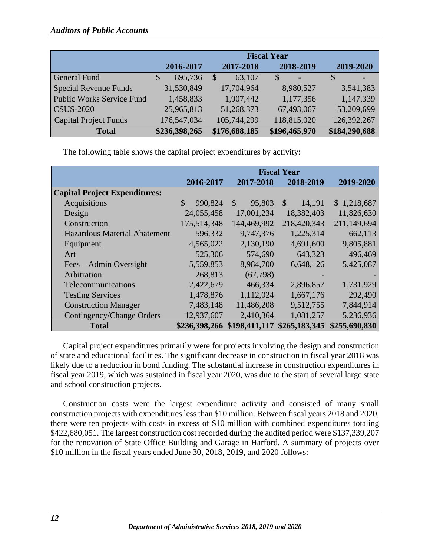|                                  |               |               | <b>Fiscal Year</b> |               |
|----------------------------------|---------------|---------------|--------------------|---------------|
|                                  | 2016-2017     | 2017-2018     | 2018-2019          | 2019-2020     |
| <b>General Fund</b>              | 895,736<br>\$ | 63,107        | $\mathcal{S}$      |               |
| Special Revenue Funds            | 31,530,849    | 17,704,964    | 8,980,527          | 3,541,383     |
| <b>Public Works Service Fund</b> | 1,458,833     | 1,907,442     | 1,177,356          | 1,147,339     |
| <b>CSUS-2020</b>                 | 25,965,813    | 51,268,373    | 67,493,067         | 53,209,699    |
| Capital Project Funds            | 176,547,034   | 105,744,299   | 118,815,020        | 126,392,267   |
| <b>Total</b>                     | \$236,398,265 | \$176,688,185 | \$196,465,970      | \$184,290,688 |

The following table shows the capital project expenditures by activity:

|                                      |                          |                             | <b>Fiscal Year</b> |               |
|--------------------------------------|--------------------------|-----------------------------|--------------------|---------------|
|                                      | 2016-2017                | 2017-2018                   | 2018-2019          | 2019-2020     |
| <b>Capital Project Expenditures:</b> |                          |                             |                    |               |
| Acquisitions                         | $\mathcal{S}$<br>990,824 | \$<br>95,803                | 14,191<br>\$       | \$1,218,687   |
| Design                               | 24,055,458               | 17,001,234                  | 18,382,403         | 11,826,630    |
| Construction                         | 175,514,348              | 144,469,992                 | 218,420,343        | 211,149,694   |
| <b>Hazardous Material Abatement</b>  | 596,332                  | 9,747,376                   | 1,225,314          | 662,113       |
| Equipment                            | 4,565,022                | 2,130,190                   | 4,691,600          | 9,805,881     |
| Art                                  | 525,306                  | 574,690                     | 643,323            | 496,469       |
| Fees – Admin Oversight               | 5,559,853                | 8,984,700                   | 6,648,126          | 5,425,087     |
| Arbitration                          | 268,813                  | (67,798)                    |                    |               |
| Telecommunications                   | 2,422,679                | 466,334                     | 2,896,857          | 1,731,929     |
| <b>Testing Services</b>              | 1,478,876                | 1,112,024                   | 1,667,176          | 292,490       |
| <b>Construction Manager</b>          | 7,483,148                | 11,486,208                  | 9,512,755          | 7,844,914     |
| <b>Contingency/Change Orders</b>     | 12,937,607               | 2,410,364                   | 1,081,257          | 5,236,936     |
| <b>Total</b>                         |                          | \$236,398,266 \$198,411,117 | \$265,183,345      | \$255,690,830 |

Capital project expenditures primarily were for projects involving the design and construction of state and educational facilities. The significant decrease in construction in fiscal year 2018 was likely due to a reduction in bond funding. The substantial increase in construction expenditures in fiscal year 2019, which was sustained in fiscal year 2020, was due to the start of several large state and school construction projects.

Construction costs were the largest expenditure activity and consisted of many small construction projects with expenditures less than \$10 million. Between fiscal years 2018 and 2020, there were ten projects with costs in excess of \$10 million with combined expenditures totaling \$422,680,051. The largest construction cost recorded during the audited period were \$137,339,207 for the renovation of State Office Building and Garage in Harford. A summary of projects over \$10 million in the fiscal years ended June 30, 2018, 2019, and 2020 follows: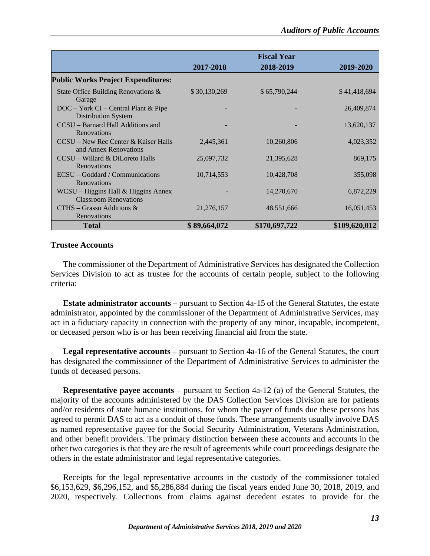|                                                                     |              | <b>Fiscal Year</b> |               |
|---------------------------------------------------------------------|--------------|--------------------|---------------|
|                                                                     | 2017-2018    | 2018-2019          | 2019-2020     |
| <b>Public Works Project Expenditures:</b>                           |              |                    |               |
| State Office Building Renovations &<br>Garage                       | \$30,130,269 | \$65,790,244       | \$41,418,694  |
| $DOC - York CI - Central Plant & Pipe$<br>Distribution System       |              |                    | 26,409,874    |
| CCSU – Barnard Hall Additions and<br><b>Renovations</b>             |              |                    | 13,620,137    |
| CCSU – New Rec Center & Kaiser Halls<br>and Annex Renovations       | 2,445,361    | 10,260,806         | 4,023,352     |
| CCSU - Willard & DiLoreto Halls<br>Renovations                      | 25,097,732   | 21,395,628         | 869,175       |
| ECSU – Goddard / Communications<br><b>Renovations</b>               | 10,714,553   | 10,428,708         | 355,098       |
| WCSU – Higgins Hall & Higgins Annex<br><b>Classroom Renovations</b> |              | 14,270,670         | 6,872,229     |
| $CTHS - Grasso$ Additions &<br>Renovations                          | 21,276,157   | 48,551,666         | 16,051,453    |
| <b>Total</b>                                                        | \$89,664,072 | \$170,697,722      | \$109,620,012 |

# <span id="page-17-0"></span>**Trustee Accounts**

The commissioner of the Department of Administrative Services has designated the Collection Services Division to act as trustee for the accounts of certain people, subject to the following criteria:

**Estate administrator accounts** – pursuant to Section 4a-15 of the General Statutes, the estate administrator, appointed by the commissioner of the Department of Administrative Services, may act in a fiduciary capacity in connection with the property of any minor, incapable, incompetent, or deceased person who is or has been receiving financial aid from the state.

**Legal representative accounts** – pursuant to Section 4a-16 of the General Statutes, the court has designated the commissioner of the Department of Administrative Services to administer the funds of deceased persons.

**Representative payee accounts** – pursuant to Section 4a-12 (a) of the General Statutes, the majority of the accounts administered by the DAS Collection Services Division are for patients and/or residents of state humane institutions, for whom the payer of funds due these persons has agreed to permit DAS to act as a conduit of those funds. These arrangements usually involve DAS as named representative payee for the Social Security Administration, Veterans Administration, and other benefit providers. The primary distinction between these accounts and accounts in the other two categories is that they are the result of agreements while court proceedings designate the others in the estate administrator and legal representative categories.

Receipts for the legal representative accounts in the custody of the commissioner totaled \$6,153,629, \$6,296,152, and \$5,286,884 during the fiscal years ended June 30, 2018, 2019, and 2020, respectively. Collections from claims against decedent estates to provide for the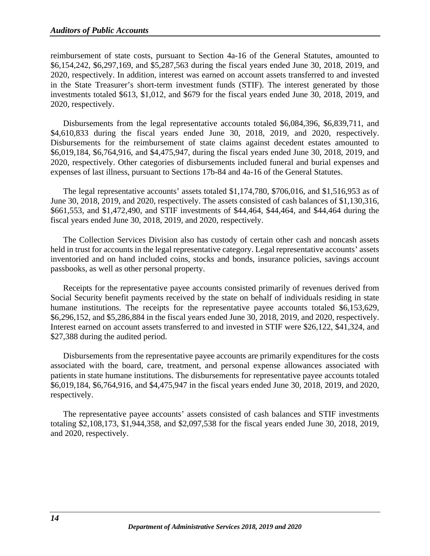reimbursement of state costs, pursuant to Section 4a-16 of the General Statutes, amounted to \$6,154,242, \$6,297,169, and \$5,287,563 during the fiscal years ended June 30, 2018, 2019, and 2020, respectively. In addition, interest was earned on account assets transferred to and invested in the State Treasurer's short-term investment funds (STIF). The interest generated by those investments totaled \$613, \$1,012, and \$679 for the fiscal years ended June 30, 2018, 2019, and 2020, respectively.

Disbursements from the legal representative accounts totaled \$6,084,396, \$6,839,711, and \$4,610,833 during the fiscal years ended June 30, 2018, 2019, and 2020, respectively. Disbursements for the reimbursement of state claims against decedent estates amounted to \$6,019,184, \$6,764,916, and \$4,475,947, during the fiscal years ended June 30, 2018, 2019, and 2020, respectively. Other categories of disbursements included funeral and burial expenses and expenses of last illness, pursuant to Sections 17b-84 and 4a-16 of the General Statutes.

The legal representative accounts' assets totaled \$1,174,780, \$706,016, and \$1,516,953 as of June 30, 2018, 2019, and 2020, respectively. The assets consisted of cash balances of \$1,130,316, \$661,553, and \$1,472,490, and STIF investments of \$44,464, \$44,464, and \$44,464 during the fiscal years ended June 30, 2018, 2019, and 2020, respectively.

The Collection Services Division also has custody of certain other cash and noncash assets held in trust for accounts in the legal representative category. Legal representative accounts' assets inventoried and on hand included coins, stocks and bonds, insurance policies, savings account passbooks, as well as other personal property.

Receipts for the representative payee accounts consisted primarily of revenues derived from Social Security benefit payments received by the state on behalf of individuals residing in state humane institutions. The receipts for the representative payee accounts totaled \$6,153,629, \$6,296,152, and \$5,286,884 in the fiscal years ended June 30, 2018, 2019, and 2020, respectively. Interest earned on account assets transferred to and invested in STIF were \$26,122, \$41,324, and \$27,388 during the audited period.

Disbursements from the representative payee accounts are primarily expenditures for the costs associated with the board, care, treatment, and personal expense allowances associated with patients in state humane institutions. The disbursements for representative payee accounts totaled \$6,019,184, \$6,764,916, and \$4,475,947 in the fiscal years ended June 30, 2018, 2019, and 2020, respectively.

The representative payee accounts' assets consisted of cash balances and STIF investments totaling \$2,108,173, \$1,944,358, and \$2,097,538 for the fiscal years ended June 30, 2018, 2019, and 2020, respectively.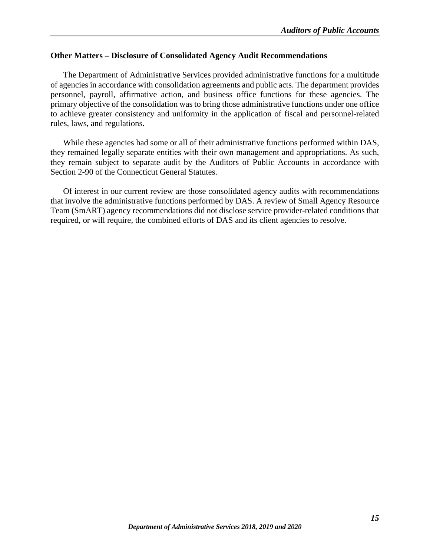## <span id="page-19-0"></span>**Other Matters – Disclosure of Consolidated Agency Audit Recommendations**

The Department of Administrative Services provided administrative functions for a multitude of agencies in accordance with consolidation agreements and public acts. The department provides personnel, payroll, affirmative action, and business office functions for these agencies. The primary objective of the consolidation was to bring those administrative functions under one office to achieve greater consistency and uniformity in the application of fiscal and personnel-related rules, laws, and regulations.

While these agencies had some or all of their administrative functions performed within DAS, they remained legally separate entities with their own management and appropriations. As such, they remain subject to separate audit by the Auditors of Public Accounts in accordance with Section 2-90 of the Connecticut General Statutes.

Of interest in our current review are those consolidated agency audits with recommendations that involve the administrative functions performed by DAS. A review of Small Agency Resource Team (SmART) agency recommendations did not disclose service provider-related conditions that required, or will require, the combined efforts of DAS and its client agencies to resolve.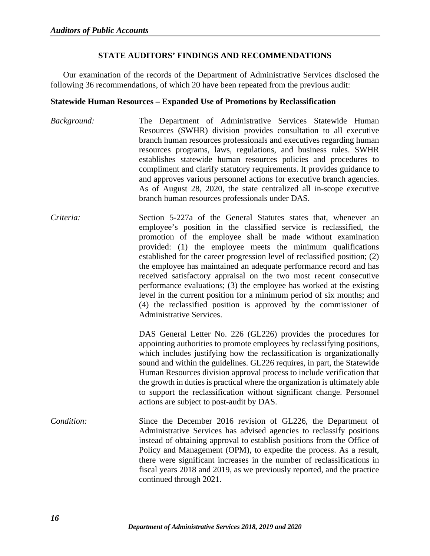# **STATE AUDITORS' FINDINGS AND RECOMMENDATIONS**

<span id="page-20-0"></span>Our examination of the records of the Department of Administrative Services disclosed the following 36 recommendations, of which 20 have been repeated from the previous audit:

## <span id="page-20-1"></span>**Statewide Human Resources – Expanded Use of Promotions by Reclassification**

- *Background:* The Department of Administrative Services Statewide Human Resources (SWHR) division provides consultation to all executive branch human resources professionals and executives regarding human resources programs, laws, regulations, and business rules. SWHR establishes statewide human resources policies and procedures to compliment and clarify statutory requirements. It provides guidance to and approves various personnel actions for executive branch agencies. As of August 28, 2020, the state centralized all in-scope executive branch human resources professionals under DAS.
- *Criteria:* Section 5-227a of the General Statutes states that, whenever an employee's position in the classified service is reclassified, the promotion of the employee shall be made without examination provided: (1) the employee meets the minimum qualifications established for the career progression level of reclassified position; (2) the employee has maintained an adequate performance record and has received satisfactory appraisal on the two most recent consecutive performance evaluations; (3) the employee has worked at the existing level in the current position for a minimum period of six months; and (4) the reclassified position is approved by the commissioner of Administrative Services.

DAS General Letter No. 226 (GL226) provides the procedures for appointing authorities to promote employees by reclassifying positions, which includes justifying how the reclassification is organizationally sound and within the guidelines. GL226 requires, in part, the Statewide Human Resources division approval process to include verification that the growth in duties is practical where the organization is ultimately able to support the reclassification without significant change. Personnel actions are subject to post-audit by DAS.

*Condition:* Since the December 2016 revision of GL226, the Department of Administrative Services has advised agencies to reclassify positions instead of obtaining approval to establish positions from the Office of Policy and Management (OPM), to expedite the process. As a result, there were significant increases in the number of reclassifications in fiscal years 2018 and 2019, as we previously reported, and the practice continued through 2021.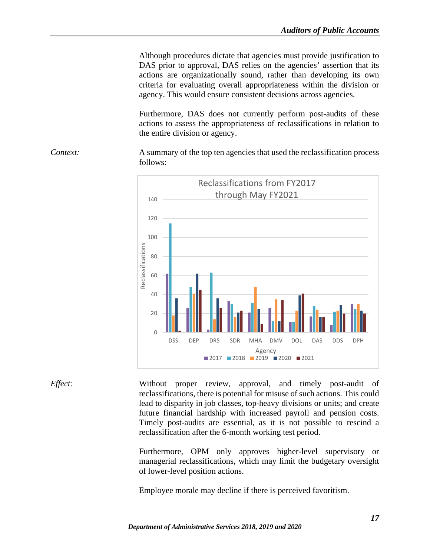Although procedures dictate that agencies must provide justification to DAS prior to approval, DAS relies on the agencies' assertion that its actions are organizationally sound, rather than developing its own criteria for evaluating overall appropriateness within the division or agency. This would ensure consistent decisions across agencies.

Furthermore, DAS does not currently perform post-audits of these actions to assess the appropriateness of reclassifications in relation to the entire division or agency.

*Context:* A summary of the top ten agencies that used the reclassification process follows:



*Effect:* Without proper review, approval, and timely post-audit of reclassifications, there is potential for misuse of such actions. This could lead to disparity in job classes, top-heavy divisions or units; and create future financial hardship with increased payroll and pension costs. Timely post-audits are essential, as it is not possible to rescind a reclassification after the 6-month working test period.

> Furthermore, OPM only approves higher-level supervisory or managerial reclassifications, which may limit the budgetary oversight of lower-level position actions.

Employee morale may decline if there is perceived favoritism.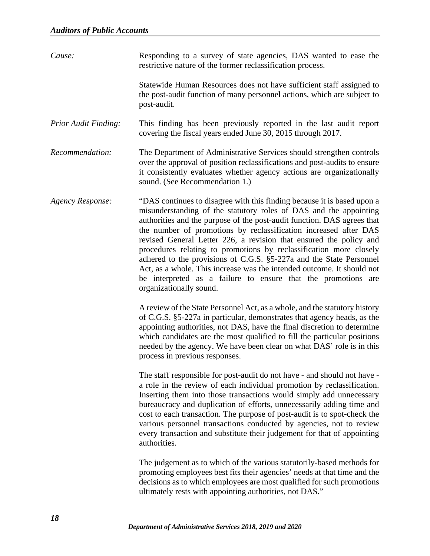*Cause:* Responding to a survey of state agencies, DAS wanted to ease the restrictive nature of the former reclassification process. Statewide Human Resources does not have sufficient staff assigned to the post-audit function of many personnel actions, which are subject to post-audit. *Prior Audit Finding:* This finding has been previously reported in the last audit report covering the fiscal years ended June 30, 2015 through 2017. *Recommendation:* The Department of Administrative Services should strengthen controls over the approval of position reclassifications and post-audits to ensure it consistently evaluates whether agency actions are organizationally sound. (See Recommendation 1.) *Agency Response:* "DAS continues to disagree with this finding because it is based upon a misunderstanding of the statutory roles of DAS and the appointing authorities and the purpose of the post-audit function. DAS agrees that the number of promotions by reclassification increased after DAS revised General Letter 226, a revision that ensured the policy and procedures relating to promotions by reclassification more closely adhered to the provisions of C.G.S. §5-227a and the State Personnel Act, as a whole. This increase was the intended outcome. It should not be interpreted as a failure to ensure that the promotions are organizationally sound. A review of the State Personnel Act, as a whole, and the statutory history of C.G.S. §5-227a in particular, demonstrates that agency heads, as the appointing authorities, not DAS, have the final discretion to determine which candidates are the most qualified to fill the particular positions needed by the agency. We have been clear on what DAS' role is in this process in previous responses. The staff responsible for post-audit do not have - and should not have a role in the review of each individual promotion by reclassification. Inserting them into those transactions would simply add unnecessary bureaucracy and duplication of efforts, unnecessarily adding time and cost to each transaction. The purpose of post-audit is to spot-check the various personnel transactions conducted by agencies, not to review every transaction and substitute their judgement for that of appointing authorities. The judgement as to which of the various statutorily-based methods for promoting employees best fits their agencies' needs at that time and the decisions as to which employees are most qualified for such promotions ultimately rests with appointing authorities, not DAS."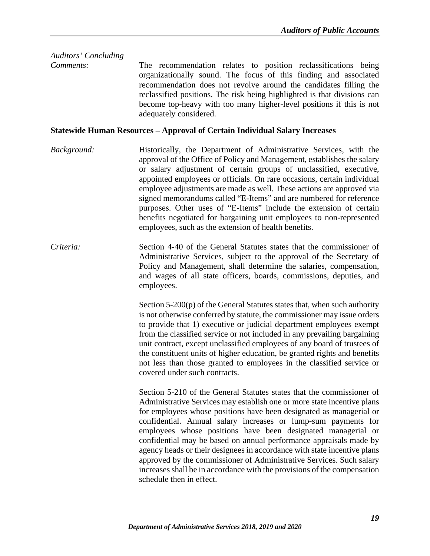# *Auditors' Concluding*

*Comments:* The recommendation relates to position reclassifications being organizationally sound. The focus of this finding and associated recommendation does not revolve around the candidates filling the reclassified positions. The risk being highlighted is that divisions can become top-heavy with too many higher-level positions if this is not adequately considered.

## <span id="page-23-0"></span>**Statewide Human Resources – Approval of Certain Individual Salary Increases**

- *Background:* Historically, the Department of Administrative Services, with the approval of the Office of Policy and Management, establishes the salary or salary adjustment of certain groups of unclassified, executive, appointed employees or officials. On rare occasions, certain individual employee adjustments are made as well. These actions are approved via signed memorandums called "E-Items" and are numbered for reference purposes. Other uses of "E-Items" include the extension of certain benefits negotiated for bargaining unit employees to non-represented employees, such as the extension of health benefits.
- *Criteria:* Section 4-40 of the General Statutes states that the commissioner of Administrative Services, subject to the approval of the Secretary of Policy and Management, shall determine the salaries, compensation, and wages of all state officers, boards, commissions, deputies, and employees.

Section 5-200(p) of the General Statutes states that, when such authority is not otherwise conferred by statute, the commissioner may issue orders to provide that 1) executive or judicial department employees exempt from the classified service or not included in any prevailing bargaining unit contract, except unclassified employees of any board of trustees of the constituent units of higher education, be granted rights and benefits not less than those granted to employees in the classified service or covered under such contracts.

Section 5-210 of the General Statutes states that the commissioner of Administrative Services may establish one or more state incentive plans for employees whose positions have been designated as managerial or confidential. Annual salary increases or lump-sum payments for employees whose positions have been designated managerial or confidential may be based on annual performance appraisals made by agency heads or their designees in accordance with state incentive plans approved by the commissioner of Administrative Services. Such salary increases shall be in accordance with the provisions of the compensation schedule then in effect.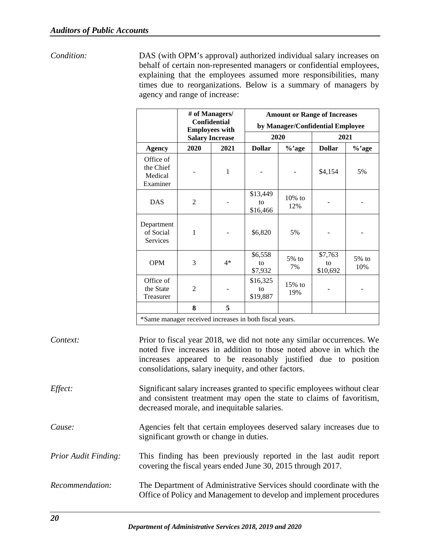*Condition:* DAS (with OPM's approval) authorized individual salary increases on behalf of certain non-represented managers or confidential employees, explaining that the employees assumed more responsibilities, many

|                                               | agency and range of increase:<br># of Managers/<br><b>Confidential</b><br><b>Employees with</b> |                        |                            | times due to reorganizations. Below is a summary of managers by<br><b>Amount or Range of Increases</b><br>by Manager/Confidential Employee |                           |              |  |  |  |
|-----------------------------------------------|-------------------------------------------------------------------------------------------------|------------------------|----------------------------|--------------------------------------------------------------------------------------------------------------------------------------------|---------------------------|--------------|--|--|--|
|                                               |                                                                                                 | <b>Salary Increase</b> | 2020                       |                                                                                                                                            | 2021                      |              |  |  |  |
| <b>Agency</b>                                 | 2020                                                                                            | 2021                   | <b>Dollar</b>              | %'age                                                                                                                                      | <b>Dollar</b>             | %'age        |  |  |  |
| Office of<br>the Chief<br>Medical<br>Examiner |                                                                                                 | $\mathbf{1}$           |                            |                                                                                                                                            | \$4,154                   | 5%           |  |  |  |
| <b>DAS</b>                                    | $\overline{2}$                                                                                  |                        | \$13,449<br>to<br>\$16,466 | $10\%$ to<br>12%                                                                                                                           |                           |              |  |  |  |
| Department<br>of Social<br>Services           | 1                                                                                               |                        | \$6,820                    | 5%                                                                                                                                         |                           |              |  |  |  |
| <b>OPM</b>                                    | 3                                                                                               | $4*$                   | \$6,558<br>to<br>\$7,932   | $5%$ to<br>7%                                                                                                                              | \$7,763<br>to<br>\$10,692 | 5% to<br>10% |  |  |  |
| Office of<br>the State<br>Treasurer           | $\overline{2}$                                                                                  |                        | \$16,325<br>to<br>\$19,887 | $15%$ to<br>19%                                                                                                                            |                           |              |  |  |  |

\*Same manager received increases in both fiscal years.

**8 5**

| Context:                    | Prior to fiscal year 2018, we did not note any similar occurrences. We<br>noted five increases in addition to those noted above in which the<br>increases appeared to be reasonably justified due to position<br>consolidations, salary inequity, and other factors. |
|-----------------------------|----------------------------------------------------------------------------------------------------------------------------------------------------------------------------------------------------------------------------------------------------------------------|
| <i>Effect:</i>              | Significant salary increases granted to specific employees without clear<br>and consistent treatment may open the state to claims of favoritism,<br>decreased morale, and inequitable salaries.                                                                      |
| Cause:                      | Agencies felt that certain employees deserved salary increases due to<br>significant growth or change in duties.                                                                                                                                                     |
| <b>Prior Audit Finding:</b> | This finding has been previously reported in the last audit report<br>covering the fiscal years ended June 30, 2015 through 2017.                                                                                                                                    |
| Recommendation:             | The Department of Administrative Services should coordinate with the<br>Office of Policy and Management to develop and implement procedures                                                                                                                          |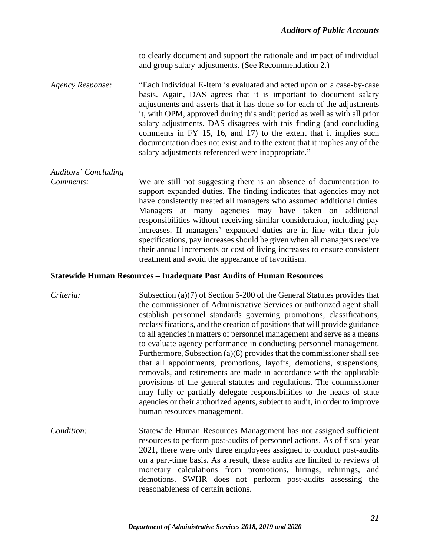to clearly document and support the rationale and impact of individual and group salary adjustments. (See Recommendation 2.)

*Agency Response:* "Each individual E-Item is evaluated and acted upon on a case-by-case basis. Again, DAS agrees that it is important to document salary adjustments and asserts that it has done so for each of the adjustments it, with OPM, approved during this audit period as well as with all prior salary adjustments. DAS disagrees with this finding (and concluding comments in FY 15, 16, and 17) to the extent that it implies such documentation does not exist and to the extent that it implies any of the salary adjustments referenced were inappropriate."

## *Auditors' Concluding*

*Comments:* We are still not suggesting there is an absence of documentation to support expanded duties. The finding indicates that agencies may not have consistently treated all managers who assumed additional duties. Managers at many agencies may have taken on additional responsibilities without receiving similar consideration, including pay increases. If managers' expanded duties are in line with their job specifications, pay increases should be given when all managers receive their annual increments or cost of living increases to ensure consistent treatment and avoid the appearance of favoritism.

## <span id="page-25-0"></span>**Statewide Human Resources – Inadequate Post Audits of Human Resources**

| Criteria:  | Subsection $(a)(7)$ of Section 5-200 of the General Statutes provides that<br>the commissioner of Administrative Services or authorized agent shall<br>establish personnel standards governing promotions, classifications,<br>reclassifications, and the creation of positions that will provide guidance<br>to all agencies in matters of personnel management and serve as a means<br>to evaluate agency performance in conducting personnel management.<br>Furthermore, Subsection $(a)(8)$ provides that the commissioner shall see<br>that all appointments, promotions, layoffs, demotions, suspensions,<br>removals, and retirements are made in accordance with the applicable<br>provisions of the general statutes and regulations. The commissioner<br>may fully or partially delegate responsibilities to the heads of state<br>agencies or their authorized agents, subject to audit, in order to improve<br>human resources management. |
|------------|--------------------------------------------------------------------------------------------------------------------------------------------------------------------------------------------------------------------------------------------------------------------------------------------------------------------------------------------------------------------------------------------------------------------------------------------------------------------------------------------------------------------------------------------------------------------------------------------------------------------------------------------------------------------------------------------------------------------------------------------------------------------------------------------------------------------------------------------------------------------------------------------------------------------------------------------------------|
| Condition: | Statewide Human Resources Management has not assigned sufficient<br>resources to perform post-audits of personnel actions. As of fiscal year<br>2021, there were only three employees assigned to conduct post-audits<br>on a part-time basis. As a result, these audits are limited to reviews of<br>monetary calculations from promotions, hirings, rehirings, and<br>demotions. SWHR does not perform post-audits assessing the<br>reasonableness of certain actions.                                                                                                                                                                                                                                                                                                                                                                                                                                                                               |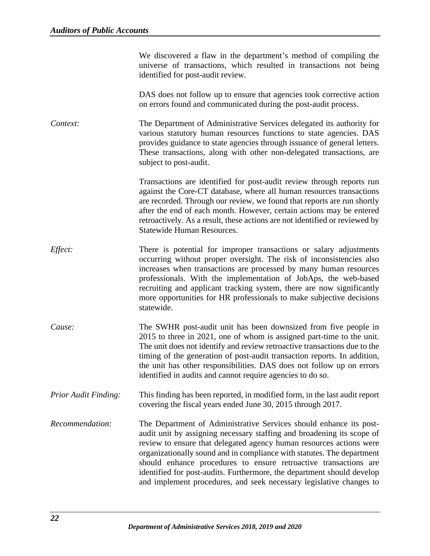|                                   |  |  |  | We discovered a flaw in the department's method of compiling the   |  |
|-----------------------------------|--|--|--|--------------------------------------------------------------------|--|
|                                   |  |  |  | universe of transactions, which resulted in transactions not being |  |
| identified for post-audit review. |  |  |  |                                                                    |  |

DAS does not follow up to ensure that agencies took corrective action on errors found and communicated during the post-audit process.

*Context:* The Department of Administrative Services delegated its authority for various statutory human resources functions to state agencies. DAS provides guidance to state agencies through issuance of general letters. These transactions, along with other non-delegated transactions, are subject to post-audit.

> Transactions are identified for post-audit review through reports run against the Core-CT database, where all human resources transactions are recorded. Through our review, we found that reports are run shortly after the end of each month. However, certain actions may be entered retroactively. As a result, these actions are not identified or reviewed by Statewide Human Resources.

- *Effect:* There is potential for improper transactions or salary adjustments occurring without proper oversight. The risk of inconsistencies also increases when transactions are processed by many human resources professionals. With the implementation of JobAps, the web-based recruiting and applicant tracking system, there are now significantly more opportunities for HR professionals to make subjective decisions statewide.
- *Cause:* The SWHR post-audit unit has been downsized from five people in 2015 to three in 2021, one of whom is assigned part-time to the unit. The unit does not identify and review retroactive transactions due to the timing of the generation of post-audit transaction reports. In addition, the unit has other responsibilities. DAS does not follow up on errors identified in audits and cannot require agencies to do so.
- *Prior Audit Finding:* This finding has been reported, in modified form, in the last audit report covering the fiscal years ended June 30, 2015 through 2017.
- *Recommendation:* The Department of Administrative Services should enhance its postaudit unit by assigning necessary staffing and broadening its scope of review to ensure that delegated agency human resources actions were organizationally sound and in compliance with statutes. The department should enhance procedures to ensure retroactive transactions are identified for post-audits. Furthermore, the department should develop and implement procedures, and seek necessary legislative changes to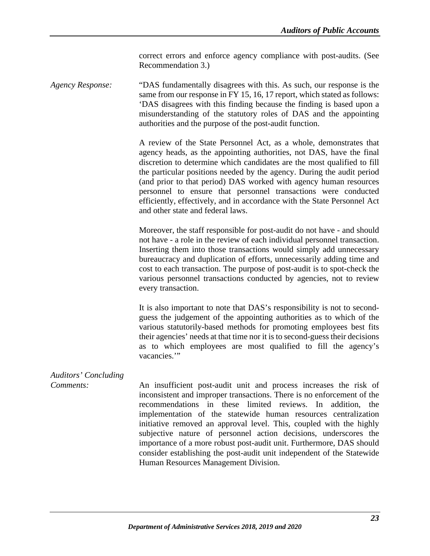correct errors and enforce agency compliance with post-audits. (See Recommendation 3.)

*Agency Response:* "DAS fundamentally disagrees with this. As such, our response is the same from our response in FY 15, 16, 17 report, which stated as follows: 'DAS disagrees with this finding because the finding is based upon a misunderstanding of the statutory roles of DAS and the appointing authorities and the purpose of the post-audit function.

> A review of the State Personnel Act, as a whole, demonstrates that agency heads, as the appointing authorities, not DAS, have the final discretion to determine which candidates are the most qualified to fill the particular positions needed by the agency. During the audit period (and prior to that period) DAS worked with agency human resources personnel to ensure that personnel transactions were conducted efficiently, effectively, and in accordance with the State Personnel Act and other state and federal laws.

> Moreover, the staff responsible for post-audit do not have - and should not have - a role in the review of each individual personnel transaction. Inserting them into those transactions would simply add unnecessary bureaucracy and duplication of efforts, unnecessarily adding time and cost to each transaction. The purpose of post-audit is to spot-check the various personnel transactions conducted by agencies, not to review every transaction.

> It is also important to note that DAS's responsibility is not to secondguess the judgement of the appointing authorities as to which of the various statutorily-based methods for promoting employees best fits their agencies' needs at that time nor it is to second-guess their decisions as to which employees are most qualified to fill the agency's vacancies."

# *Auditors' Concluding*

*Comments:* An insufficient post-audit unit and process increases the risk of inconsistent and improper transactions. There is no enforcement of the recommendations in these limited reviews. In addition, the implementation of the statewide human resources centralization initiative removed an approval level. This, coupled with the highly subjective nature of personnel action decisions, underscores the importance of a more robust post-audit unit. Furthermore, DAS should consider establishing the post-audit unit independent of the Statewide Human Resources Management Division.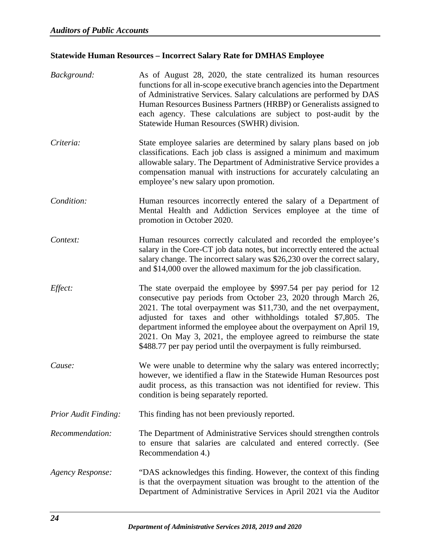# <span id="page-28-0"></span>**Statewide Human Resources – Incorrect Salary Rate for DMHAS Employee**

| Background:                 | As of August 28, 2020, the state centralized its human resources<br>functions for all in-scope executive branch agencies into the Department<br>of Administrative Services. Salary calculations are performed by DAS<br>Human Resources Business Partners (HRBP) or Generalists assigned to<br>each agency. These calculations are subject to post-audit by the<br>Statewide Human Resources (SWHR) division.                                                                                 |
|-----------------------------|-----------------------------------------------------------------------------------------------------------------------------------------------------------------------------------------------------------------------------------------------------------------------------------------------------------------------------------------------------------------------------------------------------------------------------------------------------------------------------------------------|
| Criteria:                   | State employee salaries are determined by salary plans based on job<br>classifications. Each job class is assigned a minimum and maximum<br>allowable salary. The Department of Administrative Service provides a<br>compensation manual with instructions for accurately calculating an<br>employee's new salary upon promotion.                                                                                                                                                             |
| Condition:                  | Human resources incorrectly entered the salary of a Department of<br>Mental Health and Addiction Services employee at the time of<br>promotion in October 2020.                                                                                                                                                                                                                                                                                                                               |
| Context:                    | Human resources correctly calculated and recorded the employee's<br>salary in the Core-CT job data notes, but incorrectly entered the actual<br>salary change. The incorrect salary was \$26,230 over the correct salary,<br>and \$14,000 over the allowed maximum for the job classification.                                                                                                                                                                                                |
| Effect:                     | The state overpaid the employee by \$997.54 per pay period for 12<br>consecutive pay periods from October 23, 2020 through March 26,<br>2021. The total overpayment was \$11,730, and the net overpayment,<br>adjusted for taxes and other withholdings totaled \$7,805. The<br>department informed the employee about the overpayment on April 19,<br>2021. On May 3, 2021, the employee agreed to reimburse the state<br>\$488.77 per pay period until the overpayment is fully reimbursed. |
| Cause:                      | We were unable to determine why the salary was entered incorrectly;<br>however, we identified a flaw in the Statewide Human Resources post<br>audit process, as this transaction was not identified for review. This<br>condition is being separately reported.                                                                                                                                                                                                                               |
| <b>Prior Audit Finding:</b> | This finding has not been previously reported.                                                                                                                                                                                                                                                                                                                                                                                                                                                |
| Recommendation:             | The Department of Administrative Services should strengthen controls<br>to ensure that salaries are calculated and entered correctly. (See<br>Recommendation 4.)                                                                                                                                                                                                                                                                                                                              |
| <b>Agency Response:</b>     | "DAS acknowledges this finding. However, the context of this finding<br>is that the overpayment situation was brought to the attention of the<br>Department of Administrative Services in April 2021 via the Auditor                                                                                                                                                                                                                                                                          |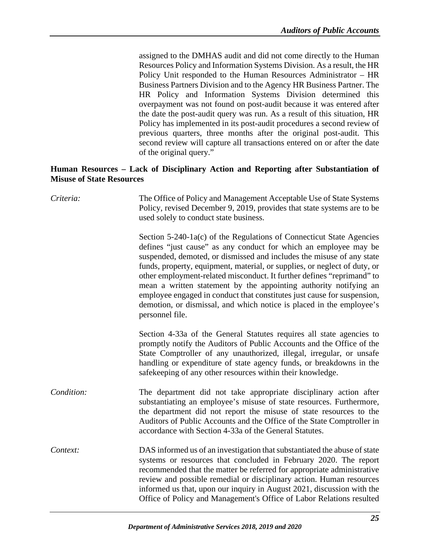assigned to the DMHAS audit and did not come directly to the Human Resources Policy and Information Systems Division. As a result, the HR Policy Unit responded to the Human Resources Administrator – HR Business Partners Division and to the Agency HR Business Partner. The HR Policy and Information Systems Division determined this overpayment was not found on post-audit because it was entered after the date the post-audit query was run. As a result of this situation, HR Policy has implemented in its post-audit procedures a second review of previous quarters, three months after the original post-audit. This second review will capture all transactions entered on or after the date of the original query."

## <span id="page-29-0"></span>**Human Resources – Lack of Disciplinary Action and Reporting after Substantiation of Misuse of State Resources**

| Criteria:  | The Office of Policy and Management Acceptable Use of State Systems<br>Policy, revised December 9, 2019, provides that state systems are to be<br>used solely to conduct state business.                                                                                                                                                                                                                                                                                                                                                                                                                            |
|------------|---------------------------------------------------------------------------------------------------------------------------------------------------------------------------------------------------------------------------------------------------------------------------------------------------------------------------------------------------------------------------------------------------------------------------------------------------------------------------------------------------------------------------------------------------------------------------------------------------------------------|
|            | Section 5-240-1a(c) of the Regulations of Connecticut State Agencies<br>defines "just cause" as any conduct for which an employee may be<br>suspended, demoted, or dismissed and includes the misuse of any state<br>funds, property, equipment, material, or supplies, or neglect of duty, or<br>other employment-related misconduct. It further defines "reprimand" to<br>mean a written statement by the appointing authority notifying an<br>employee engaged in conduct that constitutes just cause for suspension,<br>demotion, or dismissal, and which notice is placed in the employee's<br>personnel file. |
|            | Section 4-33a of the General Statutes requires all state agencies to<br>promptly notify the Auditors of Public Accounts and the Office of the<br>State Comptroller of any unauthorized, illegal, irregular, or unsafe<br>handling or expenditure of state agency funds, or breakdowns in the<br>safekeeping of any other resources within their knowledge.                                                                                                                                                                                                                                                          |
| Condition: | The department did not take appropriate disciplinary action after<br>substantiating an employee's misuse of state resources. Furthermore,<br>the department did not report the misuse of state resources to the<br>Auditors of Public Accounts and the Office of the State Comptroller in<br>accordance with Section 4-33a of the General Statutes.                                                                                                                                                                                                                                                                 |
| Context:   | DAS informed us of an investigation that substantiated the abuse of state<br>systems or resources that concluded in February 2020. The report<br>recommended that the matter be referred for appropriate administrative<br>review and possible remedial or disciplinary action. Human resources<br>informed us that, upon our inquiry in August 2021, discussion with the<br>Office of Policy and Management's Office of Labor Relations resulted                                                                                                                                                                   |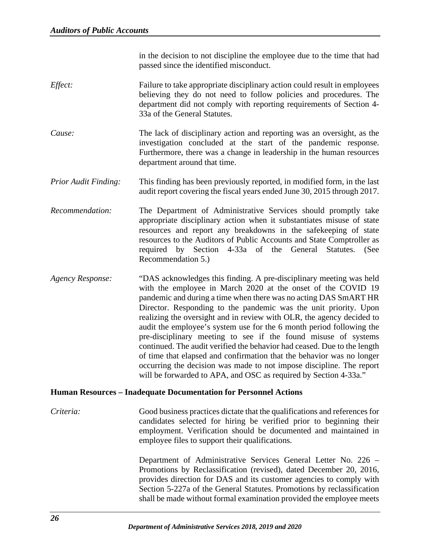in the decision to not discipline the employee due to the time that had passed since the identified misconduct.

- *Effect:* Failure to take appropriate disciplinary action could result in employees believing they do not need to follow policies and procedures. The department did not comply with reporting requirements of Section 4- 33a of the General Statutes.
- *Cause:* The lack of disciplinary action and reporting was an oversight, as the investigation concluded at the start of the pandemic response. Furthermore, there was a change in leadership in the human resources department around that time.
- *Prior Audit Finding:* This finding has been previously reported, in modified form, in the last audit report covering the fiscal years ended June 30, 2015 through 2017.
- *Recommendation:* The Department of Administrative Services should promptly take appropriate disciplinary action when it substantiates misuse of state resources and report any breakdowns in the safekeeping of state resources to the Auditors of Public Accounts and State Comptroller as required by Section 4-33a of the General Statutes. (See Recommendation 5.)
- *Agency Response:* "DAS acknowledges this finding. A pre-disciplinary meeting was held with the employee in March 2020 at the onset of the COVID 19 pandemic and during a time when there was no acting DAS SmART HR Director. Responding to the pandemic was the unit priority. Upon realizing the oversight and in review with OLR, the agency decided to audit the employee's system use for the 6 month period following the pre-disciplinary meeting to see if the found misuse of systems continued. The audit verified the behavior had ceased. Due to the length of time that elapsed and confirmation that the behavior was no longer occurring the decision was made to not impose discipline. The report will be forwarded to APA, and OSC as required by Section 4-33a."

## <span id="page-30-0"></span>**Human Resources – Inadequate Documentation for Personnel Actions**

*Criteria:* Good business practices dictate that the qualifications and references for candidates selected for hiring be verified prior to beginning their employment. Verification should be documented and maintained in employee files to support their qualifications.

> Department of Administrative Services General Letter No. 226 – Promotions by Reclassification (revised), dated December 20, 2016, provides direction for DAS and its customer agencies to comply with Section 5-227a of the General Statutes. Promotions by reclassification shall be made without formal examination provided the employee meets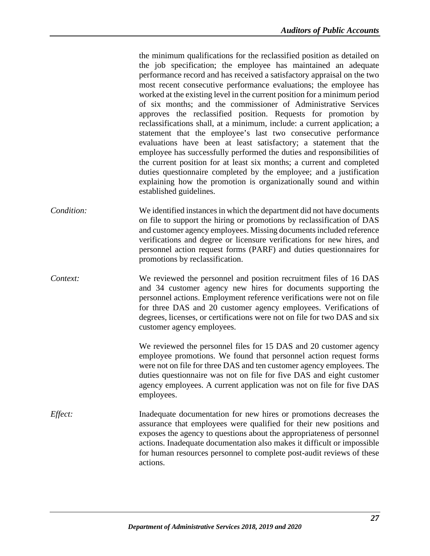the minimum qualifications for the reclassified position as detailed on the job specification; the employee has maintained an adequate performance record and has received a satisfactory appraisal on the two most recent consecutive performance evaluations; the employee has worked at the existing level in the current position for a minimum period of six months; and the commissioner of Administrative Services approves the reclassified position. Requests for promotion by reclassifications shall, at a minimum, include: a current application; a statement that the employee's last two consecutive performance evaluations have been at least satisfactory; a statement that the employee has successfully performed the duties and responsibilities of the current position for at least six months; a current and completed duties questionnaire completed by the employee; and a justification explaining how the promotion is organizationally sound and within established guidelines.

- *Condition:* We identified instances in which the department did not have documents on file to support the hiring or promotions by reclassification of DAS and customer agency employees. Missing documents included reference verifications and degree or licensure verifications for new hires, and personnel action request forms (PARF) and duties questionnaires for promotions by reclassification.
- *Context:* We reviewed the personnel and position recruitment files of 16 DAS and 34 customer agency new hires for documents supporting the personnel actions. Employment reference verifications were not on file for three DAS and 20 customer agency employees. Verifications of degrees, licenses, or certifications were not on file for two DAS and six customer agency employees.

We reviewed the personnel files for 15 DAS and 20 customer agency employee promotions. We found that personnel action request forms were not on file for three DAS and ten customer agency employees. The duties questionnaire was not on file for five DAS and eight customer agency employees. A current application was not on file for five DAS employees.

*Effect:* Inadequate documentation for new hires or promotions decreases the assurance that employees were qualified for their new positions and exposes the agency to questions about the appropriateness of personnel actions. Inadequate documentation also makes it difficult or impossible for human resources personnel to complete post-audit reviews of these actions.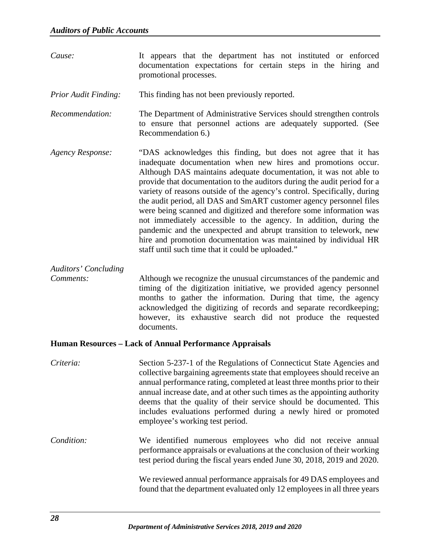*Cause:* It appears that the department has not instituted or enforced documentation expectations for certain steps in the hiring and promotional processes.

*Prior Audit Finding:* This finding has not been previously reported.

*Recommendation:* The Department of Administrative Services should strengthen controls to ensure that personnel actions are adequately supported. (See Recommendation 6.)

*Agency Response:* "DAS acknowledges this finding, but does not agree that it has inadequate documentation when new hires and promotions occur. Although DAS maintains adequate documentation, it was not able to provide that documentation to the auditors during the audit period for a variety of reasons outside of the agency's control. Specifically, during the audit period, all DAS and SmART customer agency personnel files were being scanned and digitized and therefore some information was not immediately accessible to the agency. In addition, during the pandemic and the unexpected and abrupt transition to telework, new hire and promotion documentation was maintained by individual HR staff until such time that it could be uploaded."

*Auditors' Concluding* 

*Comments:* Although we recognize the unusual circumstances of the pandemic and timing of the digitization initiative, we provided agency personnel months to gather the information. During that time, the agency acknowledged the digitizing of records and separate recordkeeping; however, its exhaustive search did not produce the requested documents.

## <span id="page-32-0"></span>**Human Resources – Lack of Annual Performance Appraisals**

*Criteria:* Section 5-237-1 of the Regulations of Connecticut State Agencies and collective bargaining agreements state that employees should receive an annual performance rating, completed at least three months prior to their annual increase date, and at other such times as the appointing authority deems that the quality of their service should be documented. This includes evaluations performed during a newly hired or promoted employee's working test period. *Condition:* We identified numerous employees who did not receive annual performance appraisals or evaluations at the conclusion of their working

> We reviewed annual performance appraisals for 49 DAS employees and found that the department evaluated only 12 employees in all three years

> test period during the fiscal years ended June 30, 2018, 2019 and 2020.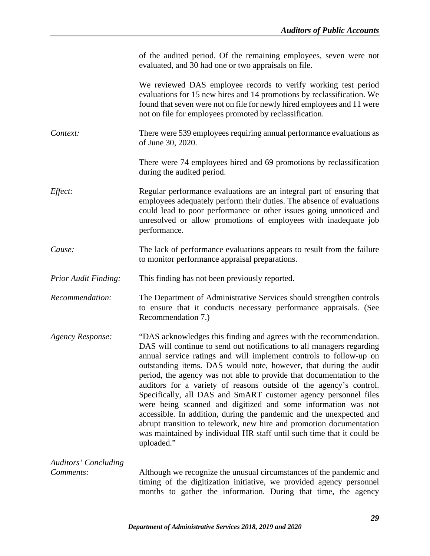|                             | of the audited period. Of the remaining employees, seven were not<br>evaluated, and 30 had one or two appraisals on file.                                                                                                                                                                                                                                                                                                                                                                                                                                                                                                                                                                                                                                                                                      |
|-----------------------------|----------------------------------------------------------------------------------------------------------------------------------------------------------------------------------------------------------------------------------------------------------------------------------------------------------------------------------------------------------------------------------------------------------------------------------------------------------------------------------------------------------------------------------------------------------------------------------------------------------------------------------------------------------------------------------------------------------------------------------------------------------------------------------------------------------------|
|                             | We reviewed DAS employee records to verify working test period<br>evaluations for 15 new hires and 14 promotions by reclassification. We<br>found that seven were not on file for newly hired employees and 11 were<br>not on file for employees promoted by reclassification.                                                                                                                                                                                                                                                                                                                                                                                                                                                                                                                                 |
| Context:                    | There were 539 employees requiring annual performance evaluations as<br>of June 30, 2020.                                                                                                                                                                                                                                                                                                                                                                                                                                                                                                                                                                                                                                                                                                                      |
|                             | There were 74 employees hired and 69 promotions by reclassification<br>during the audited period.                                                                                                                                                                                                                                                                                                                                                                                                                                                                                                                                                                                                                                                                                                              |
| Effect:                     | Regular performance evaluations are an integral part of ensuring that<br>employees adequately perform their duties. The absence of evaluations<br>could lead to poor performance or other issues going unnoticed and<br>unresolved or allow promotions of employees with inadequate job<br>performance.                                                                                                                                                                                                                                                                                                                                                                                                                                                                                                        |
| Cause:                      | The lack of performance evaluations appears to result from the failure<br>to monitor performance appraisal preparations.                                                                                                                                                                                                                                                                                                                                                                                                                                                                                                                                                                                                                                                                                       |
| <b>Prior Audit Finding:</b> | This finding has not been previously reported.                                                                                                                                                                                                                                                                                                                                                                                                                                                                                                                                                                                                                                                                                                                                                                 |
| Recommendation:             | The Department of Administrative Services should strengthen controls<br>to ensure that it conducts necessary performance appraisals. (See<br>Recommendation 7.)                                                                                                                                                                                                                                                                                                                                                                                                                                                                                                                                                                                                                                                |
| <b>Agency Response:</b>     | "DAS acknowledges this finding and agrees with the recommendation.<br>DAS will continue to send out notifications to all managers regarding<br>annual service ratings and will implement controls to follow-up on<br>outstanding items. DAS would note, however, that during the audit<br>period, the agency was not able to provide that documentation to the<br>auditors for a variety of reasons outside of the agency's control.<br>Specifically, all DAS and SmART customer agency personnel files<br>were being scanned and digitized and some information was not<br>accessible. In addition, during the pandemic and the unexpected and<br>abrupt transition to telework, new hire and promotion documentation<br>was maintained by individual HR staff until such time that it could be<br>uploaded." |
| <b>Auditors' Concluding</b> |                                                                                                                                                                                                                                                                                                                                                                                                                                                                                                                                                                                                                                                                                                                                                                                                                |
| Comments:                   | Although we recognize the unusual circumstances of the pandemic and<br>timing of the digitization initiative, we provided agency personnel<br>months to gather the information. During that time, the agency                                                                                                                                                                                                                                                                                                                                                                                                                                                                                                                                                                                                   |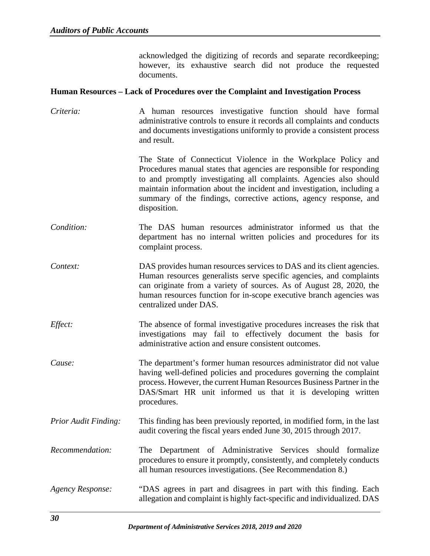acknowledged the digitizing of records and separate recordkeeping; however, its exhaustive search did not produce the requested documents.

#### <span id="page-34-0"></span>**Human Resources – Lack of Procedures over the Complaint and Investigation Process**

*Criteria:* A human resources investigative function should have formal administrative controls to ensure it records all complaints and conducts and documents investigations uniformly to provide a consistent process and result.

> The State of Connecticut Violence in the Workplace Policy and Procedures manual states that agencies are responsible for responding to and promptly investigating all complaints. Agencies also should maintain information about the incident and investigation, including a summary of the findings, corrective actions, agency response, and disposition.

- *Condition:* The DAS human resources administrator informed us that the department has no internal written policies and procedures for its complaint process.
- *Context:* DAS provides human resources services to DAS and its client agencies. Human resources generalists serve specific agencies, and complaints can originate from a variety of sources. As of August 28, 2020, the human resources function for in-scope executive branch agencies was centralized under DAS.
- *Effect:* The absence of formal investigative procedures increases the risk that investigations may fail to effectively document the basis for administrative action and ensure consistent outcomes.
- *Cause:* The department's former human resources administrator did not value having well-defined policies and procedures governing the complaint process. However, the current Human Resources Business Partner in the DAS/Smart HR unit informed us that it is developing written procedures.
- *Prior Audit Finding:* This finding has been previously reported, in modified form, in the last audit covering the fiscal years ended June 30, 2015 through 2017.
- *Recommendation:* The Department of Administrative Services should formalize procedures to ensure it promptly, consistently, and completely conducts all human resources investigations. (See Recommendation 8.)
- *Agency Response:* "DAS agrees in part and disagrees in part with this finding. Each allegation and complaint is highly fact-specific and individualized. DAS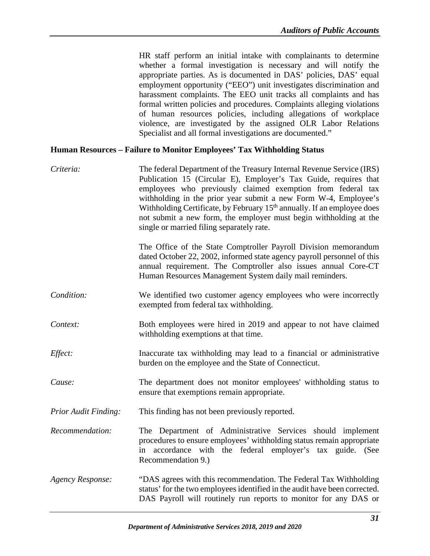HR staff perform an initial intake with complainants to determine whether a formal investigation is necessary and will notify the appropriate parties. As is documented in DAS' policies, DAS' equal employment opportunity ("EEO") unit investigates discrimination and harassment complaints. The EEO unit tracks all complaints and has formal written policies and procedures. Complaints alleging violations of human resources policies, including allegations of workplace violence, are investigated by the assigned OLR Labor Relations Specialist and all formal investigations are documented."

#### <span id="page-35-0"></span>**Human Resources – Failure to Monitor Employees' Tax Withholding Status**

| Criteria:                   | The federal Department of the Treasury Internal Revenue Service (IRS)<br>Publication 15 (Circular E), Employer's Tax Guide, requires that<br>employees who previously claimed exemption from federal tax<br>withholding in the prior year submit a new Form W-4, Employee's<br>Withholding Certificate, by February 15 <sup>th</sup> annually. If an employee does<br>not submit a new form, the employer must begin withholding at the<br>single or married filing separately rate. |
|-----------------------------|--------------------------------------------------------------------------------------------------------------------------------------------------------------------------------------------------------------------------------------------------------------------------------------------------------------------------------------------------------------------------------------------------------------------------------------------------------------------------------------|
|                             | The Office of the State Comptroller Payroll Division memorandum<br>dated October 22, 2002, informed state agency payroll personnel of this<br>annual requirement. The Comptroller also issues annual Core-CT<br>Human Resources Management System daily mail reminders.                                                                                                                                                                                                              |
| Condition:                  | We identified two customer agency employees who were incorrectly<br>exempted from federal tax withholding.                                                                                                                                                                                                                                                                                                                                                                           |
| Context:                    | Both employees were hired in 2019 and appear to not have claimed<br>withholding exemptions at that time.                                                                                                                                                                                                                                                                                                                                                                             |
| Effect:                     | Inaccurate tax withholding may lead to a financial or administrative<br>burden on the employee and the State of Connecticut.                                                                                                                                                                                                                                                                                                                                                         |
| Cause:                      | The department does not monitor employees' withholding status to<br>ensure that exemptions remain appropriate.                                                                                                                                                                                                                                                                                                                                                                       |
| <b>Prior Audit Finding:</b> | This finding has not been previously reported.                                                                                                                                                                                                                                                                                                                                                                                                                                       |
| Recommendation:             | The Department of Administrative Services should implement<br>procedures to ensure employees' withholding status remain appropriate<br>in accordance with the federal employer's tax guide. (See<br>Recommendation 9.)                                                                                                                                                                                                                                                               |
| <b>Agency Response:</b>     | "DAS agrees with this recommendation. The Federal Tax Withholding<br>status' for the two employees identified in the audit have been corrected.<br>DAS Payroll will routinely run reports to monitor for any DAS or                                                                                                                                                                                                                                                                  |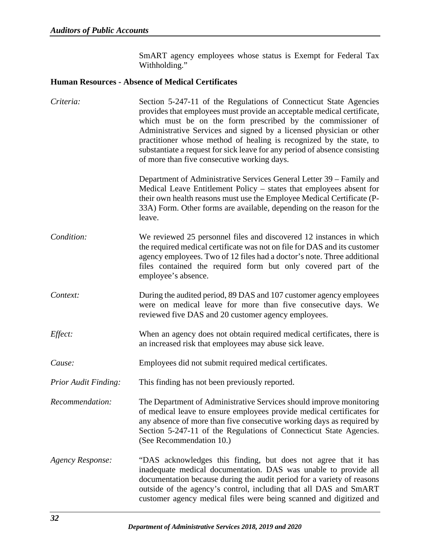SmART agency employees whose status is Exempt for Federal Tax Withholding."

## **Human Resources - Absence of Medical Certificates**

| Criteria:                   | Section 5-247-11 of the Regulations of Connecticut State Agencies<br>provides that employees must provide an acceptable medical certificate,<br>which must be on the form prescribed by the commissioner of<br>Administrative Services and signed by a licensed physician or other<br>practitioner whose method of healing is recognized by the state, to<br>substantiate a request for sick leave for any period of absence consisting<br>of more than five consecutive working days. |
|-----------------------------|----------------------------------------------------------------------------------------------------------------------------------------------------------------------------------------------------------------------------------------------------------------------------------------------------------------------------------------------------------------------------------------------------------------------------------------------------------------------------------------|
|                             | Department of Administrative Services General Letter 39 – Family and<br>Medical Leave Entitlement Policy – states that employees absent for<br>their own health reasons must use the Employee Medical Certificate (P-<br>33A) Form. Other forms are available, depending on the reason for the<br>leave.                                                                                                                                                                               |
| Condition:                  | We reviewed 25 personnel files and discovered 12 instances in which<br>the required medical certificate was not on file for DAS and its customer<br>agency employees. Two of 12 files had a doctor's note. Three additional<br>files contained the required form but only covered part of the<br>employee's absence.                                                                                                                                                                   |
| Context:                    | During the audited period, 89 DAS and 107 customer agency employees<br>were on medical leave for more than five consecutive days. We<br>reviewed five DAS and 20 customer agency employees.                                                                                                                                                                                                                                                                                            |
| Effect:                     | When an agency does not obtain required medical certificates, there is<br>an increased risk that employees may abuse sick leave.                                                                                                                                                                                                                                                                                                                                                       |
| Cause:                      | Employees did not submit required medical certificates.                                                                                                                                                                                                                                                                                                                                                                                                                                |
| <b>Prior Audit Finding:</b> | This finding has not been previously reported.                                                                                                                                                                                                                                                                                                                                                                                                                                         |
| Recommendation:             | The Department of Administrative Services should improve monitoring<br>of medical leave to ensure employees provide medical certificates for<br>any absence of more than five consecutive working days as required by<br>Section 5-247-11 of the Regulations of Connecticut State Agencies.<br>(See Recommendation 10.)                                                                                                                                                                |
| <b>Agency Response:</b>     | "DAS acknowledges this finding, but does not agree that it has<br>inadequate medical documentation. DAS was unable to provide all<br>documentation because during the audit period for a variety of reasons<br>outside of the agency's control, including that all DAS and SmART<br>customer agency medical files were being scanned and digitized and                                                                                                                                 |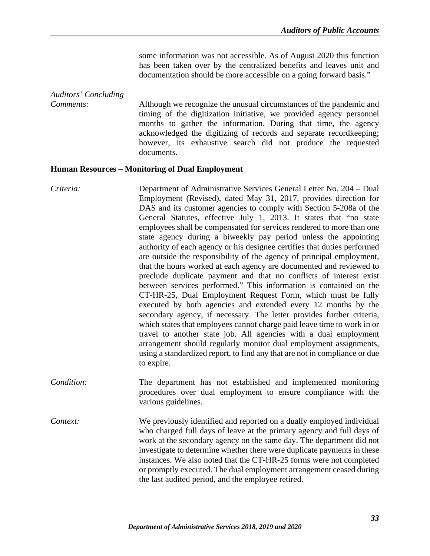some information was not accessible. As of August 2020 this function has been taken over by the centralized benefits and leaves unit and documentation should be more accessible on a going forward basis."

# *Auditors' Concluding*

*Comments:* Although we recognize the unusual circumstances of the pandemic and timing of the digitization initiative, we provided agency personnel months to gather the information. During that time, the agency acknowledged the digitizing of records and separate recordkeeping; however, its exhaustive search did not produce the requested documents.

## **Human Resources – Monitoring of Dual Employment**

*Criteria:* Department of Administrative Services General Letter No. 204 – Dual Employment (Revised), dated May 31, 2017, provides direction for DAS and its customer agencies to comply with Section 5-208a of the General Statutes, effective July 1, 2013. It states that "no state employees shall be compensated for services rendered to more than one state agency during a biweekly pay period unless the appointing authority of each agency or his designee certifies that duties performed are outside the responsibility of the agency of principal employment, that the hours worked at each agency are documented and reviewed to preclude duplicate payment and that no conflicts of interest exist between services performed." This information is contained on the CT-HR-25, Dual Employment Request Form, which must be fully executed by both agencies and extended every 12 months by the secondary agency, if necessary. The letter provides further criteria, which states that employees cannot charge paid leave time to work in or travel to another state job. All agencies with a dual employment arrangement should regularly monitor dual employment assignments, using a standardized report, to find any that are not in compliance or due to expire.

*Condition:* The department has not established and implemented monitoring procedures over dual employment to ensure compliance with the various guidelines.

*Context:* We previously identified and reported on a dually employed individual who charged full days of leave at the primary agency and full days of work at the secondary agency on the same day. The department did not investigate to determine whether there were duplicate payments in these instances. We also noted that the CT-HR-25 forms were not completed or promptly executed. The dual employment arrangement ceased during the last audited period, and the employee retired.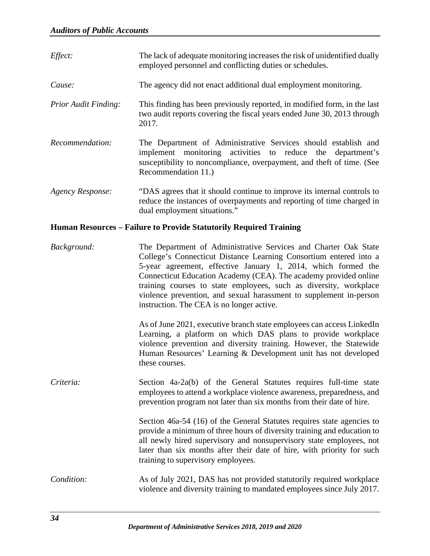| Effect:                     | The lack of adequate monitoring increases the risk of unidentified dually<br>employed personnel and conflicting duties or schedules.                                                                                                                                                                                                                                                                                                                              |
|-----------------------------|-------------------------------------------------------------------------------------------------------------------------------------------------------------------------------------------------------------------------------------------------------------------------------------------------------------------------------------------------------------------------------------------------------------------------------------------------------------------|
| Cause:                      | The agency did not enact additional dual employment monitoring.                                                                                                                                                                                                                                                                                                                                                                                                   |
| <b>Prior Audit Finding:</b> | This finding has been previously reported, in modified form, in the last<br>two audit reports covering the fiscal years ended June 30, 2013 through<br>2017.                                                                                                                                                                                                                                                                                                      |
| Recommendation:             | The Department of Administrative Services should establish and<br>implement monitoring activities to reduce<br>the<br>department's<br>susceptibility to noncompliance, overpayment, and theft of time. (See<br>Recommendation 11.)                                                                                                                                                                                                                                |
| <b>Agency Response:</b>     | "DAS agrees that it should continue to improve its internal controls to<br>reduce the instances of overpayments and reporting of time charged in<br>dual employment situations."                                                                                                                                                                                                                                                                                  |
|                             | Human Resources - Failure to Provide Statutorily Required Training                                                                                                                                                                                                                                                                                                                                                                                                |
| Background:                 | The Department of Administrative Services and Charter Oak State<br>College's Connecticut Distance Learning Consortium entered into a<br>5-year agreement, effective January 1, 2014, which formed the<br>Connecticut Education Academy (CEA). The academy provided online<br>training courses to state employees, such as diversity, workplace<br>violence prevention, and sexual harassment to supplement in-person<br>instruction. The CEA is no longer active. |
|                             | As of June 2021, executive branch state employees can access LinkedIn<br>Learning, a platform on which DAS plans to provide workplace<br>violence prevention and diversity training. However, the Statewide<br>Human Resources' Learning & Development unit has not developed<br>these courses.                                                                                                                                                                   |
| Criteria:                   | Section 4a-2a(b) of the General Statutes requires full-time state<br>employees to attend a workplace violence awareness, preparedness, and<br>prevention program not later than six months from their date of hire.                                                                                                                                                                                                                                               |
|                             | Section 46a-54 (16) of the General Statutes requires state agencies to<br>provide a minimum of three hours of diversity training and education to<br>all newly hired supervisory and nonsupervisory state employees, not<br>later than six months after their date of hire, with priority for such<br>training to supervisory employees.                                                                                                                          |
| Condition:                  | As of July 2021, DAS has not provided statutorily required workplace<br>violence and diversity training to mandated employees since July 2017.                                                                                                                                                                                                                                                                                                                    |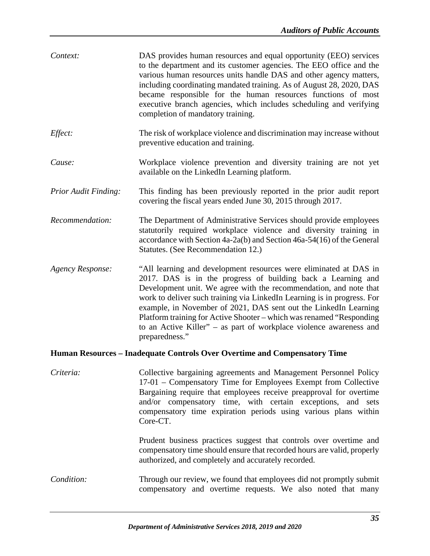| Context:                    | DAS provides human resources and equal opportunity (EEO) services<br>to the department and its customer agencies. The EEO office and the<br>various human resources units handle DAS and other agency matters,<br>including coordinating mandated training. As of August 28, 2020, DAS<br>became responsible for the human resources functions of most<br>executive branch agencies, which includes scheduling and verifying<br>completion of mandatory training.                                                     |
|-----------------------------|-----------------------------------------------------------------------------------------------------------------------------------------------------------------------------------------------------------------------------------------------------------------------------------------------------------------------------------------------------------------------------------------------------------------------------------------------------------------------------------------------------------------------|
| Effect:                     | The risk of workplace violence and discrimination may increase without<br>preventive education and training.                                                                                                                                                                                                                                                                                                                                                                                                          |
| Cause:                      | Workplace violence prevention and diversity training are not yet<br>available on the LinkedIn Learning platform.                                                                                                                                                                                                                                                                                                                                                                                                      |
| <b>Prior Audit Finding:</b> | This finding has been previously reported in the prior audit report<br>covering the fiscal years ended June 30, 2015 through 2017.                                                                                                                                                                                                                                                                                                                                                                                    |
| Recommendation:             | The Department of Administrative Services should provide employees<br>statutorily required workplace violence and diversity training in<br>accordance with Section 4a-2a(b) and Section 46a-54(16) of the General<br>Statutes. (See Recommendation 12.)                                                                                                                                                                                                                                                               |
| <b>Agency Response:</b>     | "All learning and development resources were eliminated at DAS in<br>2017. DAS is in the progress of building back a Learning and<br>Development unit. We agree with the recommendation, and note that<br>work to deliver such training via LinkedIn Learning is in progress. For<br>example, in November of 2021, DAS sent out the LinkedIn Learning<br>Platform training for Active Shooter – which was renamed "Responding<br>to an Active Killer" – as part of workplace violence awareness and<br>preparedness." |
|                             | Human Resources - Inadequate Controls Over Overtime and Compensatory Time                                                                                                                                                                                                                                                                                                                                                                                                                                             |
| Criteria:                   | Collective bargaining agreements and Management Personnel Policy<br>17-01 – Compensatory Time for Employees Exempt from Collective<br>Bargaining require that employees receive preapproval for overtime<br>and/or compensatory time, with certain exceptions, and sets<br>compensatory time expiration periods using various plans within<br>Core-CT.                                                                                                                                                                |
|                             | Prudent business practices suggest that controls over overtime and<br>compensatory time should ensure that recorded hours are valid, properly<br>authorized, and completely and accurately recorded.                                                                                                                                                                                                                                                                                                                  |
| Condition:                  | Through our review, we found that employees did not promptly submit<br>compensatory and overtime requests. We also noted that many                                                                                                                                                                                                                                                                                                                                                                                    |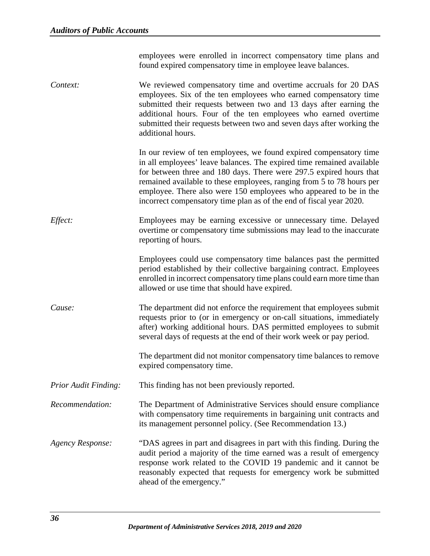employees were enrolled in incorrect compensatory time plans and found expired compensatory time in employee leave balances.

*Context:* We reviewed compensatory time and overtime accruals for 20 DAS employees. Six of the ten employees who earned compensatory time submitted their requests between two and 13 days after earning the additional hours. Four of the ten employees who earned overtime submitted their requests between two and seven days after working the additional hours.

> In our review of ten employees, we found expired compensatory time in all employees' leave balances. The expired time remained available for between three and 180 days. There were 297.5 expired hours that remained available to these employees, ranging from 5 to 78 hours per employee. There also were 150 employees who appeared to be in the incorrect compensatory time plan as of the end of fiscal year 2020.

*Effect:* Employees may be earning excessive or unnecessary time. Delayed overtime or compensatory time submissions may lead to the inaccurate reporting of hours.

> Employees could use compensatory time balances past the permitted period established by their collective bargaining contract. Employees enrolled in incorrect compensatory time plans could earn more time than allowed or use time that should have expired.

*Cause:* The department did not enforce the requirement that employees submit requests prior to (or in emergency or on-call situations, immediately after) working additional hours. DAS permitted employees to submit several days of requests at the end of their work week or pay period.

> The department did not monitor compensatory time balances to remove expired compensatory time.

- *Prior Audit Finding:* This finding has not been previously reported.
- *Recommendation:* The Department of Administrative Services should ensure compliance with compensatory time requirements in bargaining unit contracts and its management personnel policy. (See Recommendation 13.)
- *Agency Response:* "DAS agrees in part and disagrees in part with this finding. During the audit period a majority of the time earned was a result of emergency response work related to the COVID 19 pandemic and it cannot be reasonably expected that requests for emergency work be submitted ahead of the emergency."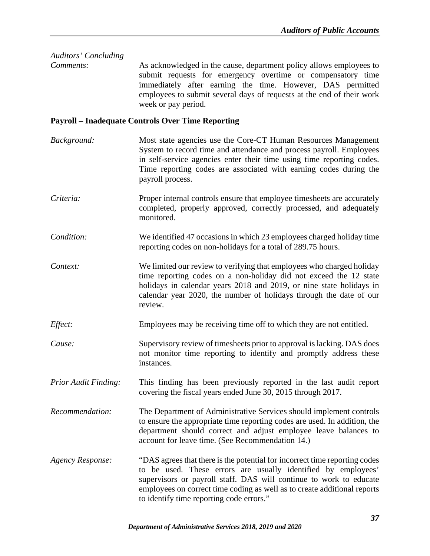| Auditors' Concluding        |                                                                                                                                                                                                                                                                                                                                           |
|-----------------------------|-------------------------------------------------------------------------------------------------------------------------------------------------------------------------------------------------------------------------------------------------------------------------------------------------------------------------------------------|
| Comments:                   | As acknowledged in the cause, department policy allows employees to<br>submit requests for emergency overtime or compensatory time<br>immediately after earning the time. However, DAS permitted<br>employees to submit several days of requests at the end of their work<br>week or pay period.                                          |
|                             | <b>Payroll - Inadequate Controls Over Time Reporting</b>                                                                                                                                                                                                                                                                                  |
| Background:                 | Most state agencies use the Core-CT Human Resources Management<br>System to record time and attendance and process payroll. Employees<br>in self-service agencies enter their time using time reporting codes.<br>Time reporting codes are associated with earning codes during the<br>payroll process.                                   |
| Criteria:                   | Proper internal controls ensure that employee timesheets are accurately<br>completed, properly approved, correctly processed, and adequately<br>monitored.                                                                                                                                                                                |
| Condition:                  | We identified 47 occasions in which 23 employees charged holiday time<br>reporting codes on non-holidays for a total of 289.75 hours.                                                                                                                                                                                                     |
| Context:                    | We limited our review to verifying that employees who charged holiday<br>time reporting codes on a non-holiday did not exceed the 12 state<br>holidays in calendar years 2018 and 2019, or nine state holidays in<br>calendar year 2020, the number of holidays through the date of our<br>review.                                        |
| Effect:                     | Employees may be receiving time off to which they are not entitled.                                                                                                                                                                                                                                                                       |
| Cause:                      | Supervisory review of timesheets prior to approval is lacking. DAS does<br>not monitor time reporting to identify and promptly address these<br>instances.                                                                                                                                                                                |
| <b>Prior Audit Finding:</b> | This finding has been previously reported in the last audit report<br>covering the fiscal years ended June 30, 2015 through 2017.                                                                                                                                                                                                         |
| Recommendation:             | The Department of Administrative Services should implement controls<br>to ensure the appropriate time reporting codes are used. In addition, the<br>department should correct and adjust employee leave balances to<br>account for leave time. (See Recommendation 14.)                                                                   |
| <b>Agency Response:</b>     | "DAS agrees that there is the potential for incorrect time reporting codes<br>to be used. These errors are usually identified by employees'<br>supervisors or payroll staff. DAS will continue to work to educate<br>employees on correct time coding as well as to create additional reports<br>to identify time reporting code errors." |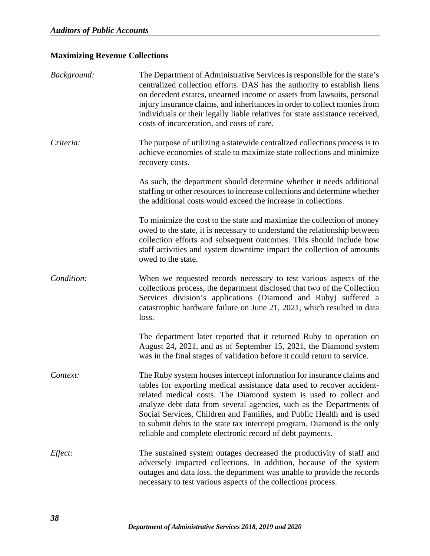# **Maximizing Revenue Collections**

| Background: | The Department of Administrative Services is responsible for the state's<br>centralized collection efforts. DAS has the authority to establish liens<br>on decedent estates, unearned income or assets from lawsuits, personal<br>injury insurance claims, and inheritances in order to collect monies from<br>individuals or their legally liable relatives for state assistance received,<br>costs of incarceration, and costs of care.                                                                   |
|-------------|-------------------------------------------------------------------------------------------------------------------------------------------------------------------------------------------------------------------------------------------------------------------------------------------------------------------------------------------------------------------------------------------------------------------------------------------------------------------------------------------------------------|
| Criteria:   | The purpose of utilizing a statewide centralized collections process is to<br>achieve economies of scale to maximize state collections and minimize<br>recovery costs.                                                                                                                                                                                                                                                                                                                                      |
|             | As such, the department should determine whether it needs additional<br>staffing or other resources to increase collections and determine whether<br>the additional costs would exceed the increase in collections.                                                                                                                                                                                                                                                                                         |
|             | To minimize the cost to the state and maximize the collection of money<br>owed to the state, it is necessary to understand the relationship between<br>collection efforts and subsequent outcomes. This should include how<br>staff activities and system downtime impact the collection of amounts<br>owed to the state.                                                                                                                                                                                   |
| Condition:  | When we requested records necessary to test various aspects of the<br>collections process, the department disclosed that two of the Collection<br>Services division's applications (Diamond and Ruby) suffered a<br>catastrophic hardware failure on June 21, 2021, which resulted in data<br>loss.                                                                                                                                                                                                         |
|             | The department later reported that it returned Ruby to operation on<br>August 24, 2021, and as of September 15, 2021, the Diamond system<br>was in the final stages of validation before it could return to service.                                                                                                                                                                                                                                                                                        |
| Context:    | The Ruby system houses intercept information for insurance claims and<br>tables for exporting medical assistance data used to recover accident-<br>related medical costs. The Diamond system is used to collect and<br>analyze debt data from several agencies, such as the Departments of<br>Social Services, Children and Families, and Public Health and is used<br>to submit debts to the state tax intercept program. Diamond is the only<br>reliable and complete electronic record of debt payments. |
| Effect:     | The sustained system outages decreased the productivity of staff and<br>adversely impacted collections. In addition, because of the system<br>outages and data loss, the department was unable to provide the records<br>necessary to test various aspects of the collections process.                                                                                                                                                                                                                      |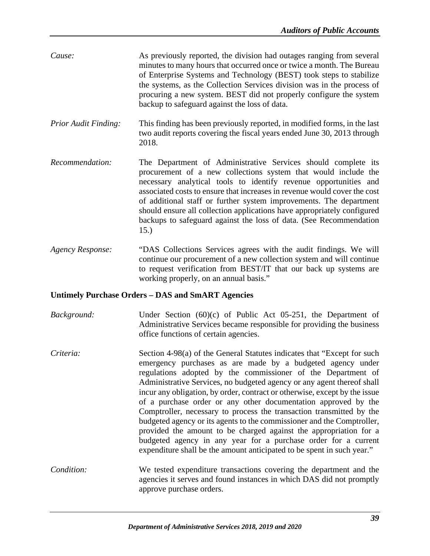- *Cause:* As previously reported, the division had outages ranging from several minutes to many hours that occurred once or twice a month. The Bureau of Enterprise Systems and Technology (BEST) took steps to stabilize the systems, as the Collection Services division was in the process of procuring a new system. BEST did not properly configure the system backup to safeguard against the loss of data.
- *Prior Audit Finding:* This finding has been previously reported, in modified forms, in the last two audit reports covering the fiscal years ended June 30, 2013 through 2018.
- *Recommendation:* The Department of Administrative Services should complete its procurement of a new collections system that would include the necessary analytical tools to identify revenue opportunities and associated costs to ensure that increases in revenue would cover the cost of additional staff or further system improvements. The department should ensure all collection applications have appropriately configured backups to safeguard against the loss of data. (See Recommendation 15.)
- *Agency Response:* "DAS Collections Services agrees with the audit findings. We will continue our procurement of a new collection system and will continue to request verification from BEST/IT that our back up systems are working properly, on an annual basis."

## **Untimely Purchase Orders – DAS and SmART Agencies**

- *Background:* Under Section (60)(c) of Public Act 05-251, the Department of Administrative Services became responsible for providing the business office functions of certain agencies.
- *Criteria:* Section 4-98(a) of the General Statutes indicates that "Except for such emergency purchases as are made by a budgeted agency under regulations adopted by the commissioner of the Department of Administrative Services, no budgeted agency or any agent thereof shall incur any obligation, by order, contract or otherwise, except by the issue of a purchase order or any other documentation approved by the Comptroller, necessary to process the transaction transmitted by the budgeted agency or its agents to the commissioner and the Comptroller, provided the amount to be charged against the appropriation for a budgeted agency in any year for a purchase order for a current expenditure shall be the amount anticipated to be spent in such year."
- *Condition:* We tested expenditure transactions covering the department and the agencies it serves and found instances in which DAS did not promptly approve purchase orders.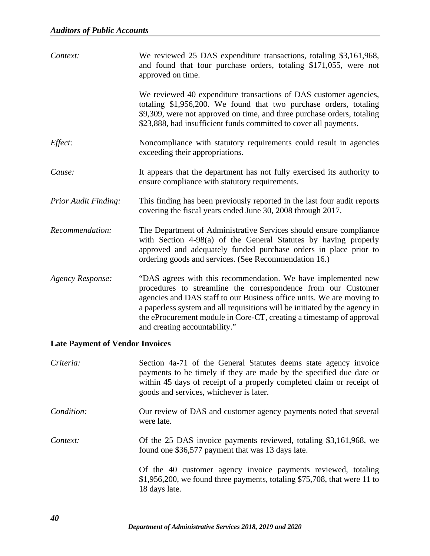| Context:                               | We reviewed 25 DAS expenditure transactions, totaling \$3,161,968,<br>and found that four purchase orders, totaling \$171,055, were not<br>approved on time.                                                                                                                                                                                                                                   |
|----------------------------------------|------------------------------------------------------------------------------------------------------------------------------------------------------------------------------------------------------------------------------------------------------------------------------------------------------------------------------------------------------------------------------------------------|
|                                        | We reviewed 40 expenditure transactions of DAS customer agencies,<br>totaling \$1,956,200. We found that two purchase orders, totaling<br>\$9,309, were not approved on time, and three purchase orders, totaling<br>\$23,888, had insufficient funds committed to cover all payments.                                                                                                         |
| Effect:                                | Noncompliance with statutory requirements could result in agencies<br>exceeding their appropriations.                                                                                                                                                                                                                                                                                          |
| Cause:                                 | It appears that the department has not fully exercised its authority to<br>ensure compliance with statutory requirements.                                                                                                                                                                                                                                                                      |
| <b>Prior Audit Finding:</b>            | This finding has been previously reported in the last four audit reports<br>covering the fiscal years ended June 30, 2008 through 2017.                                                                                                                                                                                                                                                        |
| Recommendation:                        | The Department of Administrative Services should ensure compliance<br>with Section 4-98(a) of the General Statutes by having properly<br>approved and adequately funded purchase orders in place prior to<br>ordering goods and services. (See Recommendation 16.)                                                                                                                             |
| Agency Response:                       | "DAS agrees with this recommendation. We have implemented new<br>procedures to streamline the correspondence from our Customer<br>agencies and DAS staff to our Business office units. We are moving to<br>a paperless system and all requisitions will be initiated by the agency in<br>the eProcurement module in Core-CT, creating a timestamp of approval<br>and creating accountability." |
| <b>Late Payment of Vendor Invoices</b> |                                                                                                                                                                                                                                                                                                                                                                                                |
| Criteria:                              | Section 4a-71 of the General Statutes deems state agency invoice<br>payments to be timely if they are made by the specified due date or<br>within 45 days of receipt of a properly completed claim or receipt of<br>goods and services, whichever is later.                                                                                                                                    |
| Condition:                             | Our review of DAS and customer agency payments noted that several<br>were late.                                                                                                                                                                                                                                                                                                                |

*Context:* Of the 25 DAS invoice payments reviewed, totaling \$3,161,968, we found one \$36,577 payment that was 13 days late.

> Of the 40 customer agency invoice payments reviewed, totaling \$1,956,200, we found three payments, totaling \$75,708, that were 11 to 18 days late.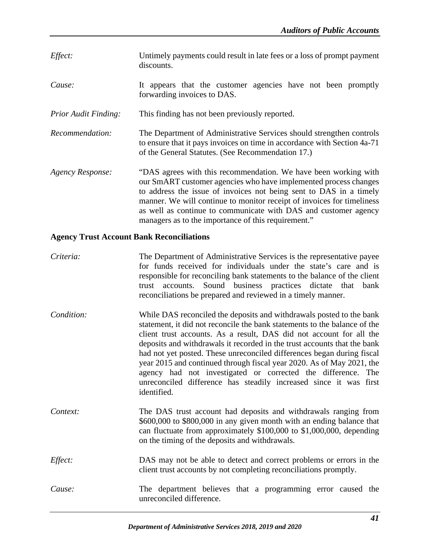- *Effect:* Untimely payments could result in late fees or a loss of prompt payment discounts.
- *Cause:* It appears that the customer agencies have not been promptly forwarding invoices to DAS.
- *Prior Audit Finding:* This finding has not been previously reported.
- *Recommendation:* The Department of Administrative Services should strengthen controls to ensure that it pays invoices on time in accordance with Section 4a-71 of the General Statutes. (See Recommendation 17.)
- *Agency Response:* "DAS agrees with this recommendation. We have been working with our SmART customer agencies who have implemented process changes to address the issue of invoices not being sent to DAS in a timely manner. We will continue to monitor receipt of invoices for timeliness as well as continue to communicate with DAS and customer agency managers as to the importance of this requirement."

## **Agency Trust Account Bank Reconciliations**

| Criteria:  | The Department of Administrative Services is the representative payee<br>for funds received for individuals under the state's care and is<br>responsible for reconciling bank statements to the balance of the client<br>trust accounts. Sound business practices dictate that bank<br>reconciliations be prepared and reviewed in a timely manner.                                                                                                                                                                                                                                                         |
|------------|-------------------------------------------------------------------------------------------------------------------------------------------------------------------------------------------------------------------------------------------------------------------------------------------------------------------------------------------------------------------------------------------------------------------------------------------------------------------------------------------------------------------------------------------------------------------------------------------------------------|
| Condition: | While DAS reconciled the deposits and withdrawals posted to the bank<br>statement, it did not reconcile the bank statements to the balance of the<br>client trust accounts. As a result, DAS did not account for all the<br>deposits and withdrawals it recorded in the trust accounts that the bank<br>had not yet posted. These unreconciled differences began during fiscal<br>year 2015 and continued through fiscal year 2020. As of May 2021, the<br>agency had not investigated or corrected the difference. The<br>unreconciled difference has steadily increased since it was first<br>identified. |
| Context:   | The DAS trust account had deposits and withdrawals ranging from<br>\$600,000 to \$800,000 in any given month with an ending balance that<br>can fluctuate from approximately \$100,000 to \$1,000,000, depending<br>on the timing of the deposits and withdrawals.                                                                                                                                                                                                                                                                                                                                          |
| Effect:    | DAS may not be able to detect and correct problems or errors in the<br>client trust accounts by not completing reconciliations promptly.                                                                                                                                                                                                                                                                                                                                                                                                                                                                    |
| Cause:     | The department believes that a programming error caused the<br>unreconciled difference.                                                                                                                                                                                                                                                                                                                                                                                                                                                                                                                     |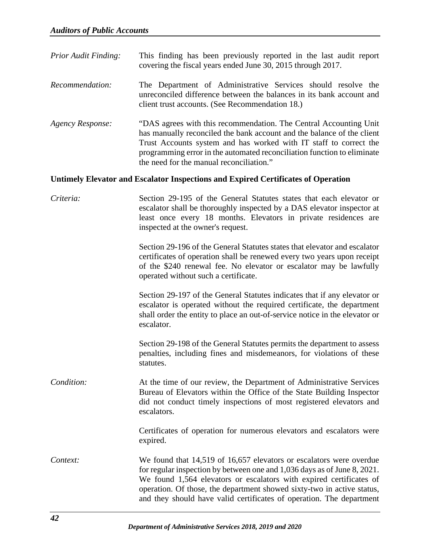| <b>Prior Audit Finding:</b> | This finding has been previously reported in the last audit report |  |  |  |  |  |
|-----------------------------|--------------------------------------------------------------------|--|--|--|--|--|
|                             | covering the fiscal years ended June 30, 2015 through 2017.        |  |  |  |  |  |

- *Recommendation:* The Department of Administrative Services should resolve the unreconciled difference between the balances in its bank account and client trust accounts. (See Recommendation 18.)
- *Agency Response:* "DAS agrees with this recommendation. The Central Accounting Unit has manually reconciled the bank account and the balance of the client Trust Accounts system and has worked with IT staff to correct the programming error in the automated reconciliation function to eliminate the need for the manual reconciliation."

#### **Untimely Elevator and Escalator Inspections and Expired Certificates of Operation**

| Criteria:  | Section 29-195 of the General Statutes states that each elevator or<br>escalator shall be thoroughly inspected by a DAS elevator inspector at<br>least once every 18 months. Elevators in private residences are<br>inspected at the owner's request.                                                                                                                    |
|------------|--------------------------------------------------------------------------------------------------------------------------------------------------------------------------------------------------------------------------------------------------------------------------------------------------------------------------------------------------------------------------|
|            | Section 29-196 of the General Statutes states that elevator and escalator<br>certificates of operation shall be renewed every two years upon receipt<br>of the \$240 renewal fee. No elevator or escalator may be lawfully<br>operated without such a certificate.                                                                                                       |
|            | Section 29-197 of the General Statutes indicates that if any elevator or<br>escalator is operated without the required certificate, the department<br>shall order the entity to place an out-of-service notice in the elevator or<br>escalator.                                                                                                                          |
|            | Section 29-198 of the General Statutes permits the department to assess<br>penalties, including fines and misdemeanors, for violations of these<br>statutes.                                                                                                                                                                                                             |
| Condition: | At the time of our review, the Department of Administrative Services<br>Bureau of Elevators within the Office of the State Building Inspector<br>did not conduct timely inspections of most registered elevators and<br>escalators.                                                                                                                                      |
|            | Certificates of operation for numerous elevators and escalators were<br>expired.                                                                                                                                                                                                                                                                                         |
| Context:   | We found that 14,519 of 16,657 elevators or escalators were overdue<br>for regular inspection by between one and 1,036 days as of June 8, 2021.<br>We found 1,564 elevators or escalators with expired certificates of<br>operation. Of those, the department showed sixty-two in active status,<br>and they should have valid certificates of operation. The department |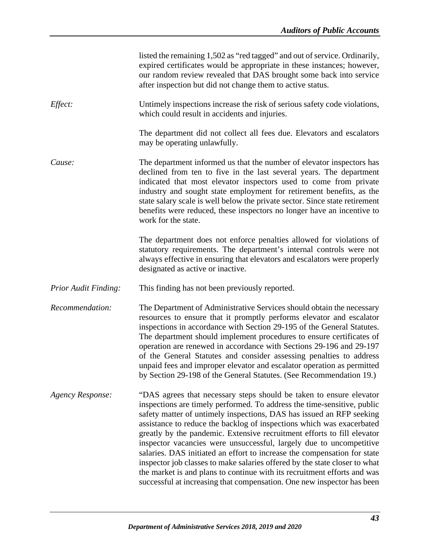|                         | listed the remaining 1,502 as "red tagged" and out of service. Ordinarily,<br>expired certificates would be appropriate in these instances; however,<br>our random review revealed that DAS brought some back into service<br>after inspection but did not change them to active status.                                                                                                                                                                                                                                                                                                                                                                                                                                                                          |
|-------------------------|-------------------------------------------------------------------------------------------------------------------------------------------------------------------------------------------------------------------------------------------------------------------------------------------------------------------------------------------------------------------------------------------------------------------------------------------------------------------------------------------------------------------------------------------------------------------------------------------------------------------------------------------------------------------------------------------------------------------------------------------------------------------|
| Effect:                 | Untimely inspections increase the risk of serious safety code violations,<br>which could result in accidents and injuries.                                                                                                                                                                                                                                                                                                                                                                                                                                                                                                                                                                                                                                        |
|                         | The department did not collect all fees due. Elevators and escalators<br>may be operating unlawfully.                                                                                                                                                                                                                                                                                                                                                                                                                                                                                                                                                                                                                                                             |
| Cause:                  | The department informed us that the number of elevator inspectors has<br>declined from ten to five in the last several years. The department<br>indicated that most elevator inspectors used to come from private<br>industry and sought state employment for retirement benefits, as the<br>state salary scale is well below the private sector. Since state retirement<br>benefits were reduced, these inspectors no longer have an incentive to<br>work for the state.                                                                                                                                                                                                                                                                                         |
|                         | The department does not enforce penalties allowed for violations of<br>statutory requirements. The department's internal controls were not<br>always effective in ensuring that elevators and escalators were properly<br>designated as active or inactive.                                                                                                                                                                                                                                                                                                                                                                                                                                                                                                       |
| Prior Audit Finding:    | This finding has not been previously reported.                                                                                                                                                                                                                                                                                                                                                                                                                                                                                                                                                                                                                                                                                                                    |
| Recommendation:         | The Department of Administrative Services should obtain the necessary<br>resources to ensure that it promptly performs elevator and escalator<br>inspections in accordance with Section 29-195 of the General Statutes.<br>The department should implement procedures to ensure certificates of<br>operation are renewed in accordance with Sections 29-196 and 29-197<br>of the General Statutes and consider assessing penalties to address<br>unpaid fees and improper elevator and escalator operation as permitted<br>by Section 29-198 of the General Statutes. (See Recommendation 19.)                                                                                                                                                                    |
| <b>Agency Response:</b> | "DAS agrees that necessary steps should be taken to ensure elevator<br>inspections are timely performed. To address the time-sensitive, public<br>safety matter of untimely inspections, DAS has issued an RFP seeking<br>assistance to reduce the backlog of inspections which was exacerbated<br>greatly by the pandemic. Extensive recruitment efforts to fill elevator<br>inspector vacancies were unsuccessful, largely due to uncompetitive<br>salaries. DAS initiated an effort to increase the compensation for state<br>inspector job classes to make salaries offered by the state closer to what<br>the market is and plans to continue with its recruitment efforts and was<br>successful at increasing that compensation. One new inspector has been |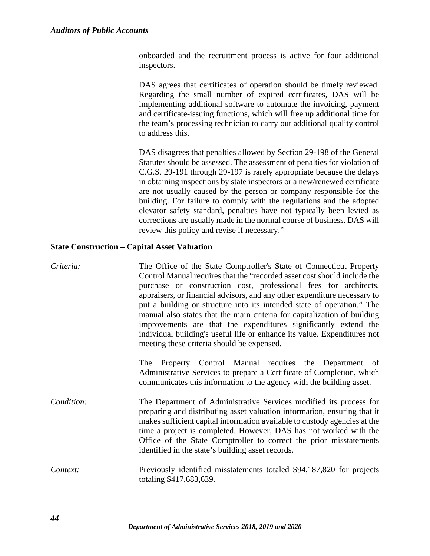onboarded and the recruitment process is active for four additional inspectors.

DAS agrees that certificates of operation should be timely reviewed. Regarding the small number of expired certificates, DAS will be implementing additional software to automate the invoicing, payment and certificate-issuing functions, which will free up additional time for the team's processing technician to carry out additional quality control to address this.

DAS disagrees that penalties allowed by Section 29-198 of the General Statutes should be assessed. The assessment of penalties for violation of C.G.S. 29-191 through 29-197 is rarely appropriate because the delays in obtaining inspections by state inspectors or a new/renewed certificate are not usually caused by the person or company responsible for the building. For failure to comply with the regulations and the adopted elevator safety standard, penalties have not typically been levied as corrections are usually made in the normal course of business. DAS will review this policy and revise if necessary."

## **State Construction – Capital Asset Valuation**

| Criteria:  | The Office of the State Comptroller's State of Connecticut Property<br>Control Manual requires that the "recorded asset cost should include the<br>purchase or construction cost, professional fees for architects,<br>appraisers, or financial advisors, and any other expenditure necessary to<br>put a building or structure into its intended state of operation." The<br>manual also states that the main criteria for capitalization of building<br>improvements are that the expenditures significantly extend the<br>individual building's useful life or enhance its value. Expenditures not<br>meeting these criteria should be expensed. |
|------------|-----------------------------------------------------------------------------------------------------------------------------------------------------------------------------------------------------------------------------------------------------------------------------------------------------------------------------------------------------------------------------------------------------------------------------------------------------------------------------------------------------------------------------------------------------------------------------------------------------------------------------------------------------|
|            | The Property Control Manual requires the Department of<br>Administrative Services to prepare a Certificate of Completion, which<br>communicates this information to the agency with the building asset.                                                                                                                                                                                                                                                                                                                                                                                                                                             |
| Condition: | The Department of Administrative Services modified its process for<br>preparing and distributing asset valuation information, ensuring that it<br>makes sufficient capital information available to custody agencies at the<br>time a project is completed. However, DAS has not worked with the<br>Office of the State Comptroller to correct the prior misstatements<br>identified in the state's building asset records.                                                                                                                                                                                                                         |
| Context:   | Previously identified misstatements totaled \$94,187,820 for projects<br>totaling \$417,683,639.                                                                                                                                                                                                                                                                                                                                                                                                                                                                                                                                                    |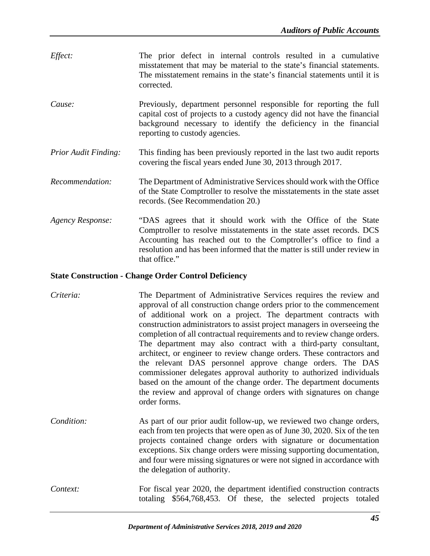- *Effect:* The prior defect in internal controls resulted in a cumulative misstatement that may be material to the state's financial statements. The misstatement remains in the state's financial statements until it is corrected.
- *Cause:* Previously, department personnel responsible for reporting the full capital cost of projects to a custody agency did not have the financial background necessary to identify the deficiency in the financial reporting to custody agencies.
- *Prior Audit Finding:* This finding has been previously reported in the last two audit reports covering the fiscal years ended June 30, 2013 through 2017.
- *Recommendation:* The Department of Administrative Services should work with the Office of the State Comptroller to resolve the misstatements in the state asset records. (See Recommendation 20.)
- *Agency Response:* "DAS agrees that it should work with the Office of the State Comptroller to resolve misstatements in the state asset records. DCS Accounting has reached out to the Comptroller's office to find a resolution and has been informed that the matter is still under review in that office."

## **State Construction - Change Order Control Deficiency**

- *Criteria:* The Department of Administrative Services requires the review and approval of all construction change orders prior to the commencement of additional work on a project. The department contracts with construction administrators to assist project managers in overseeing the completion of all contractual requirements and to review change orders. The department may also contract with a third-party consultant, architect, or engineer to review change orders. These contractors and the relevant DAS personnel approve change orders. The DAS commissioner delegates approval authority to authorized individuals based on the amount of the change order. The department documents the review and approval of change orders with signatures on change order forms.
- *Condition:* As part of our prior audit follow-up, we reviewed two change orders, each from ten projects that were open as of June 30, 2020. Six of the ten projects contained change orders with signature or documentation exceptions. Six change orders were missing supporting documentation, and four were missing signatures or were not signed in accordance with the delegation of authority.
- *Context:* For fiscal year 2020, the department identified construction contracts totaling \$564,768,453. Of these, the selected projects totaled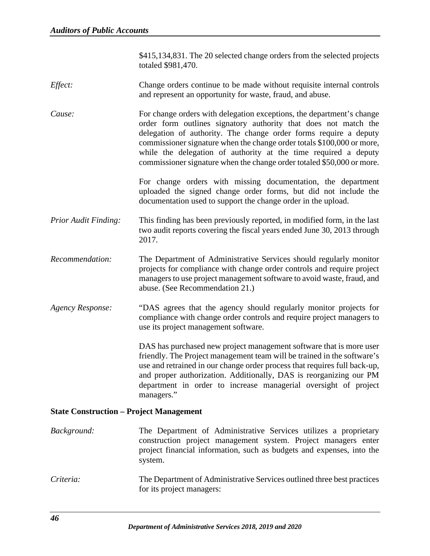\$415,134,831. The 20 selected change orders from the selected projects totaled \$981,470.

- *Effect:* Change orders continue to be made without requisite internal controls and represent an opportunity for waste, fraud, and abuse.
- *Cause:* For change orders with delegation exceptions, the department's change order form outlines signatory authority that does not match the delegation of authority. The change order forms require a deputy commissioner signature when the change order totals \$100,000 or more, while the delegation of authority at the time required a deputy commissioner signature when the change order totaled \$50,000 or more.

For change orders with missing documentation, the department uploaded the signed change order forms, but did not include the documentation used to support the change order in the upload.

- *Prior Audit Finding:* This finding has been previously reported, in modified form, in the last two audit reports covering the fiscal years ended June 30, 2013 through 2017.
- *Recommendation:* The Department of Administrative Services should regularly monitor projects for compliance with change order controls and require project managers to use project management software to avoid waste, fraud, and abuse. (See Recommendation 21.)
- *Agency Response:* "DAS agrees that the agency should regularly monitor projects for compliance with change order controls and require project managers to use its project management software.

DAS has purchased new project management software that is more user friendly. The Project management team will be trained in the software's use and retrained in our change order process that requires full back-up, and proper authorization. Additionally, DAS is reorganizing our PM department in order to increase managerial oversight of project managers."

#### **State Construction – Project Management**

- *Background:* The Department of Administrative Services utilizes a proprietary construction project management system. Project managers enter project financial information, such as budgets and expenses, into the system.
- *Criteria:* The Department of Administrative Services outlined three best practices for its project managers: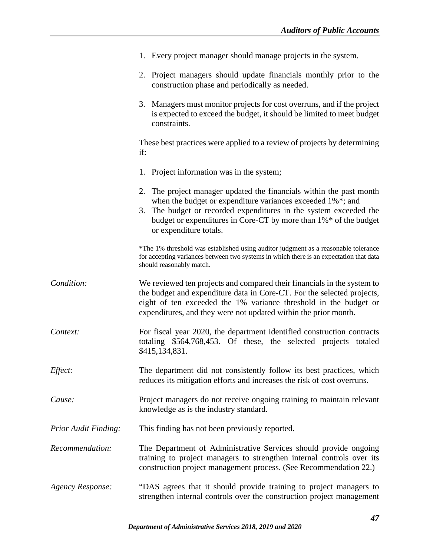|                             | 1. Every project manager should manage projects in the system.                                                                                                                                                                                                                                       |
|-----------------------------|------------------------------------------------------------------------------------------------------------------------------------------------------------------------------------------------------------------------------------------------------------------------------------------------------|
|                             | 2. Project managers should update financials monthly prior to the<br>construction phase and periodically as needed.                                                                                                                                                                                  |
|                             | 3. Managers must monitor projects for cost overruns, and if the project<br>is expected to exceed the budget, it should be limited to meet budget<br>constraints.                                                                                                                                     |
|                             | These best practices were applied to a review of projects by determining<br>if:                                                                                                                                                                                                                      |
|                             | 1. Project information was in the system;                                                                                                                                                                                                                                                            |
|                             | 2. The project manager updated the financials within the past month<br>when the budget or expenditure variances exceeded 1%*; and<br>3. The budget or recorded expenditures in the system exceeded the<br>budget or expenditures in Core-CT by more than 1%* of the budget<br>or expenditure totals. |
|                             | *The 1% threshold was established using auditor judgment as a reasonable tolerance<br>for accepting variances between two systems in which there is an expectation that data<br>should reasonably match.                                                                                             |
| Condition:                  | We reviewed ten projects and compared their financials in the system to<br>the budget and expenditure data in Core-CT. For the selected projects,<br>eight of ten exceeded the 1% variance threshold in the budget or<br>expenditures, and they were not updated within the prior month.             |
| Context:                    | For fiscal year 2020, the department identified construction contracts<br>totaling \$564,768,453. Of these, the selected projects totaled<br>\$415,134,831.                                                                                                                                          |
| Effect:                     | The department did not consistently follow its best practices, which<br>reduces its mitigation efforts and increases the risk of cost overruns.                                                                                                                                                      |
| Cause:                      | Project managers do not receive ongoing training to maintain relevant<br>knowledge as is the industry standard.                                                                                                                                                                                      |
| <b>Prior Audit Finding:</b> | This finding has not been previously reported.                                                                                                                                                                                                                                                       |
| Recommendation:             | The Department of Administrative Services should provide ongoing<br>training to project managers to strengthen internal controls over its<br>construction project management process. (See Recommendation 22.)                                                                                       |
| <b>Agency Response:</b>     | "DAS agrees that it should provide training to project managers to<br>strengthen internal controls over the construction project management                                                                                                                                                          |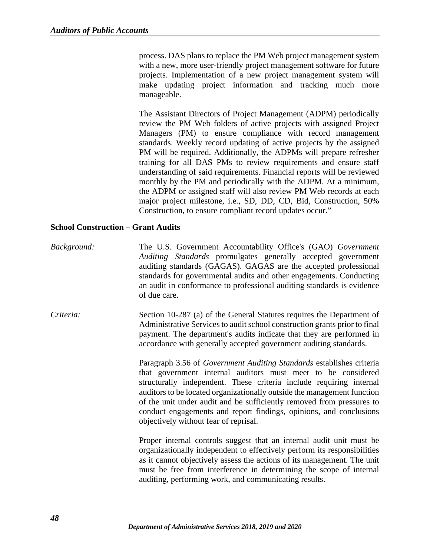process. DAS plans to replace the PM Web project management system with a new, more user-friendly project management software for future projects. Implementation of a new project management system will make updating project information and tracking much more manageable.

The Assistant Directors of Project Management (ADPM) periodically review the PM Web folders of active projects with assigned Project Managers (PM) to ensure compliance with record management standards. Weekly record updating of active projects by the assigned PM will be required. Additionally, the ADPMs will prepare refresher training for all DAS PMs to review requirements and ensure staff understanding of said requirements. Financial reports will be reviewed monthly by the PM and periodically with the ADPM. At a minimum, the ADPM or assigned staff will also review PM Web records at each major project milestone, i.e., SD, DD, CD, Bid, Construction, 50% Construction, to ensure compliant record updates occur."

#### **School Construction – Grant Audits**

- *Background:* The U.S. Government Accountability Office's (GAO) *Government Auditing Standards* promulgates generally accepted government auditing standards (GAGAS). GAGAS are the accepted professional standards for governmental audits and other engagements. Conducting an audit in conformance to professional auditing standards is evidence of due care.
- *Criteria:* Section 10-287 (a) of the General Statutes requires the Department of Administrative Services to audit school construction grants prior to final payment. The department's audits indicate that they are performed in accordance with generally accepted government auditing standards.

Paragraph 3.56 of *Government Auditing Standards* establishes criteria that government internal auditors must meet to be considered structurally independent. These criteria include requiring internal auditors to be located organizationally outside the management function of the unit under audit and be sufficiently removed from pressures to conduct engagements and report findings, opinions, and conclusions objectively without fear of reprisal.

Proper internal controls suggest that an internal audit unit must be organizationally independent to effectively perform its responsibilities as it cannot objectively assess the actions of its management. The unit must be free from interference in determining the scope of internal auditing, performing work, and communicating results.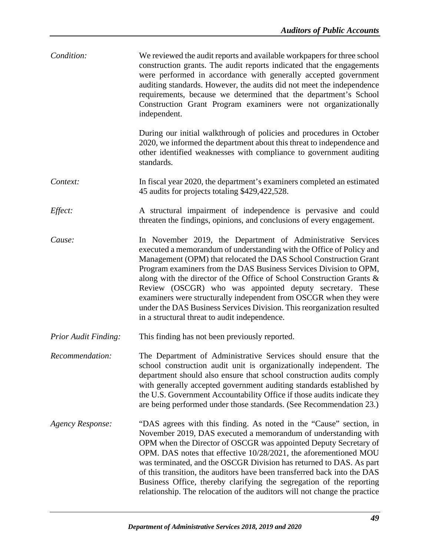| Condition:                  | We reviewed the audit reports and available workpapers for three school<br>construction grants. The audit reports indicated that the engagements<br>were performed in accordance with generally accepted government<br>auditing standards. However, the audits did not meet the independence<br>requirements, because we determined that the department's School<br>Construction Grant Program examiners were not organizationally<br>independent.                                                                                                                                                                 |
|-----------------------------|--------------------------------------------------------------------------------------------------------------------------------------------------------------------------------------------------------------------------------------------------------------------------------------------------------------------------------------------------------------------------------------------------------------------------------------------------------------------------------------------------------------------------------------------------------------------------------------------------------------------|
|                             | During our initial walkthrough of policies and procedures in October<br>2020, we informed the department about this threat to independence and<br>other identified weaknesses with compliance to government auditing<br>standards.                                                                                                                                                                                                                                                                                                                                                                                 |
| Context:                    | In fiscal year 2020, the department's examiners completed an estimated<br>45 audits for projects totaling \$429,422,528.                                                                                                                                                                                                                                                                                                                                                                                                                                                                                           |
| Effect:                     | A structural impairment of independence is pervasive and could<br>threaten the findings, opinions, and conclusions of every engagement.                                                                                                                                                                                                                                                                                                                                                                                                                                                                            |
| Cause:                      | In November 2019, the Department of Administrative Services<br>executed a memorandum of understanding with the Office of Policy and<br>Management (OPM) that relocated the DAS School Construction Grant<br>Program examiners from the DAS Business Services Division to OPM,<br>along with the director of the Office of School Construction Grants &<br>Review (OSCGR) who was appointed deputy secretary. These<br>examiners were structurally independent from OSCGR when they were<br>under the DAS Business Services Division. This reorganization resulted<br>in a structural threat to audit independence. |
| <b>Prior Audit Finding:</b> | This finding has not been previously reported.                                                                                                                                                                                                                                                                                                                                                                                                                                                                                                                                                                     |
| Recommendation:             | The Department of Administrative Services should ensure that the<br>school construction audit unit is organizationally independent. The<br>department should also ensure that school construction audits comply<br>with generally accepted government auditing standards established by<br>the U.S. Government Accountability Office if those audits indicate they<br>are being performed under those standards. (See Recommendation 23.)                                                                                                                                                                          |
| <b>Agency Response:</b>     | "DAS agrees with this finding. As noted in the "Cause" section, in<br>November 2019, DAS executed a memorandum of understanding with<br>OPM when the Director of OSCGR was appointed Deputy Secretary of<br>OPM. DAS notes that effective 10/28/2021, the aforementioned MOU<br>was terminated, and the OSCGR Division has returned to DAS. As part<br>of this transition, the auditors have been transferred back into the DAS<br>Business Office, thereby clarifying the segregation of the reporting<br>relationship. The relocation of the auditors will not change the practice                               |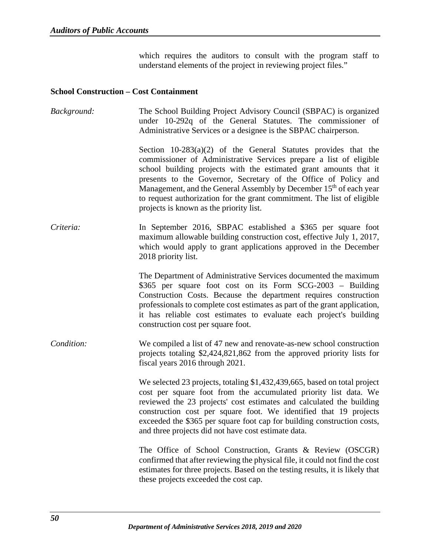which requires the auditors to consult with the program staff to understand elements of the project in reviewing project files."

#### **School Construction – Cost Containment**

*Background:* The School Building Project Advisory Council (SBPAC) is organized under 10-292q of the General Statutes. The commissioner of Administrative Services or a designee is the SBPAC chairperson. Section  $10-283(a)(2)$  of the General Statutes provides that the commissioner of Administrative Services prepare a list of eligible school building projects with the estimated grant amounts that it presents to the Governor, Secretary of the Office of Policy and Management, and the General Assembly by December 15<sup>th</sup> of each year to request authorization for the grant commitment. The list of eligible projects is known as the priority list. *Criteria:* In September 2016, SBPAC established a \$365 per square foot maximum allowable building construction cost, effective July 1, 2017, which would apply to grant applications approved in the December 2018 priority list. The Department of Administrative Services documented the maximum \$365 per square foot cost on its Form SCG-2003 – Building Construction Costs. Because the department requires construction professionals to complete cost estimates as part of the grant application, it has reliable cost estimates to evaluate each project's building construction cost per square foot. *Condition:* We compiled a list of 47 new and renovate-as-new school construction projects totaling \$2,424,821,862 from the approved priority lists for fiscal years 2016 through 2021. We selected 23 projects, totaling \$1,432,439,665, based on total project cost per square foot from the accumulated priority list data. We reviewed the 23 projects' cost estimates and calculated the building construction cost per square foot. We identified that 19 projects exceeded the \$365 per square foot cap for building construction costs, and three projects did not have cost estimate data. The Office of School Construction, Grants & Review (OSCGR) confirmed that after reviewing the physical file, it could not find the cost estimates for three projects. Based on the testing results, it is likely that these projects exceeded the cost cap.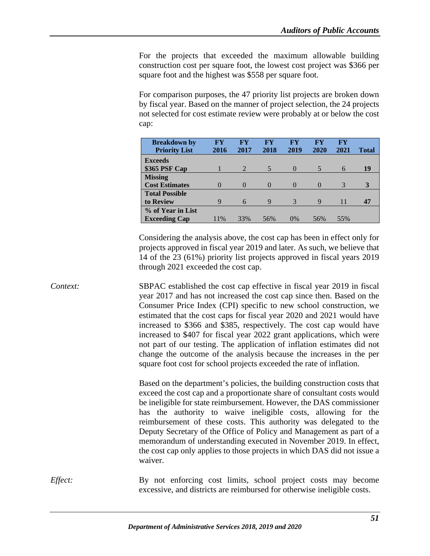For the projects that exceeded the maximum allowable building construction cost per square foot, the lowest cost project was \$366 per square foot and the highest was \$558 per square foot.

For comparison purposes, the 47 priority list projects are broken down by fiscal year. Based on the manner of project selection, the 24 projects not selected for cost estimate review were probably at or below the cost cap:

| <b>Breakdown by</b><br><b>Priority List</b> | FY<br>2016 | FY<br>2017     | FY<br>2018 | FY<br>2019    | FY<br>2020 | <b>FY</b><br>2021 | <b>Total</b> |
|---------------------------------------------|------------|----------------|------------|---------------|------------|-------------------|--------------|
| <b>Exceeds</b>                              |            |                |            |               |            |                   |              |
| \$365 PSF Cap                               |            | $\overline{2}$ | 5          | $\theta$      |            | 6                 | 19           |
| <b>Missing</b>                              |            |                |            |               |            |                   |              |
| <b>Cost Estimates</b>                       | $\Omega$   | $\Omega$       | $\Omega$   | $\mathcal{O}$ |            | 3                 | 3            |
| <b>Total Possible</b>                       |            |                |            |               |            |                   |              |
| to Review                                   | 9          | 6              | 9          | 3             | 9          | 11                | 47           |
| % of Year in List                           |            |                |            |               |            |                   |              |
| <b>Exceeding Cap</b>                        | 11%        | 33%            | 56%        | 0%            | 56%        | 55%               |              |

Considering the analysis above, the cost cap has been in effect only for projects approved in fiscal year 2019 and later. As such, we believe that 14 of the 23 (61%) priority list projects approved in fiscal years 2019 through 2021 exceeded the cost cap.

*Context:* SBPAC established the cost cap effective in fiscal year 2019 in fiscal year 2017 and has not increased the cost cap since then. Based on the Consumer Price Index (CPI) specific to new school construction, we estimated that the cost caps for fiscal year 2020 and 2021 would have increased to \$366 and \$385, respectively. The cost cap would have increased to \$407 for fiscal year 2022 grant applications, which were not part of our testing. The application of inflation estimates did not change the outcome of the analysis because the increases in the per square foot cost for school projects exceeded the rate of inflation.

> Based on the department's policies, the building construction costs that exceed the cost cap and a proportionate share of consultant costs would be ineligible for state reimbursement. However, the DAS commissioner has the authority to waive ineligible costs, allowing for the reimbursement of these costs. This authority was delegated to the Deputy Secretary of the Office of Policy and Management as part of a memorandum of understanding executed in November 2019. In effect, the cost cap only applies to those projects in which DAS did not issue a waiver.

*Effect:* By not enforcing cost limits, school project costs may become excessive, and districts are reimbursed for otherwise ineligible costs.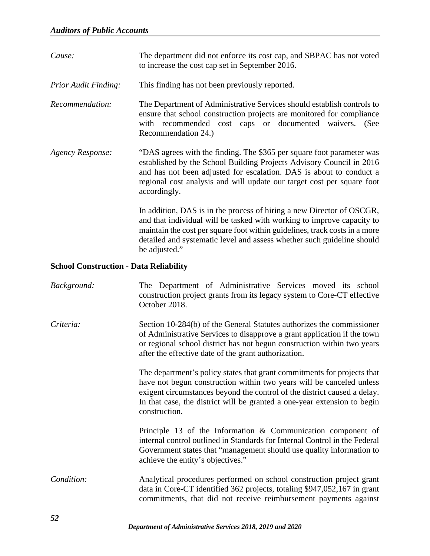| Cause:               | The department did not enforce its cost cap, and SBPAC has not voted<br>to increase the cost cap set in September 2016.                                                                                                                                                                                                  |
|----------------------|--------------------------------------------------------------------------------------------------------------------------------------------------------------------------------------------------------------------------------------------------------------------------------------------------------------------------|
| Prior Audit Finding: | This finding has not been previously reported.                                                                                                                                                                                                                                                                           |
| Recommendation:      | The Department of Administrative Services should establish controls to<br>ensure that school construction projects are monitored for compliance<br>with recommended cost caps or documented waivers. (See<br>Recommendation 24.)                                                                                         |
| Agency Response:     | "DAS agrees with the finding. The \$365 per square foot parameter was<br>established by the School Building Projects Advisory Council in 2016<br>and has not been adjusted for escalation. DAS is about to conduct a<br>regional cost analysis and will update our target cost per square foot<br>accordingly.           |
|                      | In addition, DAS is in the process of hiring a new Director of OSCGR,<br>and that individual will be tasked with working to improve capacity to<br>maintain the cost per square foot within guidelines, track costs in a more<br>detailed and systematic level and assess whether such guideline should<br>be adjusted." |

# **School Construction - Data Reliability**

| Background: | The Department of Administrative Services moved its school<br>construction project grants from its legacy system to Core-CT effective<br>October 2018.                                                                                                                                                                   |
|-------------|--------------------------------------------------------------------------------------------------------------------------------------------------------------------------------------------------------------------------------------------------------------------------------------------------------------------------|
| Criteria:   | Section 10-284(b) of the General Statutes authorizes the commissioner<br>of Administrative Services to disapprove a grant application if the town<br>or regional school district has not begun construction within two years<br>after the effective date of the grant authorization.                                     |
|             | The department's policy states that grant commitments for projects that<br>have not begun construction within two years will be canceled unless<br>exigent circumstances beyond the control of the district caused a delay.<br>In that case, the district will be granted a one-year extension to begin<br>construction. |
|             | Principle 13 of the Information $\&$ Communication component of<br>internal control outlined in Standards for Internal Control in the Federal<br>Government states that "management should use quality information to<br>achieve the entity's objectives."                                                               |
| Condition:  | Analytical procedures performed on school construction project grant<br>data in Core-CT identified 362 projects, totaling \$947,052,167 in grant<br>commitments, that did not receive reimbursement payments against                                                                                                     |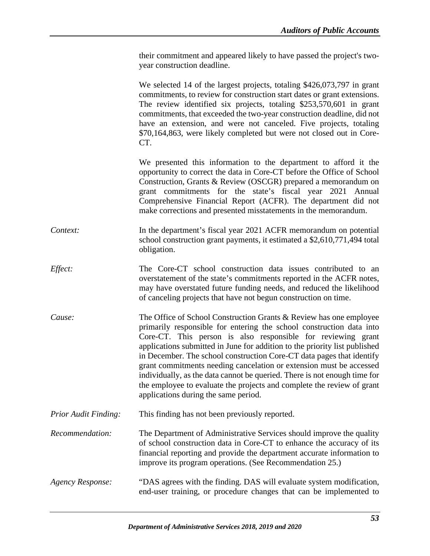their commitment and appeared likely to have passed the project's twoyear construction deadline.

We selected 14 of the largest projects, totaling \$426,073,797 in grant commitments, to review for construction start dates or grant extensions. The review identified six projects, totaling \$253,570,601 in grant commitments, that exceeded the two-year construction deadline, did not have an extension, and were not canceled. Five projects, totaling \$70,164,863, were likely completed but were not closed out in Core-CT.

We presented this information to the department to afford it the opportunity to correct the data in Core-CT before the Office of School Construction, Grants & Review (OSCGR) prepared a memorandum on grant commitments for the state's fiscal year 2021 Annual Comprehensive Financial Report (ACFR). The department did not make corrections and presented misstatements in the memorandum.

*Context:* In the department's fiscal year 2021 ACFR memorandum on potential school construction grant payments, it estimated a \$2,610,771,494 total obligation.

- *Effect:* The Core-CT school construction data issues contributed to an overstatement of the state's commitments reported in the ACFR notes, may have overstated future funding needs, and reduced the likelihood of canceling projects that have not begun construction on time.
- *Cause:* The Office of School Construction Grants & Review has one employee primarily responsible for entering the school construction data into Core-CT. This person is also responsible for reviewing grant applications submitted in June for addition to the priority list published in December. The school construction Core-CT data pages that identify grant commitments needing cancelation or extension must be accessed individually, as the data cannot be queried. There is not enough time for the employee to evaluate the projects and complete the review of grant applications during the same period.
- *Prior Audit Finding:* This finding has not been previously reported.
- *Recommendation:* The Department of Administrative Services should improve the quality of school construction data in Core-CT to enhance the accuracy of its financial reporting and provide the department accurate information to improve its program operations. (See Recommendation 25.)
- *Agency Response:* "DAS agrees with the finding. DAS will evaluate system modification, end-user training, or procedure changes that can be implemented to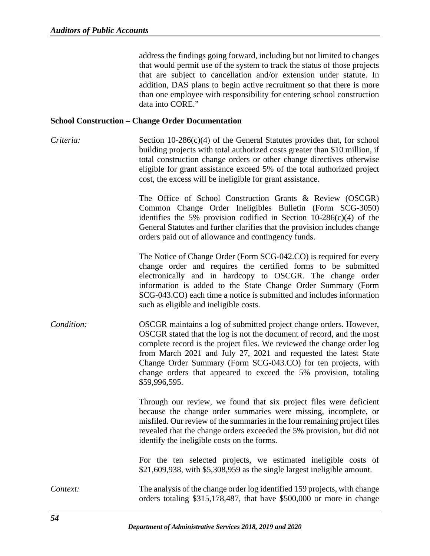address the findings going forward, including but not limited to changes that would permit use of the system to track the status of those projects that are subject to cancellation and/or extension under statute. In addition, DAS plans to begin active recruitment so that there is more than one employee with responsibility for entering school construction data into CORE."

#### **School Construction – Change Order Documentation**

*Criteria:* Section 10-286(c)(4) of the General Statutes provides that, for school building projects with total authorized costs greater than \$10 million, if total construction change orders or other change directives otherwise eligible for grant assistance exceed 5% of the total authorized project cost, the excess will be ineligible for grant assistance.

> The Office of School Construction Grants & Review (OSCGR) Common Change Order Ineligibles Bulletin (Form SCG-3050) identifies the 5% provision codified in Section  $10-286(c)(4)$  of the General Statutes and further clarifies that the provision includes change orders paid out of allowance and contingency funds.

> The Notice of Change Order (Form SCG-042.CO) is required for every change order and requires the certified forms to be submitted electronically and in hardcopy to OSCGR. The change order information is added to the State Change Order Summary (Form SCG-043.CO) each time a notice is submitted and includes information such as eligible and ineligible costs.

*Condition:* OSCGR maintains a log of submitted project change orders. However, OSCGR stated that the log is not the document of record, and the most complete record is the project files. We reviewed the change order log from March 2021 and July 27, 2021 and requested the latest State Change Order Summary (Form SCG-043.CO) for ten projects, with change orders that appeared to exceed the 5% provision, totaling \$59,996,595.

> Through our review, we found that six project files were deficient because the change order summaries were missing, incomplete, or misfiled. Our review of the summaries in the four remaining project files revealed that the change orders exceeded the 5% provision, but did not identify the ineligible costs on the forms.

> For the ten selected projects, we estimated ineligible costs of \$21,609,938, with \$5,308,959 as the single largest ineligible amount.

*Context:* The analysis of the change order log identified 159 projects, with change orders totaling \$315,178,487, that have \$500,000 or more in change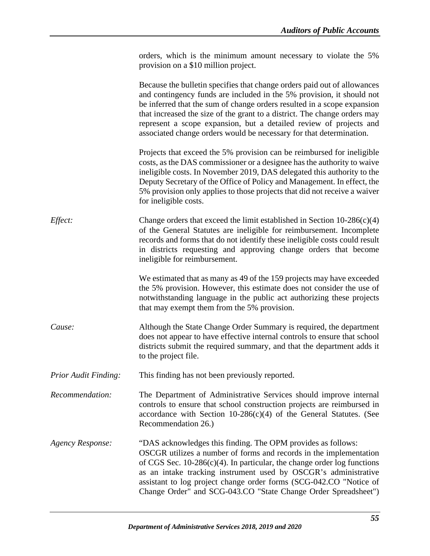|                             | orders, which is the minimum amount necessary to violate the 5%<br>provision on a \$10 million project.                                                                                                                                                                                                                                                                                                                                                |
|-----------------------------|--------------------------------------------------------------------------------------------------------------------------------------------------------------------------------------------------------------------------------------------------------------------------------------------------------------------------------------------------------------------------------------------------------------------------------------------------------|
|                             | Because the bulletin specifies that change orders paid out of allowances<br>and contingency funds are included in the 5% provision, it should not<br>be inferred that the sum of change orders resulted in a scope expansion<br>that increased the size of the grant to a district. The change orders may<br>represent a scope expansion, but a detailed review of projects and<br>associated change orders would be necessary for that determination. |
|                             | Projects that exceed the 5% provision can be reimbursed for ineligible<br>costs, as the DAS commissioner or a designee has the authority to waive<br>ineligible costs. In November 2019, DAS delegated this authority to the<br>Deputy Secretary of the Office of Policy and Management. In effect, the<br>5% provision only applies to those projects that did not receive a waiver<br>for ineligible costs.                                          |
| Effect:                     | Change orders that exceed the limit established in Section $10-286(c)(4)$<br>of the General Statutes are ineligible for reimbursement. Incomplete<br>records and forms that do not identify these ineligible costs could result<br>in districts requesting and approving change orders that become<br>ineligible for reimbursement.                                                                                                                    |
|                             | We estimated that as many as 49 of the 159 projects may have exceeded<br>the 5% provision. However, this estimate does not consider the use of<br>notwithstanding language in the public act authorizing these projects<br>that may exempt them from the 5% provision.                                                                                                                                                                                 |
| Cause:                      | Although the State Change Order Summary is required, the department<br>does not appear to have effective internal controls to ensure that school<br>districts submit the required summary, and that the department adds it<br>to the project file.                                                                                                                                                                                                     |
| <b>Prior Audit Finding:</b> | This finding has not been previously reported.                                                                                                                                                                                                                                                                                                                                                                                                         |
| Recommendation:             | The Department of Administrative Services should improve internal<br>controls to ensure that school construction projects are reimbursed in<br>accordance with Section $10-286(c)(4)$ of the General Statutes. (See<br>Recommendation 26.)                                                                                                                                                                                                             |
| <b>Agency Response:</b>     | "DAS acknowledges this finding. The OPM provides as follows:<br>OSCGR utilizes a number of forms and records in the implementation<br>of CGS Sec. $10-286(c)(4)$ . In particular, the change order log functions<br>as an intake tracking instrument used by OSCGR's administrative<br>assistant to log project change order forms (SCG-042.CO "Notice of<br>Change Order" and SCG-043.CO "State Change Order Spreadsheet")                            |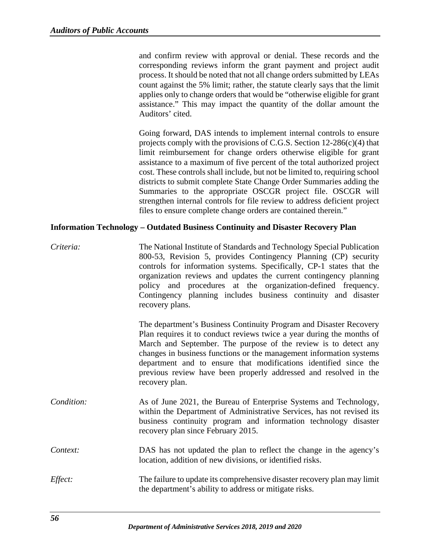and confirm review with approval or denial. These records and the corresponding reviews inform the grant payment and project audit process. It should be noted that not all change orders submitted by LEAs count against the 5% limit; rather, the statute clearly says that the limit applies only to change orders that would be "otherwise eligible for grant assistance." This may impact the quantity of the dollar amount the Auditors' cited.

Going forward, DAS intends to implement internal controls to ensure projects comply with the provisions of C.G.S. Section 12-286(c)(4) that limit reimbursement for change orders otherwise eligible for grant assistance to a maximum of five percent of the total authorized project cost. These controls shall include, but not be limited to, requiring school districts to submit complete State Change Order Summaries adding the Summaries to the appropriate OSCGR project file. OSCGR will strengthen internal controls for file review to address deficient project files to ensure complete change orders are contained therein."

#### **Information Technology – Outdated Business Continuity and Disaster Recovery Plan**

*Criteria:* The National Institute of Standards and Technology Special Publication 800-53, Revision 5, provides Contingency Planning (CP) security controls for information systems. Specifically, CP-1 states that the organization reviews and updates the current contingency planning policy and procedures at the organization-defined frequency. Contingency planning includes business continuity and disaster recovery plans.

> The department's Business Continuity Program and Disaster Recovery Plan requires it to conduct reviews twice a year during the months of March and September. The purpose of the review is to detect any changes in business functions or the management information systems department and to ensure that modifications identified since the previous review have been properly addressed and resolved in the recovery plan.

- *Condition:* As of June 2021, the Bureau of Enterprise Systems and Technology, within the Department of Administrative Services, has not revised its business continuity program and information technology disaster recovery plan since February 2015.
- *Context:* DAS has not updated the plan to reflect the change in the agency's location, addition of new divisions, or identified risks.
- *Effect:* The failure to update its comprehensive disaster recovery plan may limit the department's ability to address or mitigate risks.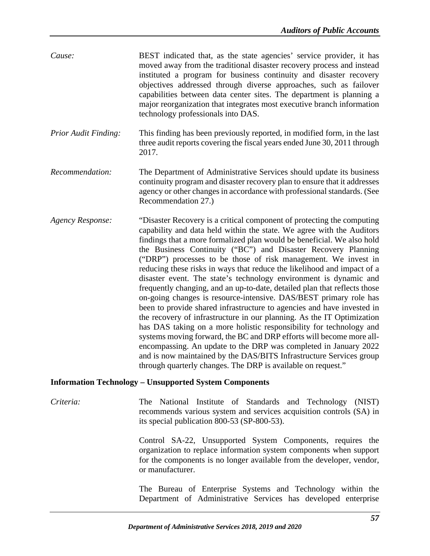| Cause: | BEST indicated that, as the state agencies' service provider, it has   |
|--------|------------------------------------------------------------------------|
|        | moved away from the traditional disaster recovery process and instead  |
|        | instituted a program for business continuity and disaster recovery     |
|        | objectives addressed through diverse approaches, such as failover      |
|        | capabilities between data center sites. The department is planning a   |
|        | major reorganization that integrates most executive branch information |
|        | technology professionals into DAS.                                     |

- *Prior Audit Finding:* This finding has been previously reported, in modified form, in the last three audit reports covering the fiscal years ended June 30, 2011 through 2017.
- *Recommendation:* The Department of Administrative Services should update its business continuity program and disaster recovery plan to ensure that it addresses agency or other changes in accordance with professional standards. (See Recommendation 27.)
- *Agency Response:* "Disaster Recovery is a critical component of protecting the computing capability and data held within the state. We agree with the Auditors findings that a more formalized plan would be beneficial. We also hold the Business Continuity ("BC") and Disaster Recovery Planning ("DRP") processes to be those of risk management. We invest in reducing these risks in ways that reduce the likelihood and impact of a disaster event. The state's technology environment is dynamic and frequently changing, and an up-to-date, detailed plan that reflects those on-going changes is resource-intensive. DAS/BEST primary role has been to provide shared infrastructure to agencies and have invested in the recovery of infrastructure in our planning. As the IT Optimization has DAS taking on a more holistic responsibility for technology and systems moving forward, the BC and DRP efforts will become more allencompassing. An update to the DRP was completed in January 2022 and is now maintained by the DAS/BITS Infrastructure Services group through quarterly changes. The DRP is available on request."

#### **Information Technology – Unsupported System Components**

*Criteria:* The National Institute of Standards and Technology (NIST) recommends various system and services acquisition controls (SA) in its special publication 800-53 (SP-800-53).

> Control SA-22, Unsupported System Components, requires the organization to replace information system components when support for the components is no longer available from the developer, vendor, or manufacturer.

> The Bureau of Enterprise Systems and Technology within the Department of Administrative Services has developed enterprise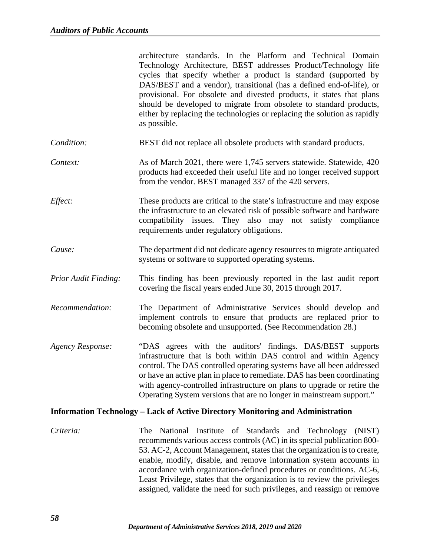|                             | architecture standards. In the Platform and Technical Domain<br>Technology Architecture, BEST addresses Product/Technology life<br>cycles that specify whether a product is standard (supported by<br>DAS/BEST and a vendor), transitional (has a defined end-of-life), or<br>provisional. For obsolete and divested products, it states that plans<br>should be developed to migrate from obsolete to standard products,<br>either by replacing the technologies or replacing the solution as rapidly<br>as possible.           |
|-----------------------------|----------------------------------------------------------------------------------------------------------------------------------------------------------------------------------------------------------------------------------------------------------------------------------------------------------------------------------------------------------------------------------------------------------------------------------------------------------------------------------------------------------------------------------|
| Condition:                  | BEST did not replace all obsolete products with standard products.                                                                                                                                                                                                                                                                                                                                                                                                                                                               |
| Context:                    | As of March 2021, there were 1,745 servers statewide. Statewide, 420<br>products had exceeded their useful life and no longer received support<br>from the vendor. BEST managed 337 of the 420 servers.                                                                                                                                                                                                                                                                                                                          |
| Effect:                     | These products are critical to the state's infrastructure and may expose<br>the infrastructure to an elevated risk of possible software and hardware<br>compatibility issues. They also may not satisfy compliance<br>requirements under regulatory obligations.                                                                                                                                                                                                                                                                 |
| Cause:                      | The department did not dedicate agency resources to migrate antiquated<br>systems or software to supported operating systems.                                                                                                                                                                                                                                                                                                                                                                                                    |
| <b>Prior Audit Finding:</b> | This finding has been previously reported in the last audit report<br>covering the fiscal years ended June 30, 2015 through 2017.                                                                                                                                                                                                                                                                                                                                                                                                |
| Recommendation:             | The Department of Administrative Services should develop and<br>implement controls to ensure that products are replaced prior to<br>becoming obsolete and unsupported. (See Recommendation 28.)                                                                                                                                                                                                                                                                                                                                  |
| <b>Agency Response:</b>     | "DAS agrees with the auditors' findings. DAS/BEST supports<br>infrastructure that is both within DAS control and within Agency<br>control. The DAS controlled operating systems have all been addressed<br>or have an active plan in place to remediate. DAS has been coordinating<br>with agency-controlled infrastructure on plans to upgrade or retire the<br>Operating System versions that are no longer in mainstream support."                                                                                            |
|                             | <b>Information Technology – Lack of Active Directory Monitoring and Administration</b>                                                                                                                                                                                                                                                                                                                                                                                                                                           |
| Criteria:                   | National Institute of Standards and Technology (NIST)<br><b>The</b><br>recommends various access controls (AC) in its special publication 800-<br>53. AC-2, Account Management, states that the organization is to create,<br>enable, modify, disable, and remove information system accounts in<br>accordance with organization-defined procedures or conditions. AC-6,<br>Least Privilege, states that the organization is to review the privileges<br>assigned, validate the need for such privileges, and reassign or remove |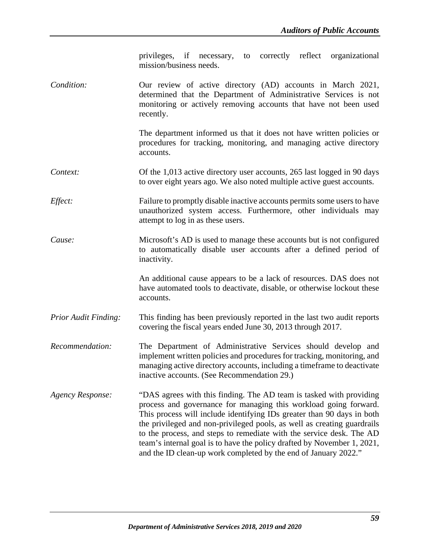privileges, if necessary, to correctly reflect organizational mission/business needs.

*Condition:* Our review of active directory (AD) accounts in March 2021, determined that the Department of Administrative Services is not monitoring or actively removing accounts that have not been used recently.

> The department informed us that it does not have written policies or procedures for tracking, monitoring, and managing active directory accounts.

- *Context:* Of the 1,013 active directory user accounts, 265 last logged in 90 days to over eight years ago. We also noted multiple active guest accounts.
- *Effect:* Failure to promptly disable inactive accounts permits some users to have unauthorized system access. Furthermore, other individuals may attempt to log in as these users.
- *Cause:* Microsoft's AD is used to manage these accounts but is not configured to automatically disable user accounts after a defined period of inactivity.

An additional cause appears to be a lack of resources. DAS does not have automated tools to deactivate, disable, or otherwise lockout these accounts.

- *Prior Audit Finding:* This finding has been previously reported in the last two audit reports covering the fiscal years ended June 30, 2013 through 2017.
- *Recommendation:* The Department of Administrative Services should develop and implement written policies and procedures for tracking, monitoring, and managing active directory accounts, including a timeframe to deactivate inactive accounts. (See Recommendation 29.)
- *Agency Response:* "DAS agrees with this finding. The AD team is tasked with providing process and governance for managing this workload going forward. This process will include identifying IDs greater than 90 days in both the privileged and non-privileged pools, as well as creating guardrails to the process, and steps to remediate with the service desk. The AD team's internal goal is to have the policy drafted by November 1, 2021, and the ID clean-up work completed by the end of January 2022."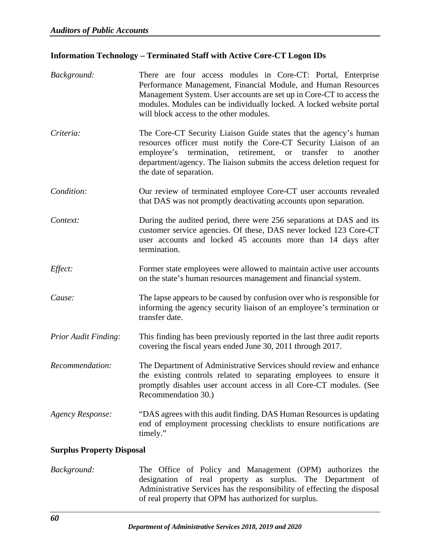## **Information Technology – Terminated Staff with Active Core-CT Logon IDs**

| Background:                      | There are four access modules in Core-CT: Portal, Enterprise<br>Performance Management, Financial Module, and Human Resources<br>Management System. User accounts are set up in Core-CT to access the<br>modules. Modules can be individually locked. A locked website portal<br>will block access to the other modules. |
|----------------------------------|--------------------------------------------------------------------------------------------------------------------------------------------------------------------------------------------------------------------------------------------------------------------------------------------------------------------------|
| Criteria:                        | The Core-CT Security Liaison Guide states that the agency's human<br>resources officer must notify the Core-CT Security Liaison of an<br>employee's termination, retirement, or<br>transfer to<br>another<br>department/agency. The liaison submits the access deletion request for<br>the date of separation.           |
| Condition:                       | Our review of terminated employee Core-CT user accounts revealed<br>that DAS was not promptly deactivating accounts upon separation.                                                                                                                                                                                     |
| Context:                         | During the audited period, there were 256 separations at DAS and its<br>customer service agencies. Of these, DAS never locked 123 Core-CT<br>user accounts and locked 45 accounts more than 14 days after<br>termination.                                                                                                |
| Effect:                          | Former state employees were allowed to maintain active user accounts<br>on the state's human resources management and financial system.                                                                                                                                                                                  |
| Cause:                           | The lapse appears to be caused by confusion over who is responsible for<br>informing the agency security liaison of an employee's termination or<br>transfer date.                                                                                                                                                       |
| Prior Audit Finding:             | This finding has been previously reported in the last three audit reports<br>covering the fiscal years ended June 30, 2011 through 2017.                                                                                                                                                                                 |
| Recommendation:                  | The Department of Administrative Services should review and enhance<br>the existing controls related to separating employees to ensure it<br>promptly disables user account access in all Core-CT modules. (See<br>Recommendation 30.)                                                                                   |
| <b>Agency Response:</b>          | "DAS agrees with this audit finding. DAS Human Resources is updating<br>end of employment processing checklists to ensure notifications are<br>timely."                                                                                                                                                                  |
| <b>Surplus Property Disposal</b> |                                                                                                                                                                                                                                                                                                                          |

*Background:* The Office of Policy and Management (OPM) authorizes the designation of real property as surplus. The Department of Administrative Services has the responsibility of effecting the disposal of real property that OPM has authorized for surplus.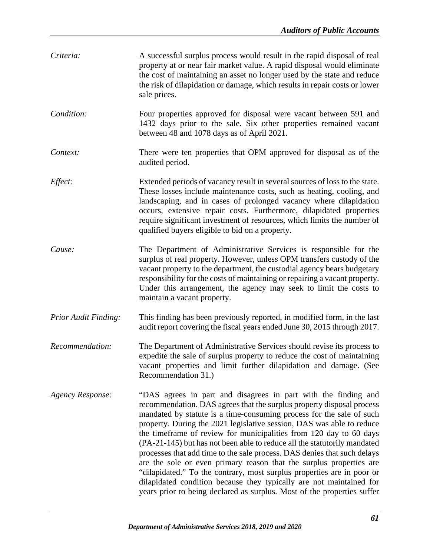| Criteria:                   | A successful surplus process would result in the rapid disposal of real<br>property at or near fair market value. A rapid disposal would eliminate<br>the cost of maintaining an asset no longer used by the state and reduce<br>the risk of dilapidation or damage, which results in repair costs or lower<br>sale prices.                                                                                                                                                                                                                                                                                                                                                                                                                                                                                               |
|-----------------------------|---------------------------------------------------------------------------------------------------------------------------------------------------------------------------------------------------------------------------------------------------------------------------------------------------------------------------------------------------------------------------------------------------------------------------------------------------------------------------------------------------------------------------------------------------------------------------------------------------------------------------------------------------------------------------------------------------------------------------------------------------------------------------------------------------------------------------|
| Condition:                  | Four properties approved for disposal were vacant between 591 and<br>1432 days prior to the sale. Six other properties remained vacant<br>between 48 and 1078 days as of April 2021.                                                                                                                                                                                                                                                                                                                                                                                                                                                                                                                                                                                                                                      |
| Context:                    | There were ten properties that OPM approved for disposal as of the<br>audited period.                                                                                                                                                                                                                                                                                                                                                                                                                                                                                                                                                                                                                                                                                                                                     |
| Effect:                     | Extended periods of vacancy result in several sources of loss to the state.<br>These losses include maintenance costs, such as heating, cooling, and<br>landscaping, and in cases of prolonged vacancy where dilapidation<br>occurs, extensive repair costs. Furthermore, dilapidated properties<br>require significant investment of resources, which limits the number of<br>qualified buyers eligible to bid on a property.                                                                                                                                                                                                                                                                                                                                                                                            |
| Cause:                      | The Department of Administrative Services is responsible for the<br>surplus of real property. However, unless OPM transfers custody of the<br>vacant property to the department, the custodial agency bears budgetary<br>responsibility for the costs of maintaining or repairing a vacant property.<br>Under this arrangement, the agency may seek to limit the costs to<br>maintain a vacant property.                                                                                                                                                                                                                                                                                                                                                                                                                  |
| <b>Prior Audit Finding:</b> | This finding has been previously reported, in modified form, in the last<br>audit report covering the fiscal years ended June 30, 2015 through 2017.                                                                                                                                                                                                                                                                                                                                                                                                                                                                                                                                                                                                                                                                      |
| Recommendation:             | The Department of Administrative Services should revise its process to<br>expedite the sale of surplus property to reduce the cost of maintaining<br>vacant properties and limit further dilapidation and damage. (See<br>Recommendation 31.)                                                                                                                                                                                                                                                                                                                                                                                                                                                                                                                                                                             |
| <b>Agency Response:</b>     | "DAS agrees in part and disagrees in part with the finding and<br>recommendation. DAS agrees that the surplus property disposal process<br>mandated by statute is a time-consuming process for the sale of such<br>property. During the 2021 legislative session, DAS was able to reduce<br>the timeframe of review for municipalities from 120 day to 60 days<br>(PA-21-145) but has not been able to reduce all the statutorily mandated<br>processes that add time to the sale process. DAS denies that such delays<br>are the sole or even primary reason that the surplus properties are<br>"dilapidated." To the contrary, most surplus properties are in poor or<br>dilapidated condition because they typically are not maintained for<br>years prior to being declared as surplus. Most of the properties suffer |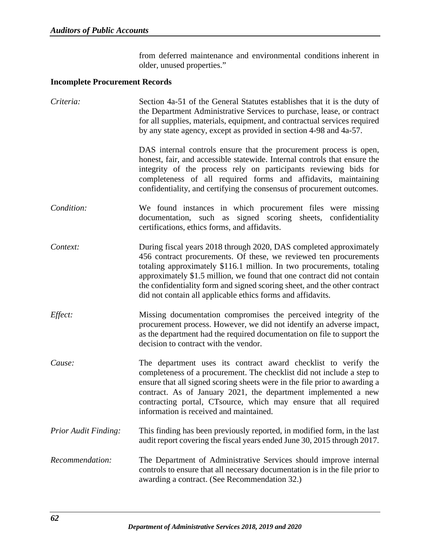from deferred maintenance and environmental conditions inherent in older, unused properties."

## **Incomplete Procurement Records**

| Criteria:                   | Section 4a-51 of the General Statutes establishes that it is the duty of<br>the Department Administrative Services to purchase, lease, or contract<br>for all supplies, materials, equipment, and contractual services required<br>by any state agency, except as provided in section 4-98 and 4a-57.                                                                                                                                   |
|-----------------------------|-----------------------------------------------------------------------------------------------------------------------------------------------------------------------------------------------------------------------------------------------------------------------------------------------------------------------------------------------------------------------------------------------------------------------------------------|
|                             | DAS internal controls ensure that the procurement process is open,<br>honest, fair, and accessible statewide. Internal controls that ensure the<br>integrity of the process rely on participants reviewing bids for<br>completeness of all required forms and affidavits, maintaining<br>confidentiality, and certifying the consensus of procurement outcomes.                                                                         |
| Condition:                  | We found instances in which procurement files were missing<br>documentation, such as signed scoring sheets, confidentiality<br>certifications, ethics forms, and affidavits.                                                                                                                                                                                                                                                            |
| Context:                    | During fiscal years 2018 through 2020, DAS completed approximately<br>456 contract procurements. Of these, we reviewed ten procurements<br>totaling approximately \$116.1 million. In two procurements, totaling<br>approximately \$1.5 million, we found that one contract did not contain<br>the confidentiality form and signed scoring sheet, and the other contract<br>did not contain all applicable ethics forms and affidavits. |
| Effect:                     | Missing documentation compromises the perceived integrity of the<br>procurement process. However, we did not identify an adverse impact,<br>as the department had the required documentation on file to support the<br>decision to contract with the vendor.                                                                                                                                                                            |
| Cause:                      | The department uses its contract award checklist to verify the<br>completeness of a procurement. The checklist did not include a step to<br>ensure that all signed scoring sheets were in the file prior to awarding a<br>contract. As of January 2021, the department implemented a new<br>contracting portal, CTsource, which may ensure that all required<br>information is received and maintained.                                 |
| <b>Prior Audit Finding:</b> | This finding has been previously reported, in modified form, in the last<br>audit report covering the fiscal years ended June 30, 2015 through 2017.                                                                                                                                                                                                                                                                                    |
| Recommendation:             | The Department of Administrative Services should improve internal<br>controls to ensure that all necessary documentation is in the file prior to<br>awarding a contract. (See Recommendation 32.)                                                                                                                                                                                                                                       |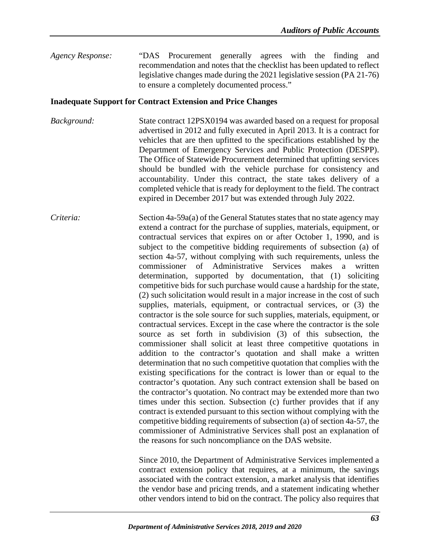*Agency Response:* "DAS Procurement generally agrees with the finding and recommendation and notes that the checklist has been updated to reflect legislative changes made during the 2021 legislative session (PA 21-76) to ensure a completely documented process."

#### **Inadequate Support for Contract Extension and Price Changes**

- *Background:* State contract 12PSX0194 was awarded based on a request for proposal advertised in 2012 and fully executed in April 2013. It is a contract for vehicles that are then upfitted to the specifications established by the Department of Emergency Services and Public Protection (DESPP). The Office of Statewide Procurement determined that upfitting services should be bundled with the vehicle purchase for consistency and accountability. Under this contract, the state takes delivery of a completed vehicle that is ready for deployment to the field. The contract expired in December 2017 but was extended through July 2022.
- *Criteria:* Section 4a-59a(a) of the General Statutes states that no state agency may extend a contract for the purchase of supplies, materials, equipment, or contractual services that expires on or after October 1, 1990, and is subject to the competitive bidding requirements of subsection (a) of section 4a-57, without complying with such requirements, unless the commissioner of Administrative Services makes a written determination, supported by documentation, that (1) soliciting competitive bids for such purchase would cause a hardship for the state, (2) such solicitation would result in a major increase in the cost of such supplies, materials, equipment, or contractual services, or (3) the contractor is the sole source for such supplies, materials, equipment, or contractual services. Except in the case where the contractor is the sole source as set forth in subdivision (3) of this subsection, the commissioner shall solicit at least three competitive quotations in addition to the contractor's quotation and shall make a written determination that no such competitive quotation that complies with the existing specifications for the contract is lower than or equal to the contractor's quotation. Any such contract extension shall be based on the contractor's quotation. No contract may be extended more than two times under this section. Subsection (c) further provides that if any contract is extended pursuant to this section without complying with the competitive bidding requirements of subsection (a) of section 4a-57, the commissioner of Administrative Services shall post an explanation of the reasons for such noncompliance on the DAS website.

Since 2010, the Department of Administrative Services implemented a contract extension policy that requires, at a minimum, the savings associated with the contract extension, a market analysis that identifies the vendor base and pricing trends, and a statement indicating whether other vendors intend to bid on the contract. The policy also requires that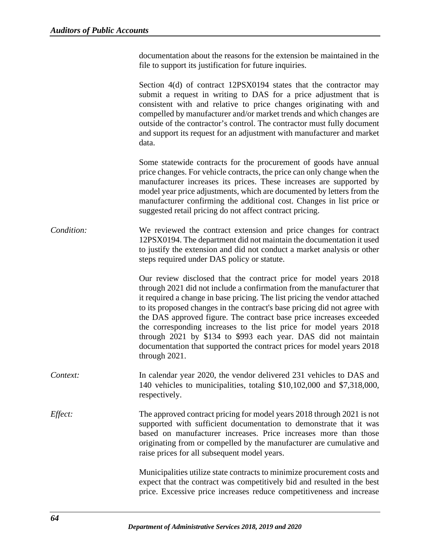documentation about the reasons for the extension be maintained in the file to support its justification for future inquiries.

Section 4(d) of contract 12PSX0194 states that the contractor may submit a request in writing to DAS for a price adjustment that is consistent with and relative to price changes originating with and compelled by manufacturer and/or market trends and which changes are outside of the contractor's control. The contractor must fully document and support its request for an adjustment with manufacturer and market data.

Some statewide contracts for the procurement of goods have annual price changes. For vehicle contracts, the price can only change when the manufacturer increases its prices. These increases are supported by model year price adjustments, which are documented by letters from the manufacturer confirming the additional cost. Changes in list price or suggested retail pricing do not affect contract pricing.

*Condition:* We reviewed the contract extension and price changes for contract 12PSX0194. The department did not maintain the documentation it used to justify the extension and did not conduct a market analysis or other steps required under DAS policy or statute.

> Our review disclosed that the contract price for model years 2018 through 2021 did not include a confirmation from the manufacturer that it required a change in base pricing. The list pricing the vendor attached to its proposed changes in the contract's base pricing did not agree with the DAS approved figure. The contract base price increases exceeded the corresponding increases to the list price for model years 2018 through 2021 by \$134 to \$993 each year. DAS did not maintain documentation that supported the contract prices for model years 2018 through 2021.

- *Context:* In calendar year 2020, the vendor delivered 231 vehicles to DAS and 140 vehicles to municipalities, totaling \$10,102,000 and \$7,318,000, respectively.
- *Effect:* The approved contract pricing for model years 2018 through 2021 is not supported with sufficient documentation to demonstrate that it was based on manufacturer increases. Price increases more than those originating from or compelled by the manufacturer are cumulative and raise prices for all subsequent model years.

Municipalities utilize state contracts to minimize procurement costs and expect that the contract was competitively bid and resulted in the best price. Excessive price increases reduce competitiveness and increase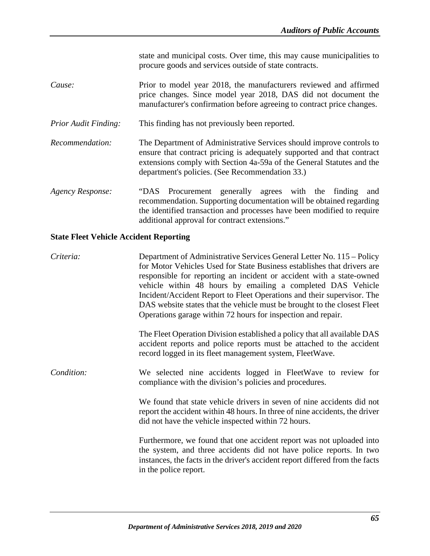state and municipal costs. Over time, this may cause municipalities to procure goods and services outside of state contracts.

- *Cause:* Prior to model year 2018, the manufacturers reviewed and affirmed price changes. Since model year 2018, DAS did not document the manufacturer's confirmation before agreeing to contract price changes.
- *Prior Audit Finding:* This finding has not previously been reported.
- *Recommendation:* The Department of Administrative Services should improve controls to ensure that contract pricing is adequately supported and that contract extensions comply with Section 4a-59a of the General Statutes and the department's policies. (See Recommendation 33.)
- *Agency Response:* "DAS Procurement generally agrees with the finding and recommendation. Supporting documentation will be obtained regarding the identified transaction and processes have been modified to require additional approval for contract extensions."

## **State Fleet Vehicle Accident Reporting**

*Criteria:* Department of Administrative Services General Letter No. 115 – Policy for Motor Vehicles Used for State Business establishes that drivers are responsible for reporting an incident or accident with a state-owned vehicle within 48 hours by emailing a completed DAS Vehicle Incident/Accident Report to Fleet Operations and their supervisor. The DAS website states that the vehicle must be brought to the closest Fleet Operations garage within 72 hours for inspection and repair.

> The Fleet Operation Division established a policy that all available DAS accident reports and police reports must be attached to the accident record logged in its fleet management system, FleetWave.

*Condition:* We selected nine accidents logged in FleetWave to review for compliance with the division's policies and procedures.

> We found that state vehicle drivers in seven of nine accidents did not report the accident within 48 hours. In three of nine accidents, the driver did not have the vehicle inspected within 72 hours.

> Furthermore, we found that one accident report was not uploaded into the system, and three accidents did not have police reports. In two instances, the facts in the driver's accident report differed from the facts in the police report.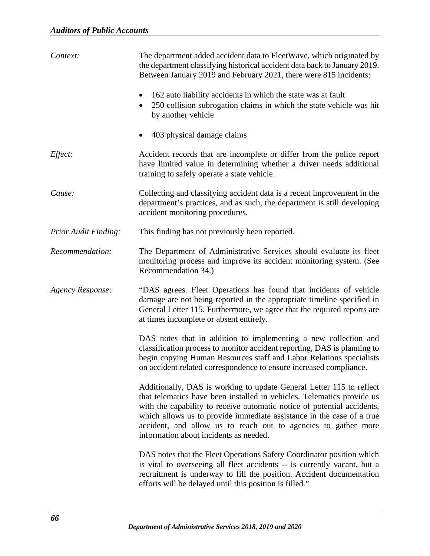| Context:                    | The department added accident data to FleetWave, which originated by<br>the department classifying historical accident data back to January 2019.<br>Between January 2019 and February 2021, there were 815 incidents:                                                                                                                                                                                         |
|-----------------------------|----------------------------------------------------------------------------------------------------------------------------------------------------------------------------------------------------------------------------------------------------------------------------------------------------------------------------------------------------------------------------------------------------------------|
|                             | 162 auto liability accidents in which the state was at fault<br>250 collision subrogation claims in which the state vehicle was hit<br>by another vehicle                                                                                                                                                                                                                                                      |
|                             | 403 physical damage claims                                                                                                                                                                                                                                                                                                                                                                                     |
| Effect:                     | Accident records that are incomplete or differ from the police report<br>have limited value in determining whether a driver needs additional<br>training to safely operate a state vehicle.                                                                                                                                                                                                                    |
| Cause:                      | Collecting and classifying accident data is a recent improvement in the<br>department's practices, and as such, the department is still developing<br>accident monitoring procedures.                                                                                                                                                                                                                          |
| <b>Prior Audit Finding:</b> | This finding has not previously been reported.                                                                                                                                                                                                                                                                                                                                                                 |
| Recommendation:             | The Department of Administrative Services should evaluate its fleet<br>monitoring process and improve its accident monitoring system. (See<br>Recommendation 34.)                                                                                                                                                                                                                                              |
| <b>Agency Response:</b>     | "DAS agrees. Fleet Operations has found that incidents of vehicle<br>damage are not being reported in the appropriate timeline specified in<br>General Letter 115. Furthermore, we agree that the required reports are<br>at times incomplete or absent entirely.                                                                                                                                              |
|                             | DAS notes that in addition to implementing a new collection and<br>classification process to monitor accident reporting, DAS is planning to<br>begin copying Human Resources staff and Labor Relations specialists<br>on accident related correspondence to ensure increased compliance.                                                                                                                       |
|                             | Additionally, DAS is working to update General Letter 115 to reflect<br>that telematics have been installed in vehicles. Telematics provide us<br>with the capability to receive automatic notice of potential accidents,<br>which allows us to provide immediate assistance in the case of a true<br>accident, and allow us to reach out to agencies to gather more<br>information about incidents as needed. |
|                             | DAS notes that the Fleet Operations Safety Coordinator position which<br>is vital to overseeing all fleet accidents -- is currently vacant, but a<br>recruitment is underway to fill the position. Accident documentation<br>efforts will be delayed until this position is filled."                                                                                                                           |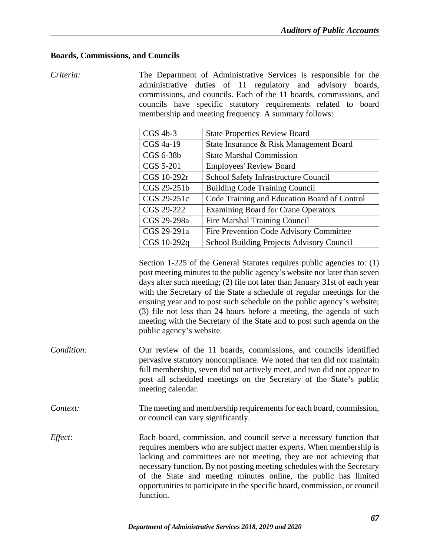## **Boards, Commissions, and Councils**

*Criteria:* The Department of Administrative Services is responsible for the administrative duties of 11 regulatory and advisory boards, commissions, and councils. Each of the 11 boards, commissions, and councils have specific statutory requirements related to board membership and meeting frequency. A summary follows:

| $CGS$ 4b-3  | <b>State Properties Review Board</b>         |
|-------------|----------------------------------------------|
| CGS 4a-19   | State Insurance & Risk Management Board      |
| CGS 6-38b   | <b>State Marshal Commission</b>              |
| CGS 5-201   | <b>Employees' Review Board</b>               |
| CGS 10-292r | School Safety Infrastructure Council         |
| CGS 29-251b | <b>Building Code Training Council</b>        |
| CGS 29-251c | Code Training and Education Board of Control |
| CGS 29-222  | <b>Examining Board for Crane Operators</b>   |
| CGS 29-298a | <b>Fire Marshal Training Council</b>         |
| CGS 29-291a | Fire Prevention Code Advisory Committee      |
| CGS 10-292q | School Building Projects Advisory Council    |

Section 1-225 of the General Statutes requires public agencies to: (1) post meeting minutes to the public agency's website not later than seven days after such meeting; (2) file not later than January 31st of each year with the Secretary of the State a schedule of regular meetings for the ensuing year and to post such schedule on the public agency's website; (3) file not less than 24 hours before a meeting, the agenda of such meeting with the Secretary of the State and to post such agenda on the public agency's website.

- *Condition:* Our review of the 11 boards, commissions, and councils identified pervasive statutory noncompliance. We noted that ten did not maintain full membership, seven did not actively meet, and two did not appear to post all scheduled meetings on the Secretary of the State's public meeting calendar.
- *Context:* The meeting and membership requirements for each board, commission, or council can vary significantly.
- *Effect:* Each board, commission, and council serve a necessary function that requires members who are subject matter experts. When membership is lacking and committees are not meeting, they are not achieving that necessary function. By not posting meeting schedules with the Secretary of the State and meeting minutes online, the public has limited opportunities to participate in the specific board, commission, or council function.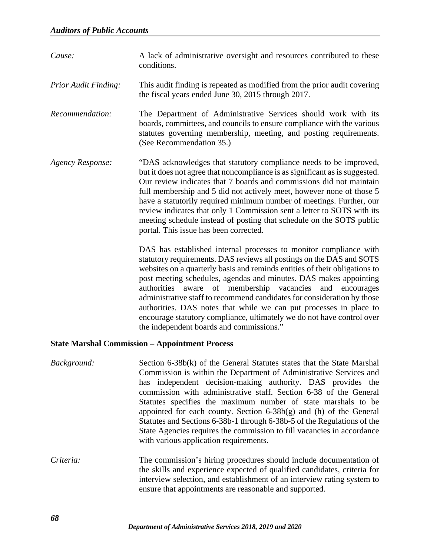| Cause:                                                | A lack of administrative oversight and resources contributed to these<br>conditions.                                                                                                                                                                                                                                                                                                                                                                                                                                                                                                                                                  |
|-------------------------------------------------------|---------------------------------------------------------------------------------------------------------------------------------------------------------------------------------------------------------------------------------------------------------------------------------------------------------------------------------------------------------------------------------------------------------------------------------------------------------------------------------------------------------------------------------------------------------------------------------------------------------------------------------------|
| <b>Prior Audit Finding:</b>                           | This audit finding is repeated as modified from the prior audit covering<br>the fiscal years ended June 30, 2015 through 2017.                                                                                                                                                                                                                                                                                                                                                                                                                                                                                                        |
| Recommendation:                                       | The Department of Administrative Services should work with its<br>boards, committees, and councils to ensure compliance with the various<br>statutes governing membership, meeting, and posting requirements.<br>(See Recommendation 35.)                                                                                                                                                                                                                                                                                                                                                                                             |
| <b>Agency Response:</b>                               | "DAS acknowledges that statutory compliance needs to be improved,<br>but it does not agree that noncompliance is as significant as is suggested.<br>Our review indicates that 7 boards and commissions did not maintain<br>full membership and 5 did not actively meet, however none of those 5<br>have a statutorily required minimum number of meetings. Further, our<br>review indicates that only 1 Commission sent a letter to SOTS with its<br>meeting schedule instead of posting that schedule on the SOTS public<br>portal. This issue has been corrected.                                                                   |
|                                                       | DAS has established internal processes to monitor compliance with<br>statutory requirements. DAS reviews all postings on the DAS and SOTS<br>websites on a quarterly basis and reminds entities of their obligations to<br>post meeting schedules, agendas and minutes. DAS makes appointing<br>authorities aware of membership vacancies<br>and<br>encourages<br>administrative staff to recommend candidates for consideration by those<br>authorities. DAS notes that while we can put processes in place to<br>encourage statutory compliance, ultimately we do not have control over<br>the independent boards and commissions." |
| <b>State Marshal Commission - Appointment Process</b> |                                                                                                                                                                                                                                                                                                                                                                                                                                                                                                                                                                                                                                       |
| Background:                                           | Section 6-38b(k) of the General Statutes states that the State Marshal<br>Commission is within the Department of Administrative Services and<br>independent decision-making authority. DAS provides the<br>has<br>commission with administrative staff. Section 6-38 of the General                                                                                                                                                                                                                                                                                                                                                   |

Statutes specifies the maximum number of state marshals to be appointed for each county. Section 6-38b(g) and (h) of the General Statutes and Sections 6-38b-1 through 6-38b-5 of the Regulations of the State Agencies requires the commission to fill vacancies in accordance with various application requirements.

*Criteria:* The commission's hiring procedures should include documentation of the skills and experience expected of qualified candidates, criteria for interview selection, and establishment of an interview rating system to ensure that appointments are reasonable and supported.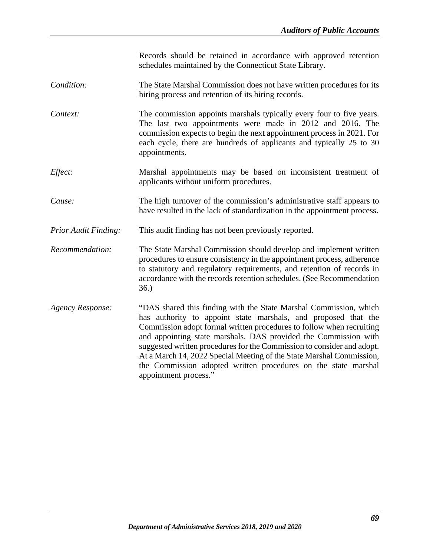Records should be retained in accordance with approved retention schedules maintained by the Connecticut State Library.

- *Condition:* The State Marshal Commission does not have written procedures for its hiring process and retention of its hiring records.
- *Context:* The commission appoints marshals typically every four to five years. The last two appointments were made in 2012 and 2016. The commission expects to begin the next appointment process in 2021. For each cycle, there are hundreds of applicants and typically 25 to 30 appointments.
- *Effect:* Marshal appointments may be based on inconsistent treatment of applicants without uniform procedures.
- *Cause:* The high turnover of the commission's administrative staff appears to have resulted in the lack of standardization in the appointment process.
- *Prior Audit Finding:* This audit finding has not been previously reported.
- *Recommendation:* The State Marshal Commission should develop and implement written procedures to ensure consistency in the appointment process, adherence to statutory and regulatory requirements, and retention of records in accordance with the records retention schedules. (See Recommendation 36.)
- *Agency Response:* "DAS shared this finding with the State Marshal Commission, which has authority to appoint state marshals, and proposed that the Commission adopt formal written procedures to follow when recruiting and appointing state marshals. DAS provided the Commission with suggested written procedures for the Commission to consider and adopt. At a March 14, 2022 Special Meeting of the State Marshal Commission, the Commission adopted written procedures on the state marshal appointment process."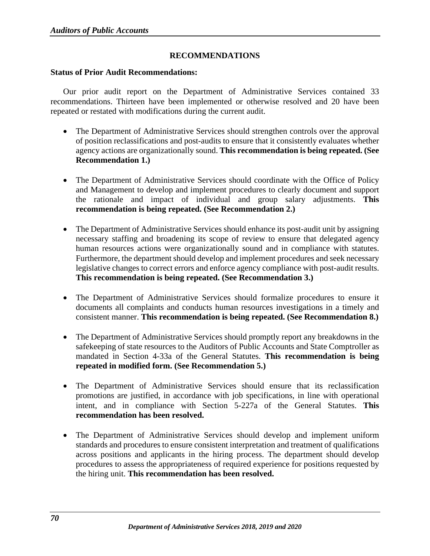## **RECOMMENDATIONS**

#### **Status of Prior Audit Recommendations:**

Our prior audit report on the Department of Administrative Services contained 33 recommendations. Thirteen have been implemented or otherwise resolved and 20 have been repeated or restated with modifications during the current audit.

- The Department of Administrative Services should strengthen controls over the approval of position reclassifications and post-audits to ensure that it consistently evaluates whether agency actions are organizationally sound. **This recommendation is being repeated. (See Recommendation 1.)**
- The Department of Administrative Services should coordinate with the Office of Policy and Management to develop and implement procedures to clearly document and support the rationale and impact of individual and group salary adjustments. **This recommendation is being repeated. (See Recommendation 2.)**
- The Department of Administrative Services should enhance its post-audit unit by assigning necessary staffing and broadening its scope of review to ensure that delegated agency human resources actions were organizationally sound and in compliance with statutes. Furthermore, the department should develop and implement procedures and seek necessary legislative changes to correct errors and enforce agency compliance with post-audit results. **This recommendation is being repeated. (See Recommendation 3.)**
- The Department of Administrative Services should formalize procedures to ensure it documents all complaints and conducts human resources investigations in a timely and consistent manner. **This recommendation is being repeated. (See Recommendation 8.)**
- The Department of Administrative Services should promptly report any breakdowns in the safekeeping of state resources to the Auditors of Public Accounts and State Comptroller as mandated in Section 4-33a of the General Statutes. **This recommendation is being repeated in modified form. (See Recommendation 5.)**
- The Department of Administrative Services should ensure that its reclassification promotions are justified, in accordance with job specifications, in line with operational intent, and in compliance with Section 5-227a of the General Statutes. **This recommendation has been resolved.**
- The Department of Administrative Services should develop and implement uniform standards and procedures to ensure consistent interpretation and treatment of qualifications across positions and applicants in the hiring process. The department should develop procedures to assess the appropriateness of required experience for positions requested by the hiring unit. **This recommendation has been resolved.**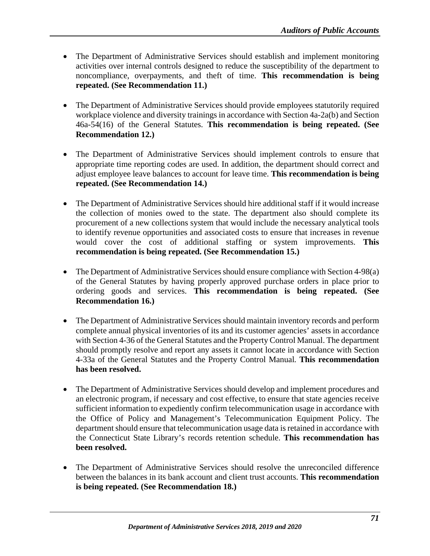- The Department of Administrative Services should establish and implement monitoring activities over internal controls designed to reduce the susceptibility of the department to noncompliance, overpayments, and theft of time. **This recommendation is being repeated. (See Recommendation 11.)**
- The Department of Administrative Services should provide employees statutorily required workplace violence and diversity trainings in accordance with Section 4a-2a(b) and Section 46a-54(16) of the General Statutes. **This recommendation is being repeated. (See Recommendation 12.)**
- The Department of Administrative Services should implement controls to ensure that appropriate time reporting codes are used. In addition, the department should correct and adjust employee leave balances to account for leave time. **This recommendation is being repeated. (See Recommendation 14.)**
- The Department of Administrative Services should hire additional staff if it would increase the collection of monies owed to the state. The department also should complete its procurement of a new collections system that would include the necessary analytical tools to identify revenue opportunities and associated costs to ensure that increases in revenue would cover the cost of additional staffing or system improvements. **This recommendation is being repeated. (See Recommendation 15.)**
- The Department of Administrative Services should ensure compliance with Section 4-98(a) of the General Statutes by having properly approved purchase orders in place prior to ordering goods and services. **This recommendation is being repeated. (See Recommendation 16.)**
- The Department of Administrative Services should maintain inventory records and perform complete annual physical inventories of its and its customer agencies' assets in accordance with Section 4-36 of the General Statutes and the Property Control Manual. The department should promptly resolve and report any assets it cannot locate in accordance with Section 4-33a of the General Statutes and the Property Control Manual*.* **This recommendation has been resolved.**
- The Department of Administrative Services should develop and implement procedures and an electronic program, if necessary and cost effective, to ensure that state agencies receive sufficient information to expediently confirm telecommunication usage in accordance with the Office of Policy and Management's Telecommunication Equipment Policy. The department should ensure that telecommunication usage data is retained in accordance with the Connecticut State Library's records retention schedule. **This recommendation has been resolved.**
- The Department of Administrative Services should resolve the unreconciled difference between the balances in its bank account and client trust accounts. **This recommendation is being repeated. (See Recommendation 18.)**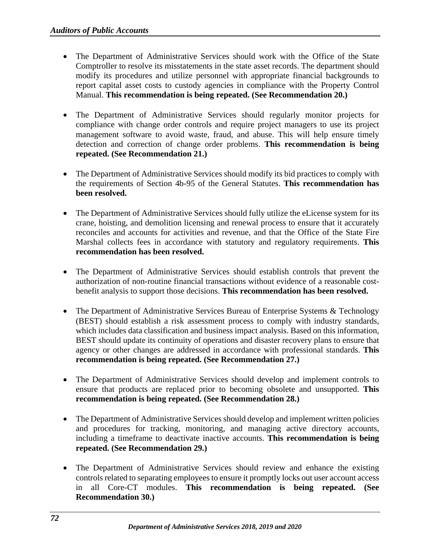- The Department of Administrative Services should work with the Office of the State Comptroller to resolve its misstatements in the state asset records. The department should modify its procedures and utilize personnel with appropriate financial backgrounds to report capital asset costs to custody agencies in compliance with the Property Control Manual. **This recommendation is being repeated. (See Recommendation 20.)**
- The Department of Administrative Services should regularly monitor projects for compliance with change order controls and require project managers to use its project management software to avoid waste, fraud, and abuse. This will help ensure timely detection and correction of change order problems. **This recommendation is being repeated. (See Recommendation 21.)**
- The Department of Administrative Services should modify its bid practices to comply with the requirements of Section 4b-95 of the General Statutes. **This recommendation has been resolved.**
- The Department of Administrative Services should fully utilize the eLicense system for its crane, hoisting, and demolition licensing and renewal process to ensure that it accurately reconciles and accounts for activities and revenue, and that the Office of the State Fire Marshal collects fees in accordance with statutory and regulatory requirements. **This recommendation has been resolved.**
- The Department of Administrative Services should establish controls that prevent the authorization of non-routine financial transactions without evidence of a reasonable costbenefit analysis to support those decisions. **This recommendation has been resolved.**
- The Department of Administrative Services Bureau of Enterprise Systems & Technology (BEST) should establish a risk assessment process to comply with industry standards, which includes data classification and business impact analysis. Based on this information, BEST should update its continuity of operations and disaster recovery plans to ensure that agency or other changes are addressed in accordance with professional standards. **This recommendation is being repeated. (See Recommendation 27.)**
- The Department of Administrative Services should develop and implement controls to ensure that products are replaced prior to becoming obsolete and unsupported. **This recommendation is being repeated. (See Recommendation 28.)**
- The Department of Administrative Services should develop and implement written policies and procedures for tracking, monitoring, and managing active directory accounts, including a timeframe to deactivate inactive accounts. **This recommendation is being repeated. (See Recommendation 29.)**
- The Department of Administrative Services should review and enhance the existing controls related to separating employees to ensure it promptly locks out user account access in all Core-CT modules. **This recommendation is being repeated. (See Recommendation 30.)**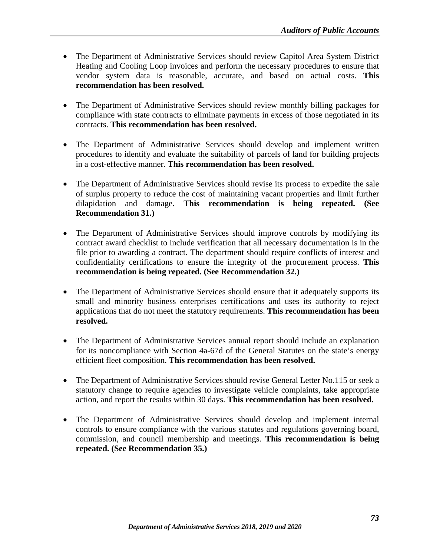- The Department of Administrative Services should review Capitol Area System District Heating and Cooling Loop invoices and perform the necessary procedures to ensure that vendor system data is reasonable, accurate, and based on actual costs. **This recommendation has been resolved.**
- The Department of Administrative Services should review monthly billing packages for compliance with state contracts to eliminate payments in excess of those negotiated in its contracts. **This recommendation has been resolved.**
- The Department of Administrative Services should develop and implement written procedures to identify and evaluate the suitability of parcels of land for building projects in a cost-effective manner. **This recommendation has been resolved.**
- The Department of Administrative Services should revise its process to expedite the sale of surplus property to reduce the cost of maintaining vacant properties and limit further dilapidation and damage. **This recommendation is being repeated. (See Recommendation 31.)**
- The Department of Administrative Services should improve controls by modifying its contract award checklist to include verification that all necessary documentation is in the file prior to awarding a contract. The department should require conflicts of interest and confidentiality certifications to ensure the integrity of the procurement process. **This recommendation is being repeated. (See Recommendation 32.)**
- The Department of Administrative Services should ensure that it adequately supports its small and minority business enterprises certifications and uses its authority to reject applications that do not meet the statutory requirements. **This recommendation has been resolved.**
- The Department of Administrative Services annual report should include an explanation for its noncompliance with Section 4a-67d of the General Statutes on the state's energy efficient fleet composition. **This recommendation has been resolved.**
- The Department of Administrative Services should revise General Letter No.115 or seek a statutory change to require agencies to investigate vehicle complaints, take appropriate action, and report the results within 30 days. **This recommendation has been resolved.**
- The Department of Administrative Services should develop and implement internal controls to ensure compliance with the various statutes and regulations governing board, commission, and council membership and meetings. **This recommendation is being repeated. (See Recommendation 35.)**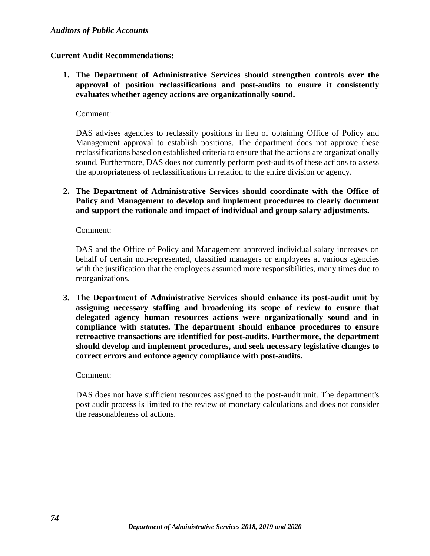#### **Current Audit Recommendations:**

**1. The Department of Administrative Services should strengthen controls over the approval of position reclassifications and post-audits to ensure it consistently evaluates whether agency actions are organizationally sound.** 

Comment:

DAS advises agencies to reclassify positions in lieu of obtaining Office of Policy and Management approval to establish positions. The department does not approve these reclassifications based on established criteria to ensure that the actions are organizationally sound. Furthermore, DAS does not currently perform post-audits of these actions to assess the appropriateness of reclassifications in relation to the entire division or agency.

**2. The Department of Administrative Services should coordinate with the Office of Policy and Management to develop and implement procedures to clearly document and support the rationale and impact of individual and group salary adjustments.** 

Comment:

DAS and the Office of Policy and Management approved individual salary increases on behalf of certain non-represented, classified managers or employees at various agencies with the justification that the employees assumed more responsibilities, many times due to reorganizations.

**3. The Department of Administrative Services should enhance its post-audit unit by assigning necessary staffing and broadening its scope of review to ensure that delegated agency human resources actions were organizationally sound and in compliance with statutes. The department should enhance procedures to ensure retroactive transactions are identified for post-audits. Furthermore, the department should develop and implement procedures, and seek necessary legislative changes to correct errors and enforce agency compliance with post-audits.** 

#### Comment:

DAS does not have sufficient resources assigned to the post-audit unit. The department's post audit process is limited to the review of monetary calculations and does not consider the reasonableness of actions.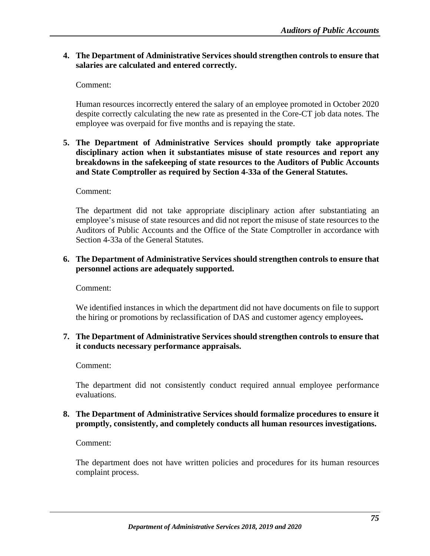## **4. The Department of Administrative Services should strengthen controls to ensure that salaries are calculated and entered correctly.**

Comment:

Human resources incorrectly entered the salary of an employee promoted in October 2020 despite correctly calculating the new rate as presented in the Core-CT job data notes. The employee was overpaid for five months and is repaying the state.

### **5. The Department of Administrative Services should promptly take appropriate disciplinary action when it substantiates misuse of state resources and report any breakdowns in the safekeeping of state resources to the Auditors of Public Accounts and State Comptroller as required by Section 4-33a of the General Statutes.**

#### Comment:

The department did not take appropriate disciplinary action after substantiating an employee's misuse of state resources and did not report the misuse of state resources to the Auditors of Public Accounts and the Office of the State Comptroller in accordance with Section 4-33a of the General Statutes.

## **6. The Department of Administrative Services should strengthen controls to ensure that personnel actions are adequately supported.**

Comment:

We identified instances in which the department did not have documents on file to support the hiring or promotions by reclassification of DAS and customer agency employees**.**

# **7. The Department of Administrative Services should strengthen controls to ensure that it conducts necessary performance appraisals.**

Comment:

The department did not consistently conduct required annual employee performance evaluations.

## **8. The Department of Administrative Services should formalize procedures to ensure it promptly, consistently, and completely conducts all human resources investigations.**

Comment:

The department does not have written policies and procedures for its human resources complaint process.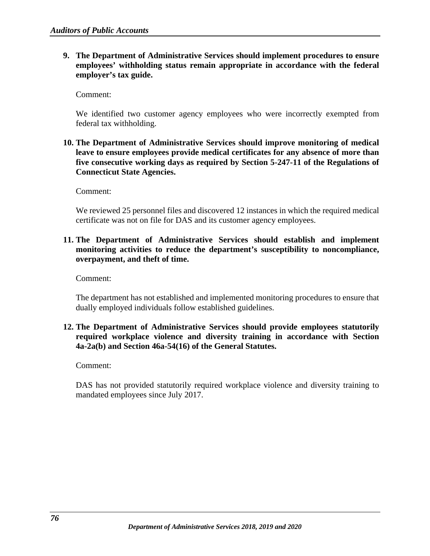**9. The Department of Administrative Services should implement procedures to ensure employees' withholding status remain appropriate in accordance with the federal employer's tax guide.** 

Comment:

We identified two customer agency employees who were incorrectly exempted from federal tax withholding.

**10. The Department of Administrative Services should improve monitoring of medical leave to ensure employees provide medical certificates for any absence of more than five consecutive working days as required by Section 5-247-11 of the Regulations of Connecticut State Agencies.** 

Comment:

We reviewed 25 personnel files and discovered 12 instances in which the required medical certificate was not on file for DAS and its customer agency employees.

**11. The Department of Administrative Services should establish and implement monitoring activities to reduce the department's susceptibility to noncompliance, overpayment, and theft of time.** 

Comment:

The department has not established and implemented monitoring procedures to ensure that dually employed individuals follow established guidelines.

# **12. The Department of Administrative Services should provide employees statutorily required workplace violence and diversity training in accordance with Section 4a-2a(b) and Section 46a-54(16) of the General Statutes.**

Comment:

DAS has not provided statutorily required workplace violence and diversity training to mandated employees since July 2017.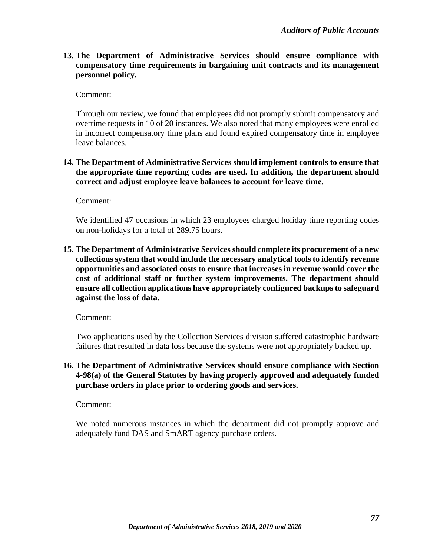**13. The Department of Administrative Services should ensure compliance with compensatory time requirements in bargaining unit contracts and its management personnel policy.** 

Comment:

Through our review, we found that employees did not promptly submit compensatory and overtime requests in 10 of 20 instances. We also noted that many employees were enrolled in incorrect compensatory time plans and found expired compensatory time in employee leave balances.

## **14. The Department of Administrative Services should implement controls to ensure that the appropriate time reporting codes are used. In addition, the department should correct and adjust employee leave balances to account for leave time.**

Comment:

We identified 47 occasions in which 23 employees charged holiday time reporting codes on non-holidays for a total of 289.75 hours.

**15. The Department of Administrative Services should complete its procurement of a new collections system that would include the necessary analytical tools to identify revenue opportunities and associated costs to ensure that increases in revenue would cover the cost of additional staff or further system improvements. The department should ensure all collection applications have appropriately configured backups to safeguard against the loss of data.** 

Comment:

Two applications used by the Collection Services division suffered catastrophic hardware failures that resulted in data loss because the systems were not appropriately backed up.

**16. The Department of Administrative Services should ensure compliance with Section 4-98(a) of the General Statutes by having properly approved and adequately funded purchase orders in place prior to ordering goods and services.**

Comment:

We noted numerous instances in which the department did not promptly approve and adequately fund DAS and SmART agency purchase orders.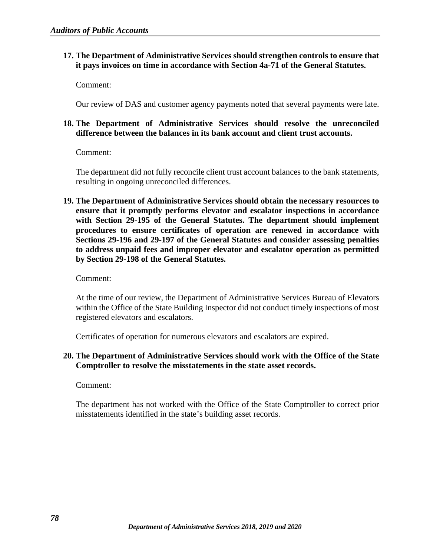## **17. The Department of Administrative Services should strengthen controls to ensure that it pays invoices on time in accordance with Section 4a-71 of the General Statutes.**

Comment:

Our review of DAS and customer agency payments noted that several payments were late.

## **18. The Department of Administrative Services should resolve the unreconciled difference between the balances in its bank account and client trust accounts.**

Comment:

The department did not fully reconcile client trust account balances to the bank statements, resulting in ongoing unreconciled differences.

**19. The Department of Administrative Services should obtain the necessary resources to ensure that it promptly performs elevator and escalator inspections in accordance with Section 29-195 of the General Statutes. The department should implement procedures to ensure certificates of operation are renewed in accordance with Sections 29-196 and 29-197 of the General Statutes and consider assessing penalties to address unpaid fees and improper elevator and escalator operation as permitted by Section 29-198 of the General Statutes.** 

Comment:

At the time of our review, the Department of Administrative Services Bureau of Elevators within the Office of the State Building Inspector did not conduct timely inspections of most registered elevators and escalators.

Certificates of operation for numerous elevators and escalators are expired.

# **20. The Department of Administrative Services should work with the Office of the State Comptroller to resolve the misstatements in the state asset records.**

Comment:

The department has not worked with the Office of the State Comptroller to correct prior misstatements identified in the state's building asset records.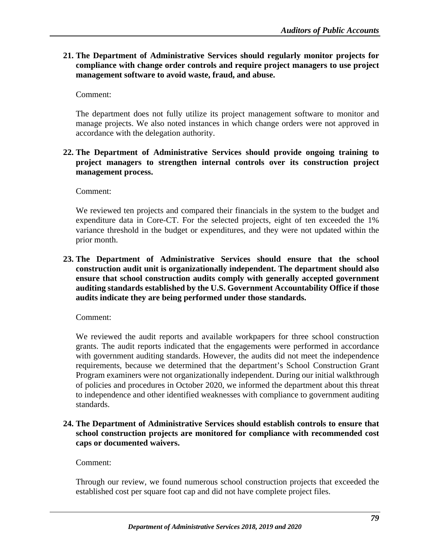**21. The Department of Administrative Services should regularly monitor projects for compliance with change order controls and require project managers to use project management software to avoid waste, fraud, and abuse.** 

Comment:

The department does not fully utilize its project management software to monitor and manage projects. We also noted instances in which change orders were not approved in accordance with the delegation authority.

# **22. The Department of Administrative Services should provide ongoing training to project managers to strengthen internal controls over its construction project management process.**

Comment:

We reviewed ten projects and compared their financials in the system to the budget and expenditure data in Core-CT. For the selected projects, eight of ten exceeded the 1% variance threshold in the budget or expenditures, and they were not updated within the prior month.

**23. The Department of Administrative Services should ensure that the school construction audit unit is organizationally independent. The department should also ensure that school construction audits comply with generally accepted government auditing standards established by the U.S. Government Accountability Office if those audits indicate they are being performed under those standards.** 

Comment:

We reviewed the audit reports and available workpapers for three school construction grants. The audit reports indicated that the engagements were performed in accordance with government auditing standards. However, the audits did not meet the independence requirements, because we determined that the department's School Construction Grant Program examiners were not organizationally independent. During our initial walkthrough of policies and procedures in October 2020, we informed the department about this threat to independence and other identified weaknesses with compliance to government auditing standards.

**24. The Department of Administrative Services should establish controls to ensure that school construction projects are monitored for compliance with recommended cost caps or documented waivers.** 

# Comment:

Through our review, we found numerous school construction projects that exceeded the established cost per square foot cap and did not have complete project files.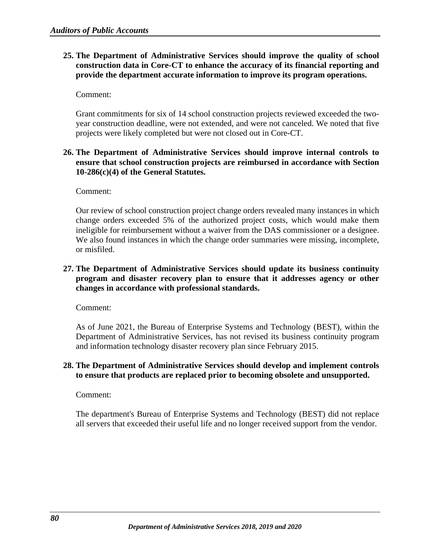# **25. The Department of Administrative Services should improve the quality of school construction data in Core-CT to enhance the accuracy of its financial reporting and provide the department accurate information to improve its program operations.**

Comment:

Grant commitments for six of 14 school construction projects reviewed exceeded the twoyear construction deadline, were not extended, and were not canceled. We noted that five projects were likely completed but were not closed out in Core-CT.

# **26. The Department of Administrative Services should improve internal controls to ensure that school construction projects are reimbursed in accordance with Section 10-286(c)(4) of the General Statutes.**

Comment:

Our review of school construction project change orders revealed many instances in which change orders exceeded 5% of the authorized project costs, which would make them ineligible for reimbursement without a waiver from the DAS commissioner or a designee. We also found instances in which the change order summaries were missing, incomplete, or misfiled.

## **27. The Department of Administrative Services should update its business continuity program and disaster recovery plan to ensure that it addresses agency or other changes in accordance with professional standards.**

Comment:

As of June 2021, the Bureau of Enterprise Systems and Technology (BEST), within the Department of Administrative Services, has not revised its business continuity program and information technology disaster recovery plan since February 2015.

## **28. The Department of Administrative Services should develop and implement controls to ensure that products are replaced prior to becoming obsolete and unsupported.**

Comment:

The department's Bureau of Enterprise Systems and Technology (BEST) did not replace all servers that exceeded their useful life and no longer received support from the vendor.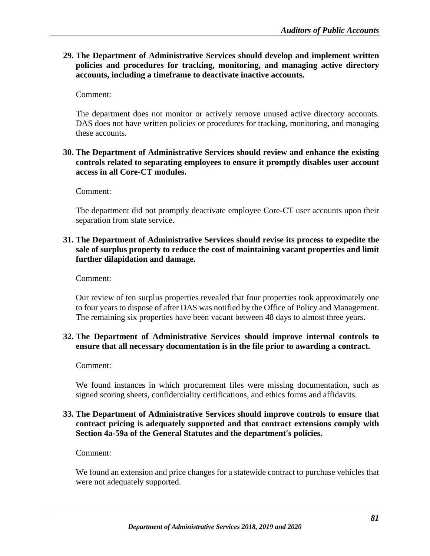**29. The Department of Administrative Services should develop and implement written policies and procedures for tracking, monitoring, and managing active directory accounts, including a timeframe to deactivate inactive accounts.** 

Comment:

The department does not monitor or actively remove unused active directory accounts. DAS does not have written policies or procedures for tracking, monitoring, and managing these accounts.

## **30. The Department of Administrative Services should review and enhance the existing controls related to separating employees to ensure it promptly disables user account access in all Core-CT modules.**

Comment:

The department did not promptly deactivate employee Core-CT user accounts upon their separation from state service.

## **31. The Department of Administrative Services should revise its process to expedite the sale of surplus property to reduce the cost of maintaining vacant properties and limit further dilapidation and damage.**

Comment:

Our review of ten surplus properties revealed that four properties took approximately one to four years to dispose of after DAS was notified by the Office of Policy and Management. The remaining six properties have been vacant between 48 days to almost three years.

# **32. The Department of Administrative Services should improve internal controls to ensure that all necessary documentation is in the file prior to awarding a contract.**

Comment:

We found instances in which procurement files were missing documentation, such as signed scoring sheets, confidentiality certifications, and ethics forms and affidavits.

### **33. The Department of Administrative Services should improve controls to ensure that contract pricing is adequately supported and that contract extensions comply with Section 4a-59a of the General Statutes and the department's policies.**

Comment:

We found an extension and price changes for a statewide contract to purchase vehicles that were not adequately supported.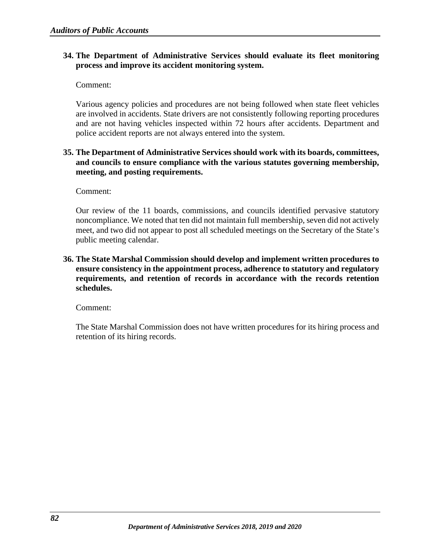## **34. The Department of Administrative Services should evaluate its fleet monitoring process and improve its accident monitoring system.**

Comment:

Various agency policies and procedures are not being followed when state fleet vehicles are involved in accidents. State drivers are not consistently following reporting procedures and are not having vehicles inspected within 72 hours after accidents. Department and police accident reports are not always entered into the system.

## **35. The Department of Administrative Services should work with its boards, committees, and councils to ensure compliance with the various statutes governing membership, meeting, and posting requirements.**

Comment:

Our review of the 11 boards, commissions, and councils identified pervasive statutory noncompliance. We noted that ten did not maintain full membership, seven did not actively meet, and two did not appear to post all scheduled meetings on the Secretary of the State's public meeting calendar.

# **36. The State Marshal Commission should develop and implement written procedures to ensure consistency in the appointment process, adherence to statutory and regulatory requirements, and retention of records in accordance with the records retention schedules.**

Comment:

The State Marshal Commission does not have written procedures for its hiring process and retention of its hiring records.